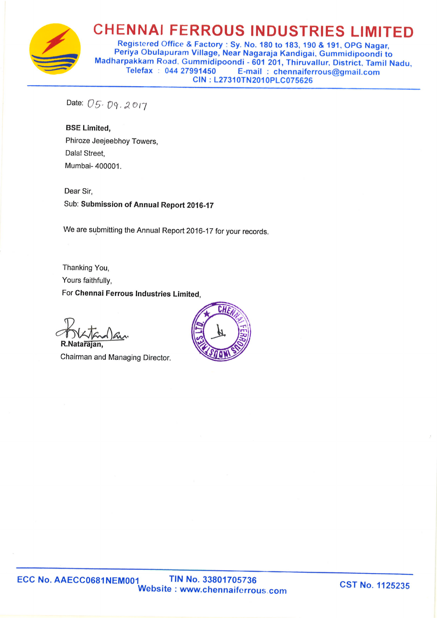

## **CHENNAI FERROUS INDUSTRIES LIMITED**

Registered Office & Factory: Sy. No. 180 to 183, 190 & 191, OPG Nagar, Periya Obulapuram Village, Near Nagaraja Kandigai, Gummidipoondi to Madharpakkam Road, Gummidipoondi - 601 201, Thiruvallur, District, Tamil Nadu. Telefax: 044 27991450 E-mail: chennaiferrous@gmail.com CIN: L27310TN2010PLC075626

Date: 05.09.2017

**BSE Limited,** Phiroze Jeejeebhoy Towers. Dalal Street, Mumbai- 400001.

Dear Sir. Sub: Submission of Annual Report 2016-17

We are submitting the Annual Report 2016-17 for your records.

Thanking You, Yours faithfully, For Chennai Ferrous Industries Limited,

R.Natarajan

Chairman and Managing Director.

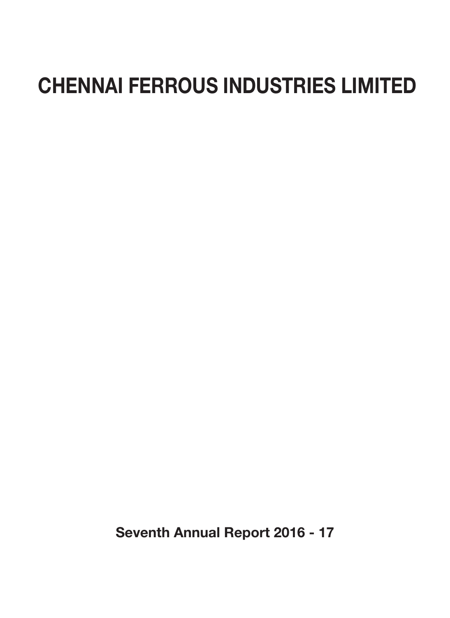# CHENNAI FERROUS INDUSTRIES LIMITED

Seventh Annual Report 2016 - 17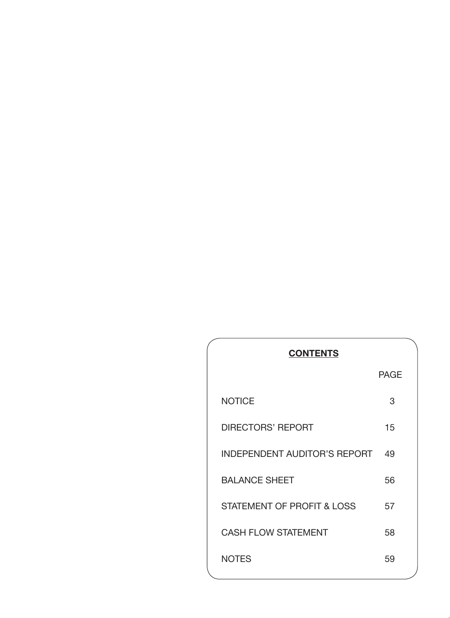| <b>CONTENTS</b>              |             |  |  |  |
|------------------------------|-------------|--|--|--|
|                              | <b>PAGE</b> |  |  |  |
| <b>NOTICE</b>                | 3           |  |  |  |
| DIRECTORS' REPORT            | 15          |  |  |  |
| INDEPENDENT AUDITOR'S REPORT | 49          |  |  |  |
| <b>BALANCE SHEET</b>         | 56          |  |  |  |
| STATEMENT OF PROFIT & LOSS   | 57          |  |  |  |
| <b>CASH FLOW STATEMENT</b>   | 58          |  |  |  |
| <b>NOTES</b>                 | 59          |  |  |  |
|                              |             |  |  |  |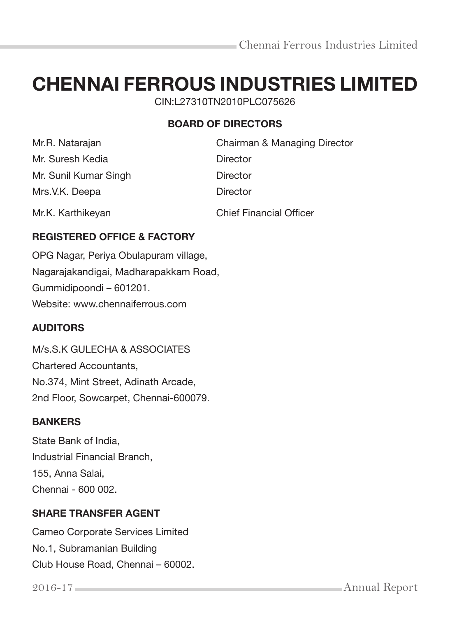# CHENNAI FERROUS INDUSTRIES LIMITED

CIN:L27310TN2010PLC075626

## BOARD OF DIRECTORS

| Mr.R. Natarajan       | Chairman & Managing Director   |
|-----------------------|--------------------------------|
| Mr. Suresh Kedia      | Director                       |
| Mr. Sunil Kumar Singh | <b>Director</b>                |
| Mrs.V.K. Deepa        | Director                       |
| Mr.K. Karthikeyan     | <b>Chief Financial Officer</b> |

## REGISTERED OFFICE & FACTORY

OPG Nagar, Periya Obulapuram village, Nagarajakandigai, Madharapakkam Road, Gummidipoondi – 601201. Website: www.chennaiferrous.com

## **AUDITORS**

M/s.S.K GULECHA & ASSOCIATES Chartered Accountants, No.374, Mint Street, Adinath Arcade, 2nd Floor, Sowcarpet, Chennai-600079.

## BANKERS

State Bank of India, Industrial Financial Branch, 155, Anna Salai, Chennai - 600 002.

## SHARE TRANSFER AGENT

Cameo Corporate Services Limited No.1, Subramanian Building Club House Road, Chennai – 60002.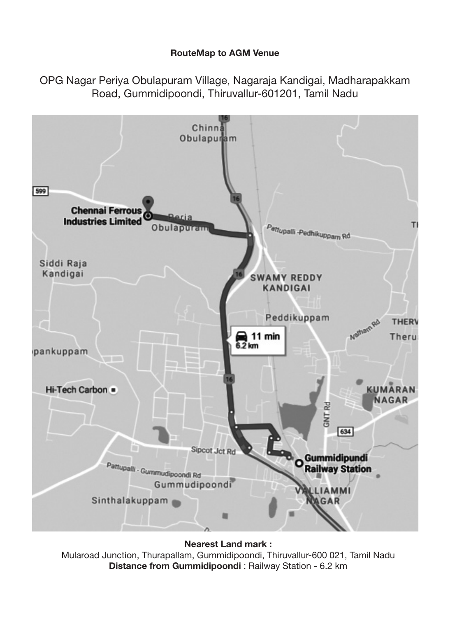#### RouteMap to AGM Venue

OPG Nagar Periya Obulapuram Village, Nagaraja Kandigai, Madharapakkam Road, Gummidipoondi, Thiruvallur-601201, Tamil Nadu



Nearest Land mark : Mularoad Junction, Thurapallam, Gummidipoondi, Thiruvallur-600 021, Tamil Nadu Distance from Gummidipoondi : Railway Station - 6.2 km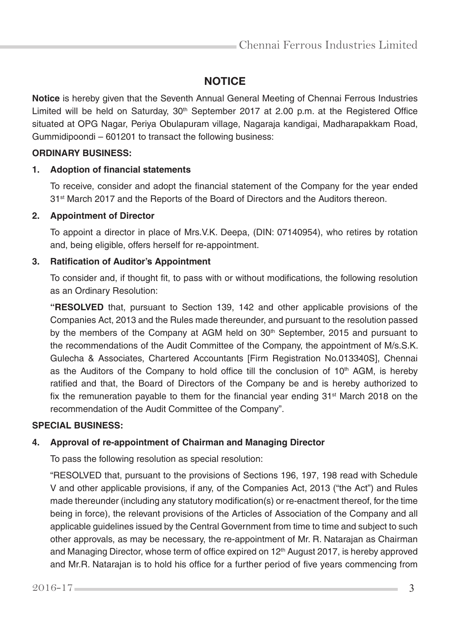## **NOTICE**

**Notice** is hereby given that the Seventh Annual General Meeting of Chennai Ferrous Industries Limited will be held on Saturday,  $30<sup>th</sup>$  September 2017 at 2.00 p.m. at the Registered Office situated at OPG Nagar, Periya Obulapuram village, Nagaraja kandigai, Madharapakkam Road, Gummidipoondi – 601201 to transact the following business:

#### **ORDINARY BUSINESS:**

#### **1. Adoption of financial statements**

 To receive, consider and adopt the financial statement of the Company for the year ended 31<sup>st</sup> March 2017 and the Reports of the Board of Directors and the Auditors thereon.

#### **2. Appointment of Director**

 To appoint a director in place of Mrs.V.K. Deepa, (DIN: 07140954), who retires by rotation and, being eligible, offers herself for re-appointment.

#### **3. Ratification of Auditor's Appointment**

 To consider and, if thought fit, to pass with or without modifications, the following resolution as an Ordinary Resolution:

 **"RESOLVED** that, pursuant to Section 139, 142 and other applicable provisions of the Companies Act, 2013 and the Rules made thereunder, and pursuant to the resolution passed by the members of the Company at AGM held on  $30<sup>th</sup>$  September, 2015 and pursuant to the recommendations of the Audit Committee of the Company, the appointment of M/s.S.K. Gulecha & Associates, Chartered Accountants [Firm Registration No.013340S], Chennai as the Auditors of the Company to hold office till the conclusion of  $10<sup>th</sup>$  AGM, is hereby ratified and that, the Board of Directors of the Company be and is hereby authorized to fix the remuneration payable to them for the financial year ending  $31<sup>st</sup>$  March 2018 on the recommendation of the Audit Committee of the Company".

#### **SPECIAL BUSINESS:**

#### **4. Approval of re-appointment of Chairman and Managing Director**

To pass the following resolution as special resolution:

 "RESOLVED that, pursuant to the provisions of Sections 196, 197, 198 read with Schedule V and other applicable provisions, if any, of the Companies Act, 2013 ("the Act") and Rules made thereunder (including any statutory modification(s) or re-enactment thereof, for the time being in force), the relevant provisions of the Articles of Association of the Company and all applicable guidelines issued by the Central Government from time to time and subject to such other approvals, as may be necessary, the re-appointment of Mr. R. Natarajan as Chairman and Managing Director, whose term of office expired on 12<sup>th</sup> August 2017, is hereby approved and Mr.R. Natarajan is to hold his office for a further period of five years commencing from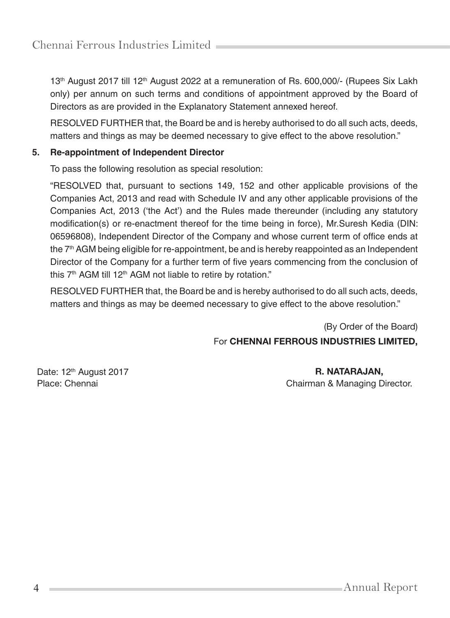13<sup>th</sup> August 2017 till 12<sup>th</sup> August 2022 at a remuneration of Rs. 600,000/- (Rupees Six Lakh only) per annum on such terms and conditions of appointment approved by the Board of Directors as are provided in the Explanatory Statement annexed hereof.

 RESOLVED FURTHER that, the Board be and is hereby authorised to do all such acts, deeds, matters and things as may be deemed necessary to give effect to the above resolution."

#### **5. Re-appointment of Independent Director**

To pass the following resolution as special resolution:

 "RESOLVED that, pursuant to sections 149, 152 and other applicable provisions of the Companies Act, 2013 and read with Schedule IV and any other applicable provisions of the Companies Act, 2013 ('the Act') and the Rules made thereunder (including any statutory modification(s) or re-enactment thereof for the time being in force), Mr.Suresh Kedia (DIN: 06596808), Independent Director of the Company and whose current term of office ends at the 7<sup>th</sup> AGM being eligible for re-appointment, be and is hereby reappointed as an Independent Director of the Company for a further term of five years commencing from the conclusion of this  $7<sup>th</sup>$  AGM till 12<sup>th</sup> AGM not liable to retire by rotation."

 RESOLVED FURTHER that, the Board be and is hereby authorised to do all such acts, deeds, matters and things as may be deemed necessary to give effect to the above resolution."

> (By Order of the Board) For CHENNAI FERROUS INDUSTRIES LIMITED,

Date: 12<sup>th</sup> August 2017 **R. NATARAJAN,** 

Place: Chennai **Chairman & Managing Director.**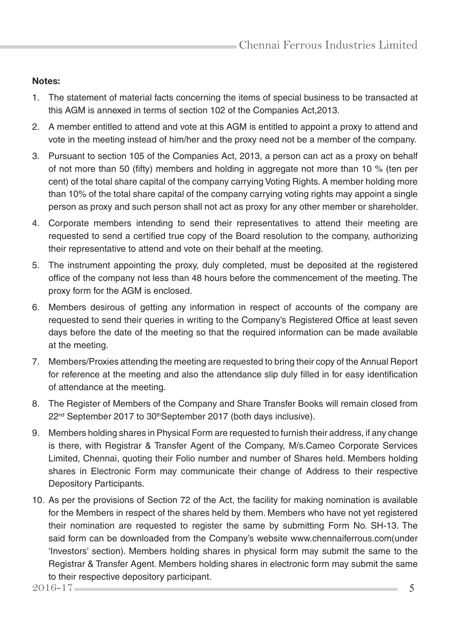#### Notes:

- 1. The statement of material facts concerning the items of special business to be transacted at this AGM is annexed in terms of section 102 of the Companies Act,2013.
- 2. A member entitled to attend and vote at this AGM is entitled to appoint a proxy to attend and vote in the meeting instead of him/her and the proxy need not be a member of the company.
- 3. Pursuant to section 105 of the Companies Act, 2013, a person can act as a proxy on behalf of not more than 50 (fifty) members and holding in aggregate not more than 10 % (ten per cent) of the total share capital of the company carrying Voting Rights. A member holding more than 10% of the total share capital of the company carrying voting rights may appoint a single person as proxy and such person shall not act as proxy for any other member or shareholder.
- 4. Corporate members intending to send their representatives to attend their meeting are requested to send a certified true copy of the Board resolution to the company, authorizing their representative to attend and vote on their behalf at the meeting.
- 5. The instrument appointing the proxy, duly completed, must be deposited at the registered office of the company not less than 48 hours before the commencement of the meeting. The proxy form for the AGM is enclosed.
- 6. Members desirous of getting any information in respect of accounts of the company are requested to send their queries in writing to the Company's Registered Office at least seven days before the date of the meeting so that the required information can be made available at the meeting.
- 7. Members/Proxies attending the meeting are requested to bring their copy of the Annual Report for reference at the meeting and also the attendance slip duly filled in for easy identification of attendance at the meeting.
- 8. The Register of Members of the Company and Share Transfer Books will remain closed from 22<sup>nd</sup> September 2017 to 30<sup>th</sup>September 2017 (both days inclusive).
- 9. Members holding shares in Physical Form are requested to furnish their address, if any change is there, with Registrar & Transfer Agent of the Company, M/s.Cameo Corporate Services Limited, Chennai, quoting their Folio number and number of Shares held. Members holding shares in Electronic Form may communicate their change of Address to their respective Depository Participants.
- 10. As per the provisions of Section 72 of the Act, the facility for making nomination is available for the Members in respect of the shares held by them. Members who have not yet registered their nomination are requested to register the same by submitting Form No. SH-13. The said form can be downloaded from the Company's website www.chennaiferrous.com(under 'Investors' section). Members holding shares in physical form may submit the same to the Registrar & Transfer Agent. Members holding shares in electronic form may submit the same to their respective depository participant.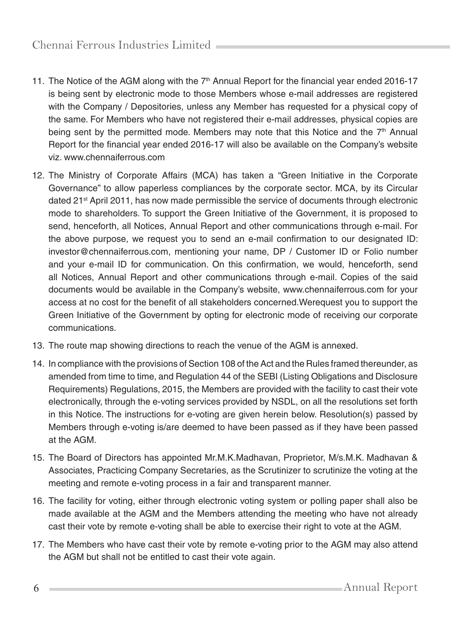- 11. The Notice of the AGM along with the  $7<sup>th</sup>$  Annual Report for the financial year ended 2016-17 is being sent by electronic mode to those Members whose e-mail addresses are registered with the Company / Depositories, unless any Member has requested for a physical copy of the same. For Members who have not registered their e-mail addresses, physical copies are being sent by the permitted mode. Members may note that this Notice and the  $7<sup>th</sup>$  Annual Report for the financial year ended 2016-17 will also be available on the Company's website viz. www.chennaiferrous.com
- 12. The Ministry of Corporate Affairs (MCA) has taken a "Green Initiative in the Corporate Governance" to allow paperless compliances by the corporate sector. MCA, by its Circular dated 21st April 2011, has now made permissible the service of documents through electronic mode to shareholders. To support the Green Initiative of the Government, it is proposed to send, henceforth, all Notices, Annual Report and other communications through e-mail. For the above purpose, we request you to send an e-mail confirmation to our designated ID: investor@chennaiferrous.com, mentioning your name, DP / Customer ID or Folio number and your e-mail ID for communication. On this confirmation, we would, henceforth, send all Notices, Annual Report and other communications through e-mail. Copies of the said documents would be available in the Company's website, www.chennaiferrous.com for your access at no cost for the benefit of all stakeholders concerned.Werequest you to support the Green Initiative of the Government by opting for electronic mode of receiving our corporate communications.
- 13. The route map showing directions to reach the venue of the AGM is annexed.
- 14. In compliance with the provisions of Section 108 of the Act and the Rules framed thereunder, as amended from time to time, and Regulation 44 of the SEBI (Listing Obligations and Disclosure Requirements) Regulations, 2015, the Members are provided with the facility to cast their vote electronically, through the e-voting services provided by NSDL, on all the resolutions set forth in this Notice. The instructions for e-voting are given herein below. Resolution(s) passed by Members through e-voting is/are deemed to have been passed as if they have been passed at the AGM.
- 15. The Board of Directors has appointed Mr.M.K.Madhavan, Proprietor, M/s.M.K. Madhavan & Associates, Practicing Company Secretaries, as the Scrutinizer to scrutinize the voting at the meeting and remote e-voting process in a fair and transparent manner.
- 16. The facility for voting, either through electronic voting system or polling paper shall also be made available at the AGM and the Members attending the meeting who have not already cast their vote by remote e-voting shall be able to exercise their right to vote at the AGM.
- 17. The Members who have cast their vote by remote e-voting prior to the AGM may also attend the AGM but shall not be entitled to cast their vote again.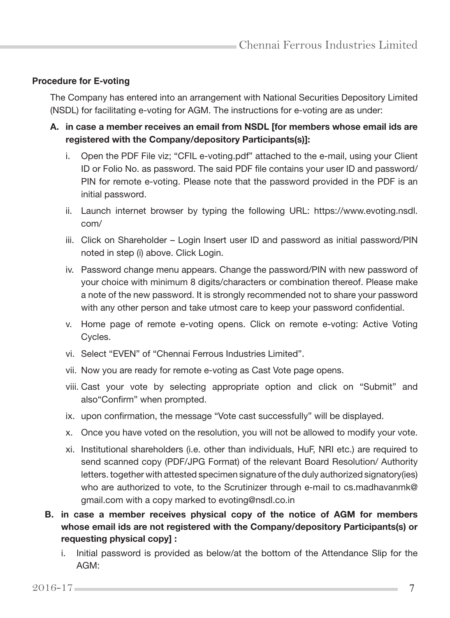#### **Procedure for E-voting**

 The Company has entered into an arrangement with National Securities Depository Limited (NSDL) for facilitating e-voting for AGM. The instructions for e-voting are as under:

- A. in case a member receives an email from NSDL [for members whose email ids are registered with the Company/depository Participants(s)]:
	- i. Open the PDF File viz; "CFIL e-voting.pdf" attached to the e-mail, using your Client ID or Folio No. as password. The said PDF file contains your user ID and password/ PIN for remote e-voting. Please note that the password provided in the PDF is an initial password.
	- ii. Launch internet browser by typing the following URL: https://www.evoting.nsdl. com/
	- iii. Click on Shareholder Login Insert user ID and password as initial password/PIN noted in step (i) above. Click Login.
	- iv. Password change menu appears. Change the password/PIN with new password of your choice with minimum 8 digits/characters or combination thereof. Please make a note of the new password. It is strongly recommended not to share your password with any other person and take utmost care to keep your password confidential.
	- v. Home page of remote e-voting opens. Click on remote e-voting: Active Voting Cycles.
	- vi. Select "EVEN" of "Chennai Ferrous Industries Limited".
	- vii. Now you are ready for remote e-voting as Cast Vote page opens.
	- viii. Cast your vote by selecting appropriate option and click on "Submit" and also"Confirm" when prompted.
	- ix. upon confirmation, the message "Vote cast successfully" will be displayed.
	- x. Once you have voted on the resolution, you will not be allowed to modify your vote.
	- xi. Institutional shareholders (i.e. other than individuals, HuF, NRI etc.) are required to send scanned copy (PDF/JPG Format) of the relevant Board Resolution/ Authority letters. together with attested specimen signature of the duly authorized signatory(ies) who are authorized to vote, to the Scrutinizer through e-mail to cs.madhavanmk@ gmail.com with a copy marked to evoting@nsdl.co.in
- B. in case a member receives physical copy of the notice of AGM for members whose email ids are not registered with the Company/depository Participants(s) or requesting physical copy] :
	- i. Initial password is provided as below/at the bottom of the Attendance Slip for the AGM: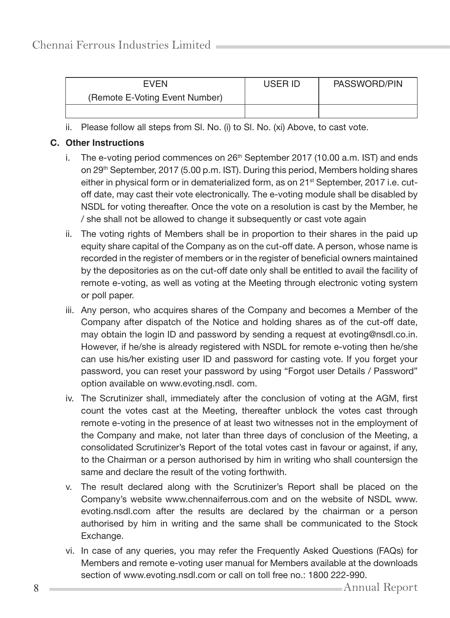| EVEN                           | USER ID | PASSWORD/PIN |
|--------------------------------|---------|--------------|
| (Remote E-Voting Event Number) |         |              |
|                                |         |              |

ii. Please follow all steps from Sl. No. (i) to Sl. No. (xi) Above, to cast vote.

#### C. **Other Instructions**

- i. The e-voting period commences on  $26<sup>th</sup>$  September 2017 (10.00 a.m. IST) and ends on 29th September, 2017 (5.00 p.m. IST). During this period, Members holding shares either in physical form or in dematerialized form, as on 21<sup>st</sup> September, 2017 i.e. cutoff date, may cast their vote electronically. The e-voting module shall be disabled by NSDL for voting thereafter. Once the vote on a resolution is cast by the Member, he / she shall not be allowed to change it subsequently or cast vote again
- ii. The voting rights of Members shall be in proportion to their shares in the paid up equity share capital of the Company as on the cut-off date. A person, whose name is recorded in the register of members or in the register of beneficial owners maintained by the depositories as on the cut-off date only shall be entitled to avail the facility of remote e-voting, as well as voting at the Meeting through electronic voting system or poll paper.
- iii. Any person, who acquires shares of the Company and becomes a Member of the Company after dispatch of the Notice and holding shares as of the cut-off date, may obtain the login ID and password by sending a request at evoting@nsdl.co.in. However, if he/she is already registered with NSDL for remote e-voting then he/she can use his/her existing user ID and password for casting vote. If you forget your password, you can reset your password by using "Forgot user Details / Password" option available on www.evoting.nsdl. com.
- iv. The Scrutinizer shall, immediately after the conclusion of voting at the AGM, first count the votes cast at the Meeting, thereafter unblock the votes cast through remote e-voting in the presence of at least two witnesses not in the employment of the Company and make, not later than three days of conclusion of the Meeting, a consolidated Scrutinizer's Report of the total votes cast in favour or against, if any, to the Chairman or a person authorised by him in writing who shall countersign the same and declare the result of the voting forthwith.
- v. The result declared along with the Scrutinizer's Report shall be placed on the Company's website www.chennaiferrous.com and on the website of NSDL www. evoting.nsdl.com after the results are declared by the chairman or a person authorised by him in writing and the same shall be communicated to the Stock Exchange.
- vi. In case of any queries, you may refer the Frequently Asked Questions (FAQs) for Members and remote e-voting user manual for Members available at the downloads section of www.evoting.nsdl.com or call on toll free no.: 1800 222-990.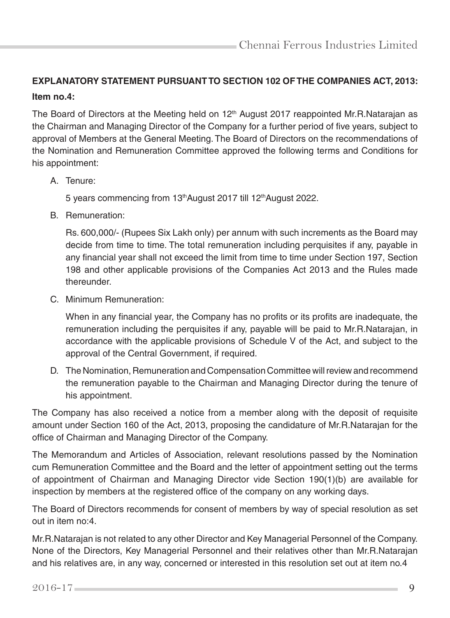## **EXPLANATORY STATEMENT PURSUANT TO SECTION 102 OF THE COMPANIES ACT, 2013: Item no.4:**

The Board of Directors at the Meeting held on 12<sup>th</sup> August 2017 reappointed Mr.R.Natarajan as the Chairman and Managing Director of the Company for a further period of five years, subject to approval of Members at the General Meeting. The Board of Directors on the recommendations of the Nomination and Remuneration Committee approved the following terms and Conditions for his appointment:

A. Tenure:

5 years commencing from 13th August 2017 till 12th August 2022.

B. Remuneration:

 Rs. 600,000/- (Rupees Six Lakh only) per annum with such increments as the Board may decide from time to time. The total remuneration including perquisites if any, payable in any financial year shall not exceed the limit from time to time under Section 197, Section 198 and other applicable provisions of the Companies Act 2013 and the Rules made thereunder.

C. Minimum Remuneration:

 When in any financial year, the Company has no profits or its profits are inadequate, the remuneration including the perquisites if any, payable will be paid to Mr.R.Natarajan, in accordance with the applicable provisions of Schedule V of the Act, and subject to the approval of the Central Government, if required.

D. The Nomination, Remuneration and Compensation Committee will review and recommend the remuneration payable to the Chairman and Managing Director during the tenure of his appointment.

The Company has also received a notice from a member along with the deposit of requisite amount under Section 160 of the Act, 2013, proposing the candidature of Mr.R.Natarajan for the office of Chairman and Managing Director of the Company.

The Memorandum and Articles of Association, relevant resolutions passed by the Nomination cum Remuneration Committee and the Board and the letter of appointment setting out the terms of appointment of Chairman and Managing Director vide Section 190(1)(b) are available for inspection by members at the registered office of the company on any working days.

The Board of Directors recommends for consent of members by way of special resolution as set out in item no:4.

Mr.R.Natarajan is not related to any other Director and Key Managerial Personnel of the Company. None of the Directors, Key Managerial Personnel and their relatives other than Mr.R.Natarajan and his relatives are, in any way, concerned or interested in this resolution set out at item no.4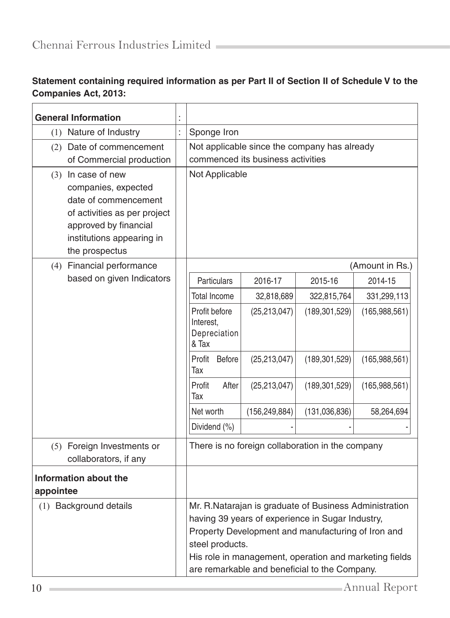## **Statement containing required information as per Part II of Section II of Schedule V to the Companies Act, 2013:**

| <b>General Information</b>                                                                                                                                                  |                                                                                                                                                                                                                                                                                                 |                                   |                                                  |                 |
|-----------------------------------------------------------------------------------------------------------------------------------------------------------------------------|-------------------------------------------------------------------------------------------------------------------------------------------------------------------------------------------------------------------------------------------------------------------------------------------------|-----------------------------------|--------------------------------------------------|-----------------|
| Nature of Industry<br>(1)                                                                                                                                                   | Sponge Iron                                                                                                                                                                                                                                                                                     |                                   |                                                  |                 |
| (2) Date of commencement                                                                                                                                                    | Not applicable since the company has already                                                                                                                                                                                                                                                    |                                   |                                                  |                 |
| of Commercial production                                                                                                                                                    |                                                                                                                                                                                                                                                                                                 | commenced its business activities |                                                  |                 |
| $(3)$ In case of new<br>companies, expected<br>date of commencement<br>of activities as per project<br>approved by financial<br>institutions appearing in<br>the prospectus | Not Applicable                                                                                                                                                                                                                                                                                  |                                   |                                                  |                 |
| (4) Financial performance                                                                                                                                                   |                                                                                                                                                                                                                                                                                                 |                                   |                                                  | (Amount in Rs.) |
| based on given Indicators                                                                                                                                                   | Particulars                                                                                                                                                                                                                                                                                     | 2016-17                           | 2015-16                                          | 2014-15         |
|                                                                                                                                                                             | <b>Total Income</b>                                                                                                                                                                                                                                                                             | 32,818,689                        | 322,815,764                                      | 331,299,113     |
|                                                                                                                                                                             | Profit before<br>Interest,<br>Depreciation<br>& Tax                                                                                                                                                                                                                                             | (25, 213, 047)                    | (189, 301, 529)                                  | (165, 988, 561) |
|                                                                                                                                                                             | Profit Before<br>Tax                                                                                                                                                                                                                                                                            | (25, 213, 047)                    | (189, 301, 529)                                  | (165,988,561)   |
|                                                                                                                                                                             | After<br>Profit<br>Tax                                                                                                                                                                                                                                                                          | (25, 213, 047)                    | (189, 301, 529)                                  | (165, 988, 561) |
|                                                                                                                                                                             | Net worth                                                                                                                                                                                                                                                                                       | (156, 249, 884)                   | (131,036,836)                                    | 58,264,694      |
|                                                                                                                                                                             | Dividend (%)                                                                                                                                                                                                                                                                                    |                                   |                                                  |                 |
| (5) Foreign Investments or<br>collaborators, if any                                                                                                                         |                                                                                                                                                                                                                                                                                                 |                                   | There is no foreign collaboration in the company |                 |
| Information about the<br>appointee                                                                                                                                          |                                                                                                                                                                                                                                                                                                 |                                   |                                                  |                 |
| (1) Background details                                                                                                                                                      | Mr. R. Natarajan is graduate of Business Administration<br>having 39 years of experience in Sugar Industry,<br>Property Development and manufacturing of Iron and<br>steel products.<br>His role in management, operation and marketing fields<br>are remarkable and beneficial to the Company. |                                   |                                                  |                 |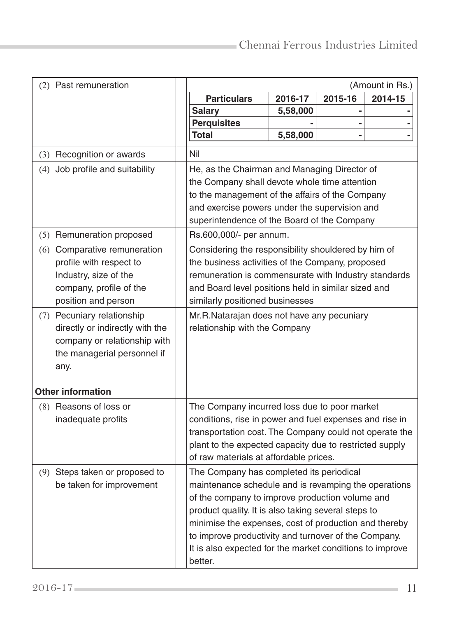|     | (2) Past remuneration           | (Amount in Rs.)                                                                                               |          |         |         |  |
|-----|---------------------------------|---------------------------------------------------------------------------------------------------------------|----------|---------|---------|--|
|     |                                 | <b>Particulars</b>                                                                                            | 2016-17  | 2015-16 | 2014-15 |  |
|     |                                 | <b>Salary</b>                                                                                                 | 5,58,000 |         |         |  |
|     |                                 | <b>Perquisites</b>                                                                                            |          |         |         |  |
|     |                                 | <b>Total</b>                                                                                                  | 5,58,000 |         |         |  |
|     | (3) Recognition or awards       | Nil                                                                                                           |          |         |         |  |
| (4) | Job profile and suitability     | He, as the Chairman and Managing Director of                                                                  |          |         |         |  |
|     |                                 | the Company shall devote whole time attention                                                                 |          |         |         |  |
|     |                                 | to the management of the affairs of the Company                                                               |          |         |         |  |
|     |                                 | and exercise powers under the supervision and                                                                 |          |         |         |  |
|     |                                 | superintendence of the Board of the Company                                                                   |          |         |         |  |
|     | (5) Remuneration proposed       | Rs.600,000/- per annum.                                                                                       |          |         |         |  |
|     | (6) Comparative remuneration    | Considering the responsibility shouldered by him of                                                           |          |         |         |  |
|     | profile with respect to         | the business activities of the Company, proposed                                                              |          |         |         |  |
|     | Industry, size of the           | remuneration is commensurate with Industry standards                                                          |          |         |         |  |
|     | company, profile of the         | and Board level positions held in similar sized and                                                           |          |         |         |  |
|     | position and person             | similarly positioned businesses                                                                               |          |         |         |  |
|     | (7) Pecuniary relationship      | Mr.R.Natarajan does not have any pecuniary                                                                    |          |         |         |  |
|     | directly or indirectly with the | relationship with the Company                                                                                 |          |         |         |  |
|     | company or relationship with    |                                                                                                               |          |         |         |  |
|     | the managerial personnel if     |                                                                                                               |          |         |         |  |
|     | any.                            |                                                                                                               |          |         |         |  |
|     | <b>Other information</b>        |                                                                                                               |          |         |         |  |
|     | (8) Reasons of loss or          | The Company incurred loss due to poor market                                                                  |          |         |         |  |
|     | inadequate profits              | conditions, rise in power and fuel expenses and rise in                                                       |          |         |         |  |
|     |                                 | transportation cost. The Company could not operate the                                                        |          |         |         |  |
|     |                                 | plant to the expected capacity due to restricted supply                                                       |          |         |         |  |
|     |                                 | of raw materials at affordable prices.                                                                        |          |         |         |  |
|     | (9) Steps taken or proposed to  | The Company has completed its periodical                                                                      |          |         |         |  |
|     | be taken for improvement        | maintenance schedule and is revamping the operations                                                          |          |         |         |  |
|     |                                 | of the company to improve production volume and                                                               |          |         |         |  |
|     |                                 | product quality. It is also taking several steps to                                                           |          |         |         |  |
|     |                                 | minimise the expenses, cost of production and thereby<br>to improve productivity and turnover of the Company. |          |         |         |  |
|     |                                 |                                                                                                               |          |         |         |  |
|     |                                 | It is also expected for the market conditions to improve                                                      |          |         |         |  |
|     |                                 | better.                                                                                                       |          |         |         |  |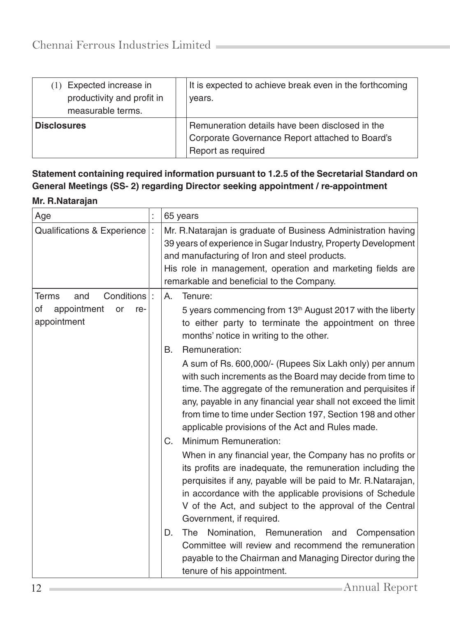| Expected increase in<br>productivity and profit in<br>measurable terms. | It is expected to achieve break even in the forthcoming<br>years.                                                        |
|-------------------------------------------------------------------------|--------------------------------------------------------------------------------------------------------------------------|
| <b>Disclosures</b>                                                      | Remuneration details have been disclosed in the<br>Corporate Governance Report attached to Board's<br>Report as required |

**Statement containing required information pursuant to 1.2.5 of the Secretarial Standard on General Meetings (SS- 2) regarding Director seeking appointment / re-appointment**

## **Mr. R.Natarajan**

| Age                                           | t | 65 years                                                                                                                                                                                                                                                                                                                                                                                     |  |
|-----------------------------------------------|---|----------------------------------------------------------------------------------------------------------------------------------------------------------------------------------------------------------------------------------------------------------------------------------------------------------------------------------------------------------------------------------------------|--|
| Qualifications & Experience                   |   | Mr. R. Natarajan is graduate of Business Administration having<br>39 years of experience in Sugar Industry, Property Development<br>and manufacturing of Iron and steel products.<br>His role in management, operation and marketing fields are<br>remarkable and beneficial to the Company.                                                                                                 |  |
| Conditions<br>Terms<br>and                    |   | Tenure:<br>А.                                                                                                                                                                                                                                                                                                                                                                                |  |
| of<br>appointment<br>or<br>re-<br>appointment |   | 5 years commencing from 13 <sup>th</sup> August 2017 with the liberty<br>to either party to terminate the appointment on three<br>months' notice in writing to the other.                                                                                                                                                                                                                    |  |
|                                               |   | Remuneration:<br>В.<br>A sum of Rs. 600,000/- (Rupees Six Lakh only) per annum<br>with such increments as the Board may decide from time to<br>time. The aggregate of the remuneration and perquisites if<br>any, payable in any financial year shall not exceed the limit<br>from time to time under Section 197, Section 198 and other<br>applicable provisions of the Act and Rules made. |  |
|                                               |   | Minimum Remuneration:<br>C.<br>When in any financial year, the Company has no profits or<br>its profits are inadequate, the remuneration including the<br>perquisites if any, payable will be paid to Mr. R. Natarajan,<br>in accordance with the applicable provisions of Schedule<br>V of the Act, and subject to the approval of the Central<br>Government, if required.                  |  |
|                                               |   | Nomination, Remuneration and Compensation<br>D.<br>The<br>Committee will review and recommend the remuneration<br>payable to the Chairman and Managing Director during the<br>tenure of his appointment.                                                                                                                                                                                     |  |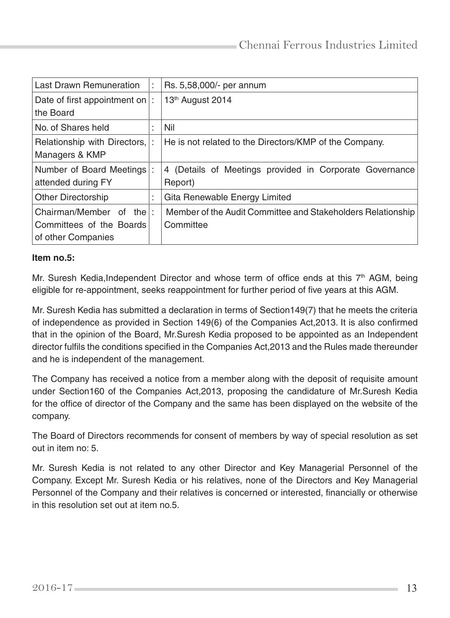| <b>Last Drawn Remuneration</b> | ÷                 | Rs. 5,58,000/- per annum                                    |
|--------------------------------|-------------------|-------------------------------------------------------------|
| Date of first appointment on   |                   | 13th August 2014                                            |
| the Board                      |                   |                                                             |
| No. of Shares held             | ٠                 | Nil                                                         |
| Relationship with Directors,   |                   | He is not related to the Directors/KMP of the Company.      |
| Managers & KMP                 |                   |                                                             |
| Number of Board Meetings       |                   | 4 (Details of Meetings provided in Corporate Governance     |
| attended during FY             |                   | Report)                                                     |
| <b>Other Directorship</b>      | ٠<br>$\mathbf{r}$ | Gita Renewable Energy Limited                               |
| Chairman/Member of the         | ÷                 | Member of the Audit Committee and Stakeholders Relationship |
| Committees of the Boards       |                   | Committee                                                   |
| of other Companies             |                   |                                                             |

#### **Item no.5:**

Mr. Suresh Kedia, Independent Director and whose term of office ends at this  $7<sup>th</sup>$  AGM, being eligible for re-appointment, seeks reappointment for further period of five years at this AGM.

Mr. Suresh Kedia has submitted a declaration in terms of Section149(7) that he meets the criteria of independence as provided in Section 149(6) of the Companies Act,2013. It is also confirmed that in the opinion of the Board, Mr.Suresh Kedia proposed to be appointed as an Independent director fulfils the conditions specified in the Companies Act,2013 and the Rules made thereunder and he is independent of the management.

The Company has received a notice from a member along with the deposit of requisite amount under Section160 of the Companies Act,2013, proposing the candidature of Mr.Suresh Kedia for the office of director of the Company and the same has been displayed on the website of the company.

The Board of Directors recommends for consent of members by way of special resolution as set out in item no: 5.

Mr. Suresh Kedia is not related to any other Director and Key Managerial Personnel of the Company. Except Mr. Suresh Kedia or his relatives, none of the Directors and Key Managerial Personnel of the Company and their relatives is concerned or interested, financially or otherwise in this resolution set out at item no.5.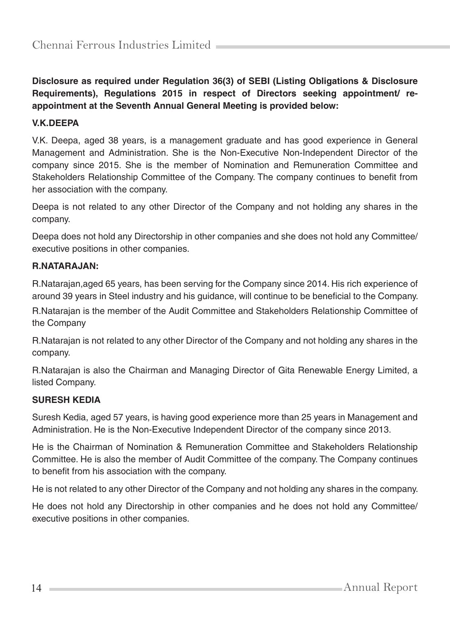**Disclosure as required under Regulation 36(3) of SEBI (Listing Obligations & Disclosure Requirements), Regulations 2015 in respect of Directors seeking appointment/ reappointment at the Seventh Annual General Meeting is provided below:**

#### **V.K.DEEPA**

V.K. Deepa, aged 38 years, is a management graduate and has good experience in General Management and Administration. She is the Non-Executive Non-Independent Director of the company since 2015. She is the member of Nomination and Remuneration Committee and Stakeholders Relationship Committee of the Company. The company continues to benefit from her association with the company.

Deepa is not related to any other Director of the Company and not holding any shares in the company.

Deepa does not hold any Directorship in other companies and she does not hold any Committee/ executive positions in other companies.

#### **R.NATARAJAN:**

R.Natarajan,aged 65 years, has been serving for the Company since 2014. His rich experience of around 39 years in Steel industry and his guidance, will continue to be beneficial to the Company.

R.Natarajan is the member of the Audit Committee and Stakeholders Relationship Committee of the Company

R.Natarajan is not related to any other Director of the Company and not holding any shares in the company.

R.Natarajan is also the Chairman and Managing Director of Gita Renewable Energy Limited, a listed Company.

#### **SURESH KEDIA**

Suresh Kedia, aged 57 years, is having good experience more than 25 years in Management and Administration. He is the Non-Executive Independent Director of the company since 2013.

He is the Chairman of Nomination & Remuneration Committee and Stakeholders Relationship Committee. He is also the member of Audit Committee of the company. The Company continues to benefit from his association with the company.

He is not related to any other Director of the Company and not holding any shares in the company.

He does not hold any Directorship in other companies and he does not hold any Committee/ executive positions in other companies.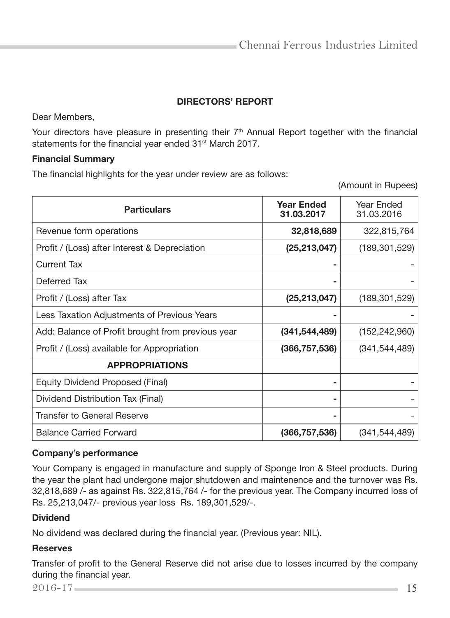## DIRECTORS' REPORT

Dear Members,

Your directors have pleasure in presenting their  $7<sup>th</sup>$  Annual Report together with the financial statements for the financial year ended 31<sup>st</sup> March 2017.

#### Financial Summary

The financial highlights for the year under review are as follows:

(Amount in Rupees)

| <b>Particulars</b>                                | <b>Year Ended</b><br>31.03.2017 | Year Ended<br>31.03.2016 |
|---------------------------------------------------|---------------------------------|--------------------------|
| Revenue form operations                           | 32,818,689                      | 322,815,764              |
| Profit / (Loss) after Interest & Depreciation     | (25, 213, 047)                  | (189, 301, 529)          |
| Current Tax                                       |                                 |                          |
| Deferred Tax                                      |                                 |                          |
| Profit / (Loss) after Tax                         | (25, 213, 047)                  | (189, 301, 529)          |
| Less Taxation Adjustments of Previous Years       |                                 |                          |
| Add: Balance of Profit brought from previous year | (341, 544, 489)                 | (152, 242, 960)          |
| Profit / (Loss) available for Appropriation       | (366, 757, 536)                 | (341, 544, 489)          |
| <b>APPROPRIATIONS</b>                             |                                 |                          |
| Equity Dividend Proposed (Final)                  | ۰                               |                          |
| Dividend Distribution Tax (Final)                 | ۰                               |                          |
| Transfer to General Reserve                       |                                 |                          |
| <b>Balance Carried Forward</b>                    | (366, 757, 536)                 | (341, 544, 489)          |

#### Company's performance

Your Company is engaged in manufacture and supply of Sponge Iron & Steel products. During the year the plant had undergone major shutdowen and maintenence and the turnover was Rs. 32,818,689 /- as against Rs. 322,815,764 /- for the previous year. The Company incurred loss of Rs. 25,213,047/- previous year loss Rs. 189,301,529/-.

#### **Dividend**

No dividend was declared during the financial year. (Previous year: NIL).

#### Reserves

Transfer of profit to the General Reserve did not arise due to losses incurred by the company during the financial year.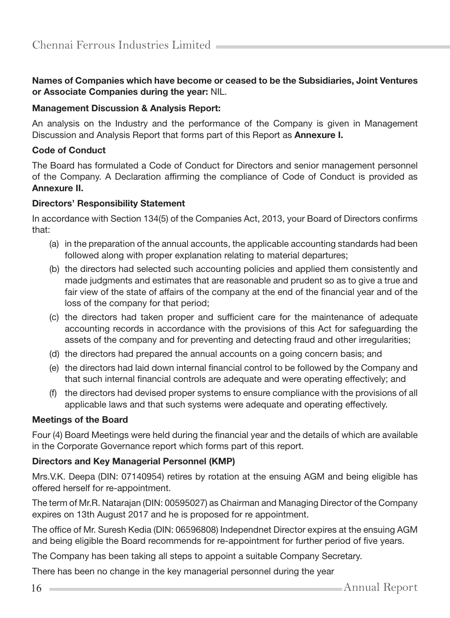#### Names of Companies which have become or ceased to be the Subsidiaries, Joint Ventures or Associate Companies during the year: NIL.

#### Management Discussion & Analysis Report:

An analysis on the Industry and the performance of the Company is given in Management Discussion and Analysis Report that forms part of this Report as Annexure I.

#### Code of Conduct

The Board has formulated a Code of Conduct for Directors and senior management personnel of the Company. A Declaration affirming the compliance of Code of Conduct is provided as Annexure II.

#### Directors' Responsibility Statement

In accordance with Section 134(5) of the Companies Act, 2013, your Board of Directors confirms that:

- (a) in the preparation of the annual accounts, the applicable accounting standards had been followed along with proper explanation relating to material departures;
- (b) the directors had selected such accounting policies and applied them consistently and made judgments and estimates that are reasonable and prudent so as to give a true and fair view of the state of affairs of the company at the end of the financial year and of the loss of the company for that period;
- (c) the directors had taken proper and sufficient care for the maintenance of adequate accounting records in accordance with the provisions of this Act for safeguarding the assets of the company and for preventing and detecting fraud and other irregularities;
- (d) the directors had prepared the annual accounts on a going concern basis; and
- (e) the directors had laid down internal financial control to be followed by the Company and that such internal financial controls are adequate and were operating effectively; and
- (f) the directors had devised proper systems to ensure compliance with the provisions of all applicable laws and that such systems were adequate and operating effectively.

#### Meetings of the Board

Four (4) Board Meetings were held during the financial year and the details of which are available in the Corporate Governance report which forms part of this report.

#### Directors and Key Managerial Personnel (KMP)

Mrs.V.K. Deepa (DIN: 07140954) retires by rotation at the ensuing AGM and being eligible has offered herself for re-appointment.

The term of Mr.R. Natarajan (DIN: 00595027) as Chairman and Managing Director of the Company expires on 13th August 2017 and he is proposed for re appointment.

The office of Mr. Suresh Kedia (DIN: 06596808) Independnet Director expires at the ensuing AGM and being eligible the Board recommends for re-appointment for further period of five years.

The Company has been taking all steps to appoint a suitable Company Secretary.

There has been no change in the key managerial personnel during the year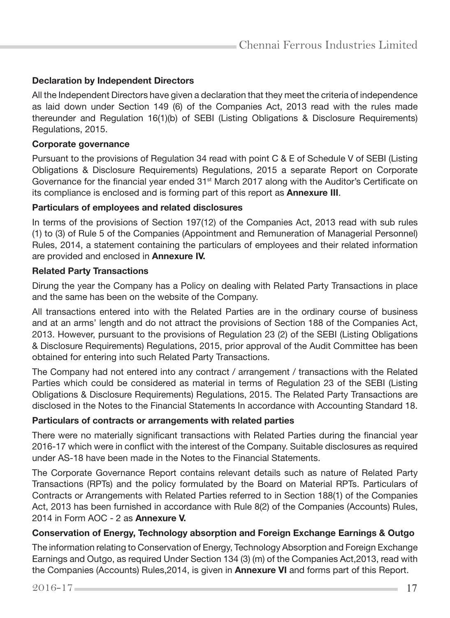#### Declaration by Independent Directors

All the Independent Directors have given a declaration that they meet the criteria of independence as laid down under Section 149 (6) of the Companies Act, 2013 read with the rules made thereunder and Regulation 16(1)(b) of SEBI (Listing Obligations & Disclosure Requirements) Regulations, 2015.

#### Corporate governance

Pursuant to the provisions of Regulation 34 read with point C & E of Schedule V of SEBI (Listing Obligations & Disclosure Requirements) Regulations, 2015 a separate Report on Corporate Governance for the financial year ended 31<sup>st</sup> March 2017 along with the Auditor's Certificate on its compliance is enclosed and is forming part of this report as Annexure III.

#### Particulars of employees and related disclosures

In terms of the provisions of Section 197(12) of the Companies Act, 2013 read with sub rules (1) to (3) of Rule 5 of the Companies (Appointment and Remuneration of Managerial Personnel) Rules, 2014, a statement containing the particulars of employees and their related information are provided and enclosed in Annexure IV.

#### Related Party Transactions

Dirung the year the Company has a Policy on dealing with Related Party Transactions in place and the same has been on the website of the Company.

All transactions entered into with the Related Parties are in the ordinary course of business and at an arms' length and do not attract the provisions of Section 188 of the Companies Act, 2013. However, pursuant to the provisions of Regulation 23 (2) of the SEBI (Listing Obligations & Disclosure Requirements) Regulations, 2015, prior approval of the Audit Committee has been obtained for entering into such Related Party Transactions.

The Company had not entered into any contract / arrangement / transactions with the Related Parties which could be considered as material in terms of Regulation 23 of the SEBI (Listing Obligations & Disclosure Requirements) Regulations, 2015. The Related Party Transactions are disclosed in the Notes to the Financial Statements In accordance with Accounting Standard 18.

#### Particulars of contracts or arrangements with related parties

There were no materially significant transactions with Related Parties during the financial year 2016-17 which were in conflict with the interest of the Company. Suitable disclosures as required under AS-18 have been made in the Notes to the Financial Statements.

The Corporate Governance Report contains relevant details such as nature of Related Party Transactions (RPTs) and the policy formulated by the Board on Material RPTs. Particulars of Contracts or Arrangements with Related Parties referred to in Section 188(1) of the Companies Act, 2013 has been furnished in accordance with Rule 8(2) of the Companies (Accounts) Rules, 2014 in Form AOC - 2 as Annexure V.

#### Conservation of Energy, Technology absorption and Foreign Exchange Earnings & Outgo

The information relating to Conservation of Energy, Technology Absorption and Foreign Exchange Earnings and Outgo, as required Under Section 134 (3) (m) of the Companies Act,2013, read with the Companies (Accounts) Rules,2014, is given in Annexure VI and forms part of this Report.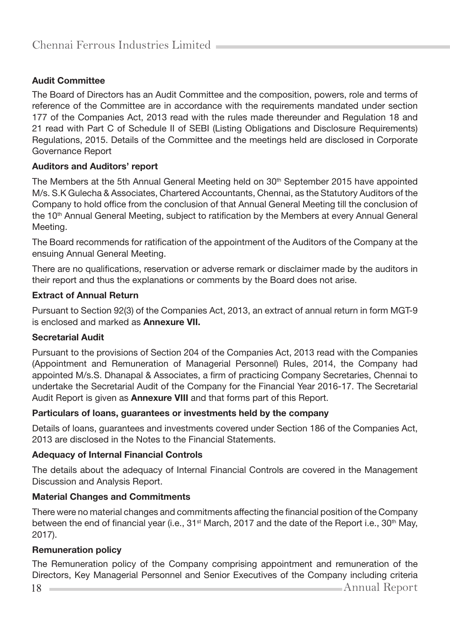### Audit Committee

The Board of Directors has an Audit Committee and the composition, powers, role and terms of reference of the Committee are in accordance with the requirements mandated under section 177 of the Companies Act, 2013 read with the rules made thereunder and Regulation 18 and 21 read with Part C of Schedule II of SEBI (Listing Obligations and Disclosure Requirements) Regulations, 2015. Details of the Committee and the meetings held are disclosed in Corporate Governance Report

#### Auditors and Auditors' report

The Members at the 5th Annual General Meeting held on 30<sup>th</sup> September 2015 have appointed M/s. S.K Gulecha & Associates, Chartered Accountants, Chennai, as the Statutory Auditors of the Company to hold office from the conclusion of that Annual General Meeting till the conclusion of the 10<sup>th</sup> Annual General Meeting, subject to ratification by the Members at every Annual General Meeting.

The Board recommends for ratification of the appointment of the Auditors of the Company at the ensuing Annual General Meeting.

There are no qualifications, reservation or adverse remark or disclaimer made by the auditors in their report and thus the explanations or comments by the Board does not arise.

#### Extract of Annual Return

Pursuant to Section 92(3) of the Companies Act, 2013, an extract of annual return in form MGT-9 is enclosed and marked as Annexure VII.

#### Secretarial Audit

Pursuant to the provisions of Section 204 of the Companies Act, 2013 read with the Companies (Appointment and Remuneration of Managerial Personnel) Rules, 2014, the Company had appointed M/s.S. Dhanapal & Associates, a firm of practicing Company Secretaries, Chennai to undertake the Secretarial Audit of the Company for the Financial Year 2016-17. The Secretarial Audit Report is given as **Annexure VIII** and that forms part of this Report.

#### Particulars of loans, guarantees or investments held by the company

Details of loans, guarantees and investments covered under Section 186 of the Companies Act, 2013 are disclosed in the Notes to the Financial Statements.

#### Adequacy of Internal Financial Controls

The details about the adequacy of Internal Financial Controls are covered in the Management Discussion and Analysis Report.

#### Material Changes and Commitments

There were no material changes and commitments affecting the financial position of the Company between the end of financial year (i.e., 31<sup>st</sup> March, 2017 and the date of the Report i.e., 30<sup>th</sup> May, 2017).

#### Remuneration policy

The Remuneration policy of the Company comprising appointment and remuneration of the Directors, Key Managerial Personnel and Senior Executives of the Company including criteria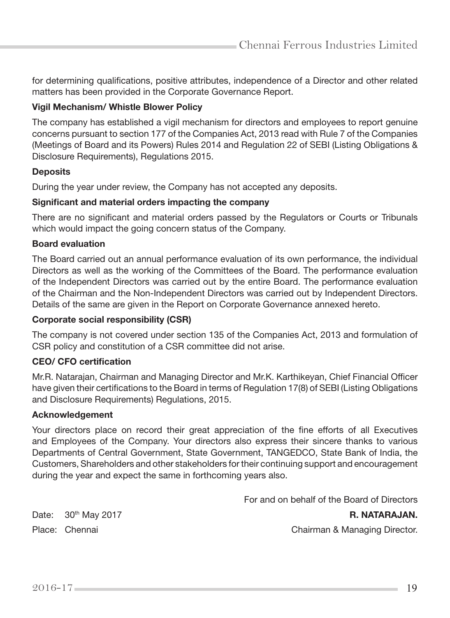for determining qualifications, positive attributes, independence of a Director and other related matters has been provided in the Corporate Governance Report.

#### Vigil Mechanism/ Whistle Blower Policy

The company has established a vigil mechanism for directors and employees to report genuine concerns pursuant to section 177 of the Companies Act, 2013 read with Rule 7 of the Companies (Meetings of Board and its Powers) Rules 2014 and Regulation 22 of SEBI (Listing Obligations & Disclosure Requirements), Regulations 2015.

#### **Deposits**

During the year under review, the Company has not accepted any deposits.

#### Significant and material orders impacting the company

There are no significant and material orders passed by the Regulators or Courts or Tribunals which would impact the going concern status of the Company.

#### Board evaluation

The Board carried out an annual performance evaluation of its own performance, the individual Directors as well as the working of the Committees of the Board. The performance evaluation of the Independent Directors was carried out by the entire Board. The performance evaluation of the Chairman and the Non-Independent Directors was carried out by Independent Directors. Details of the same are given in the Report on Corporate Governance annexed hereto.

#### Corporate social responsibility (CSR)

The company is not covered under section 135 of the Companies Act, 2013 and formulation of CSR policy and constitution of a CSR committee did not arise.

#### CEO/ CFO certification

Mr.R. Natarajan, Chairman and Managing Director and Mr.K. Karthikeyan, Chief Financial Officer have given their certifications to the Board in terms of Regulation 17(8) of SEBI (Listing Obligations and Disclosure Requirements) Regulations, 2015.

#### Acknowledgement

Your directors place on record their great appreciation of the fine efforts of all Executives and Employees of the Company. Your directors also express their sincere thanks to various Departments of Central Government, State Government, TANGEDCO, State Bank of India, the Customers, Shareholders and other stakeholders for their continuing support and encouragement during the year and expect the same in forthcoming years also.

For and on behalf of the Board of Directors

Date: 30<sup>th</sup> May 2017 **R. NATARAJAN.** 

Place: Chennai Chairman & Managing Director.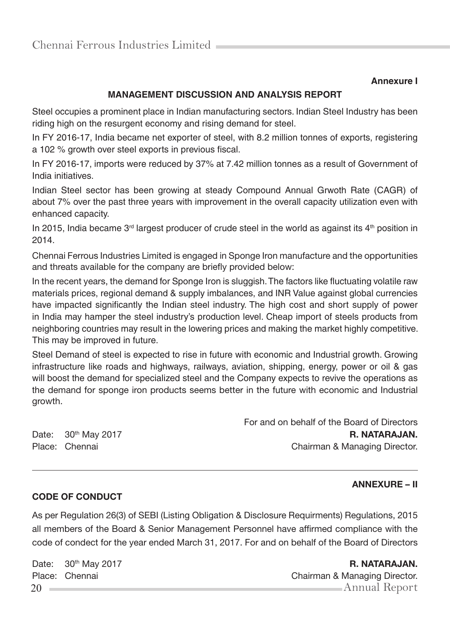#### **Annexure I**

## **MANAGEMENT DISCUSSION AND ANALYSIS REPORT**

Steel occupies a prominent place in Indian manufacturing sectors. Indian Steel Industry has been riding high on the resurgent economy and rising demand for steel.

In FY 2016-17, India became net exporter of steel, with 8.2 million tonnes of exports, registering a 102 % growth over steel exports in previous fiscal.

In FY 2016-17, imports were reduced by 37% at 7.42 million tonnes as a result of Government of India initiatives.

Indian Steel sector has been growing at steady Compound Annual Grwoth Rate (CAGR) of about 7% over the past three years with improvement in the overall capacity utilization even with enhanced capacity.

In 2015, India became  $3<sup>rd</sup>$  largest producer of crude steel in the world as against its  $4<sup>th</sup>$  position in 2014.

Chennai Ferrous Industries Limited is engaged in Sponge Iron manufacture and the opportunities and threats available for the company are briefly provided below:

In the recent years, the demand for Sponge Iron is sluggish. The factors like fluctuating volatile raw materials prices, regional demand & supply imbalances, and INR Value against global currencies have impacted significantly the Indian steel industry. The high cost and short supply of power in India may hamper the steel industry's production level. Cheap import of steels products from neighboring countries may result in the lowering prices and making the market highly competitive. This may be improved in future.

Steel Demand of steel is expected to rise in future with economic and Industrial growth. Growing infrastructure like roads and highways, railways, aviation, shipping, energy, power or oil & gas will boost the demand for specialized steel and the Company expects to revive the operations as the demand for sponge iron products seems better in the future with economic and Industrial growth.

|                       | For and on behalf of the Board of Directors |
|-----------------------|---------------------------------------------|
| Date: $30th$ May 2017 | R. NATARAJAN.                               |
| Place: Chennai        | Chairman & Managing Director.               |

#### ANNEXURE – II

#### CODE OF CONDUCT

As per Regulation 26(3) of SEBI (Listing Obligation & Disclosure Requirments) Regulations, 2015 all members of the Board & Senior Management Personnel have affirmed compliance with the code of condect for the year ended March 31, 2017. For and on behalf of the Board of Directors

Date: 30<sup>th</sup> May 2017 **R. NATARAJAN.** 

20 Annual Report Place: Chennai Chairman & Managing Director.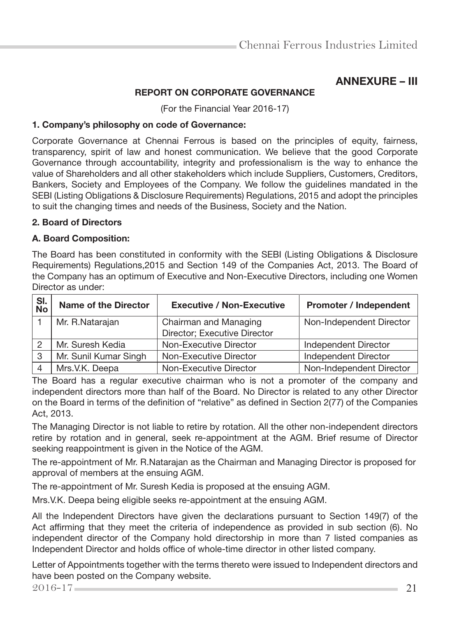## ANNEXURE – III

#### REPORT ON CORPORATE GOVERNANCE

(For the Financial Year 2016-17)

#### 1. Company's philosophy on code of Governance:

Corporate Governance at Chennai Ferrous is based on the principles of equity, fairness, transparency, spirit of law and honest communication. We believe that the good Corporate Governance through accountability, integrity and professionalism is the way to enhance the value of Shareholders and all other stakeholders which include Suppliers, Customers, Creditors, Bankers, Society and Employees of the Company. We follow the guidelines mandated in the SEBI (Listing Obligations & Disclosure Requirements) Regulations, 2015 and adopt the principles to suit the changing times and needs of the Business, Society and the Nation.

#### 2. Board of Directors

#### A. Board Composition:

The Board has been constituted in conformity with the SEBI (Listing Obligations & Disclosure Requirements) Regulations,2015 and Section 149 of the Companies Act, 2013. The Board of the Company has an optimum of Executive and Non-Executive Directors, including one Women Director as under:

| SI.<br>No | <b>Name of the Director</b> | <b>Executive / Non-Executive</b> | <b>Promoter / Independent</b> |
|-----------|-----------------------------|----------------------------------|-------------------------------|
|           | Mr. R.Natarajan             | Chairman and Managing            | Non-Independent Director      |
|           |                             | Director; Executive Director     |                               |
|           | Mr. Suresh Kedia            | Non-Executive Director           | Independent Director          |
| 3         | Mr. Sunil Kumar Singh       | Non-Executive Director           | Independent Director          |
|           | Mrs.V.K. Deepa              | Non-Executive Director           | Non-Independent Director      |

The Board has a regular executive chairman who is not a promoter of the company and independent directors more than half of the Board. No Director is related to any other Director on the Board in terms of the definition of "relative" as defined in Section 2(77) of the Companies Act, 2013.

The Managing Director is not liable to retire by rotation. All the other non-independent directors retire by rotation and in general, seek re-appointment at the AGM. Brief resume of Director seeking reappointment is given in the Notice of the AGM.

The re-appointment of Mr. R.Natarajan as the Chairman and Managing Director is proposed for approval of members at the ensuing AGM.

The re-appointment of Mr. Suresh Kedia is proposed at the ensuing AGM.

Mrs.V.K. Deepa being eligible seeks re-appointment at the ensuing AGM.

All the Independent Directors have given the declarations pursuant to Section 149(7) of the Act affirming that they meet the criteria of independence as provided in sub section (6). No independent director of the Company hold directorship in more than 7 listed companies as Independent Director and holds office of whole-time director in other listed company.

Letter of Appointments together with the terms thereto were issued to Independent directors and have been posted on the Company website.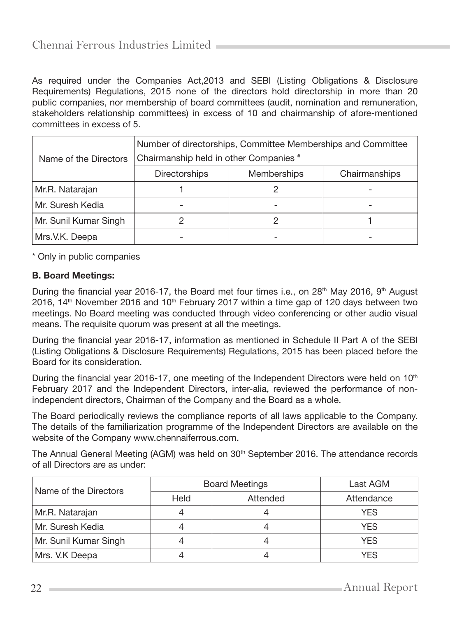As required under the Companies Act,2013 and SEBI (Listing Obligations & Disclosure Requirements) Regulations, 2015 none of the directors hold directorship in more than 20 public companies, nor membership of board committees (audit, nomination and remuneration, stakeholders relationship committees) in excess of 10 and chairmanship of afore-mentioned committees in excess of 5.

| Name of the Directors | Number of directorships, Committee Memberships and Committee<br>Chairmanship held in other Companies # |  |               |  |  |  |
|-----------------------|--------------------------------------------------------------------------------------------------------|--|---------------|--|--|--|
|                       | <b>Memberships</b><br><b>Directorships</b>                                                             |  | Chairmanships |  |  |  |
| Mr.R. Natarajan       |                                                                                                        |  |               |  |  |  |
| Mr. Suresh Kedia      |                                                                                                        |  |               |  |  |  |
| Mr. Sunil Kumar Singh |                                                                                                        |  |               |  |  |  |
| Mrs.V.K. Deepa        |                                                                                                        |  |               |  |  |  |

\* Only in public companies

#### B. Board Meetings:

During the financial year 2016-17, the Board met four times i.e., on  $28<sup>th</sup>$  May 2016, 9<sup>th</sup> August 2016,  $14<sup>th</sup>$  November 2016 and  $10<sup>th</sup>$  February 2017 within a time gap of 120 days between two meetings. No Board meeting was conducted through video conferencing or other audio visual means. The requisite quorum was present at all the meetings.

During the financial year 2016-17, information as mentioned in Schedule II Part A of the SEBI (Listing Obligations & Disclosure Requirements) Regulations, 2015 has been placed before the Board for its consideration.

During the financial year 2016-17, one meeting of the Independent Directors were held on  $10<sup>th</sup>$ February 2017 and the Independent Directors, inter-alia, reviewed the performance of nonindependent directors, Chairman of the Company and the Board as a whole.

The Board periodically reviews the compliance reports of all laws applicable to the Company. The details of the familiarization programme of the Independent Directors are available on the website of the Company www.chennaiferrous.com.

The Annual General Meeting (AGM) was held on 30<sup>th</sup> September 2016. The attendance records of all Directors are as under:

| Name of the Directors |      | <b>Board Meetings</b> | Last AGM   |
|-----------------------|------|-----------------------|------------|
|                       | Held | Attended              | Attendance |
| Mr.R. Natarajan       |      |                       | <b>YES</b> |
| Mr. Suresh Kedia      |      |                       | <b>YES</b> |
| Mr. Sunil Kumar Singh |      |                       | <b>YES</b> |
| Mrs. V.K Deepa        |      |                       | YFS        |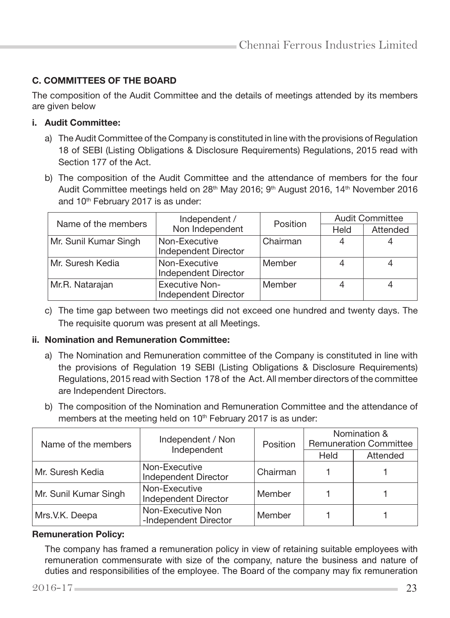## C. COMMITTEES OF THE BOARD

The composition of the Audit Committee and the details of meetings attended by its members are given below

#### i. Audit Committee:

- a) The Audit Committee of the Company is constituted in line with the provisions of Regulation 18 of SEBI (Listing Obligations & Disclosure Requirements) Regulations, 2015 read with Section 177 of the Act.
- b) The composition of the Audit Committee and the attendance of members for the four Audit Committee meetings held on 28th May 2016; 9th August 2016, 14th November 2016 and 10<sup>th</sup> February 2017 is as under:

| Name of the members   | Independent /                                 | Position | <b>Audit Committee</b> |          |
|-----------------------|-----------------------------------------------|----------|------------------------|----------|
|                       | Non Independent                               |          | Held                   | Attended |
| Mr. Sunil Kumar Singh | Non-Executive                                 | Chairman |                        |          |
|                       | Independent Director                          |          |                        |          |
| Mr. Suresh Kedia      | Non-Executive<br>Independent Director         | Member   |                        |          |
| Mr.R. Natarajan       | <b>Executive Non-</b><br>Independent Director | Member   |                        |          |

c) The time gap between two meetings did not exceed one hundred and twenty days. The The requisite quorum was present at all Meetings.

#### ii. Nomination and Remuneration Committee:

- a) The Nomination and Remuneration committee of the Company is constituted in line with the provisions of Regulation 19 SEBI (Listing Obligations & Disclosure Requirements) Regulations, 2015 read with Section 178 of the Act. All member directors of the committee are Independent Directors.
- b) The composition of the Nomination and Remuneration Committee and the attendance of members at the meeting held on 10<sup>th</sup> February 2017 is as under:

| Name of the members   | Independent / Non<br>Independent           | Position | Nomination &<br><b>Remuneration Committee</b> |          |
|-----------------------|--------------------------------------------|----------|-----------------------------------------------|----------|
|                       |                                            |          | Held                                          | Attended |
| Mr. Suresh Kedia      | Non-Executive<br>Independent Director      | Chairman |                                               |          |
| Mr. Sunil Kumar Singh | Non-Executive<br>Independent Director      | Member   |                                               |          |
| Mrs.V.K. Deepa        | Non-Executive Non<br>-Independent Director | Member   |                                               |          |

#### Remuneration Policy:

The company has framed a remuneration policy in view of retaining suitable employees with remuneration commensurate with size of the company, nature the business and nature of duties and responsibilities of the employee. The Board of the company may fix remuneration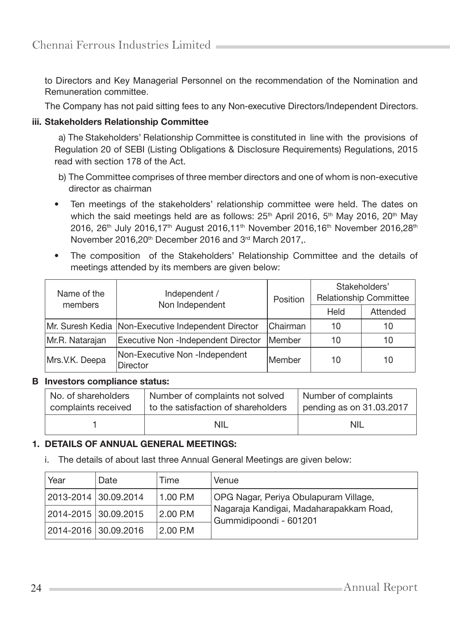to Directors and Key Managerial Personnel on the recommendation of the Nomination and Remuneration committee.

The Company has not paid sitting fees to any Non-executive Directors/Independent Directors.

#### iii. Stakeholders Relationship Committee

a) The Stakeholders' Relationship Committee is constituted in line with the provisions of Regulation 20 of SEBI (Listing Obligations & Disclosure Requirements) Regulations, 2015 read with section 178 of the Act.

- b) The Committee comprises of three member directors and one of whom is non-executive director as chairman
- Ten meetings of the stakeholders' relationship committee were held. The dates on which the said meetings held are as follows:  $25<sup>th</sup>$  April 2016,  $5<sup>th</sup>$  May 2016, 20<sup>th</sup> May 2016, 26<sup>th</sup> July 2016,17<sup>th</sup> August 2016,11<sup>th</sup> November 2016,16<sup>th</sup> November 2016,28<sup>th</sup> November 2016,20<sup>th</sup> December 2016 and 3<sup>rd</sup> March 2017,.
- The composition of the Stakeholders' Relationship Committee and the details of meetings attended by its members are given below:

| Name of the<br>members | Independent /<br>Non Independent                    | Position | Stakeholders'<br><b>Relationship Committee</b> |          |
|------------------------|-----------------------------------------------------|----------|------------------------------------------------|----------|
|                        |                                                     |          | Held                                           | Attended |
|                        | Mr. Suresh Kedia Non-Executive Independent Director | Chairman | 10                                             | 10       |
| Mr.R. Natarajan        | Member<br>Executive Non -Independent Director       |          | 10                                             | 10       |
| Mrs.V.K. Deepa         | Non-Executive Non -Independent<br>Director          | Member   | 10                                             | 10       |

#### B Investors compliance status:

| No. of shareholders<br>complaints received | Number of complaints not solved<br>to the satisfaction of shareholders | Number of complaints<br>pending as on 31.03.2017 |
|--------------------------------------------|------------------------------------------------------------------------|--------------------------------------------------|
|                                            |                                                                        |                                                  |
|                                            | NIL                                                                    | NIL                                              |

#### 1. DETAILS OF ANNUAL GENERAL MEETINGS:

i. The details of about last three Annual General Meetings are given below:

| Year                  | Date | Time       | Venue                                                             |
|-----------------------|------|------------|-------------------------------------------------------------------|
| 2013-2014  30.09.2014 |      | $1.00$ P.M | OPG Nagar, Periya Obulapuram Village,                             |
| 2014-2015  30.09.2015 |      | 2.00 P.M   | Nagaraja Kandigai, Madaharapakkam Road,<br>Gummidipoondi - 601201 |
| 2014-2016  30.09.2016 |      | 2.00 P.M   |                                                                   |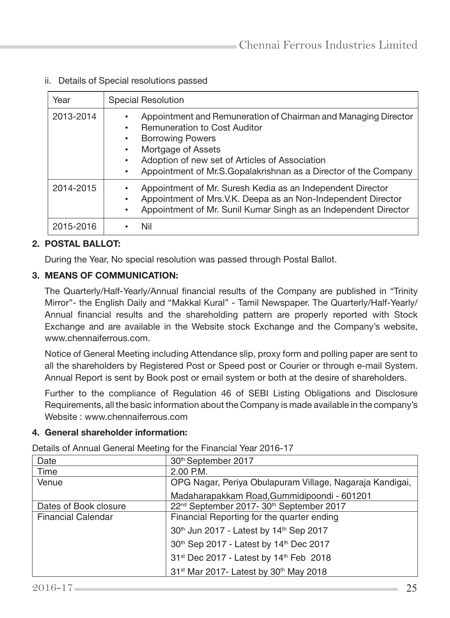ii. Details of Special resolutions passed

| Year      | <b>Special Resolution</b>                                                                                                                                                                                                                                                                |
|-----------|------------------------------------------------------------------------------------------------------------------------------------------------------------------------------------------------------------------------------------------------------------------------------------------|
| 2013-2014 | Appointment and Remuneration of Chairman and Managing Director<br><b>Remuneration to Cost Auditor</b><br><b>Borrowing Powers</b><br>Mortgage of Assets<br>Adoption of new set of Articles of Association<br>Appointment of Mr.S.Gopalakrishnan as a Director of the Company<br>$\bullet$ |
| 2014-2015 | Appointment of Mr. Suresh Kedia as an Independent Director<br>Appointment of Mrs.V.K. Deepa as an Non-Independent Director<br>Appointment of Mr. Sunil Kumar Singh as an Independent Director<br>٠                                                                                       |
| 2015-2016 | Nil                                                                                                                                                                                                                                                                                      |

## 2. POSTAL BALLOT:

During the Year, No special resolution was passed through Postal Ballot.

#### 3. MEANS OF COMMUNICATION:

 The Quarterly/Half-Yearly/Annual financial results of the Company are published in "Trinity Mirror"- the English Daily and "Makkal Kural" - Tamil Newspaper. The Quarterly/Half-Yearly/ Annual financial results and the shareholding pattern are properly reported with Stock Exchange and are available in the Website stock Exchange and the Company's website, www.chennaiferrous.com.

 Notice of General Meeting including Attendance slip, proxy form and polling paper are sent to all the shareholders by Registered Post or Speed post or Courier or through e-mail System. Annual Report is sent by Book post or email system or both at the desire of shareholders.

 Further to the compliance of Regulation 46 of SEBI Listing Obligations and Disclosure Requirements, all the basic information about the Company is made available in the company's Website : www.chennaiferrous.com

#### 4. General shareholder information:

Details of Annual General Meeting for the Financial Year 2016-17

| Date                      | 30th September 2017                                              |
|---------------------------|------------------------------------------------------------------|
| Time                      | $2.00$ P.M.                                                      |
| Venue                     | OPG Nagar, Periya Obulapuram Village, Nagaraja Kandigai,         |
|                           | Madaharapakkam Road, Gummidipoondi - 601201                      |
| Dates of Book closure     | 22 <sup>nd</sup> September 2017- 30 <sup>th</sup> September 2017 |
| <b>Financial Calendar</b> | Financial Reporting for the quarter ending                       |
|                           | 30th Jun 2017 - Latest by 14th Sep 2017                          |
|                           | 30th Sep 2017 - Latest by 14th Dec 2017                          |
|                           | 31st Dec 2017 - Latest by 14th Feb 2018                          |
|                           | 31 <sup>st</sup> Mar 2017- Latest by 30 <sup>th</sup> May 2018   |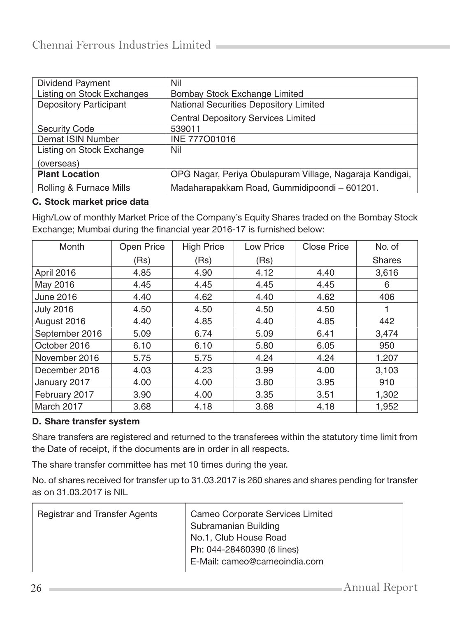| Dividend Payment                  | Nil                                                      |
|-----------------------------------|----------------------------------------------------------|
| <b>Listing on Stock Exchanges</b> | Bombay Stock Exchange Limited                            |
| <b>Depository Participant</b>     | National Securities Depository Limited                   |
|                                   | <b>Central Depository Services Limited</b>               |
| <b>Security Code</b>              | 539011                                                   |
| Demat ISIN Number                 | INE 777001016                                            |
| Listing on Stock Exchange         | Nil                                                      |
| (overseas)                        |                                                          |
| <b>Plant Location</b>             | OPG Nagar, Periya Obulapuram Village, Nagaraja Kandigai, |
| Rolling & Furnace Mills           | Madaharapakkam Road, Gummidipoondi - 601201.             |

#### C. Stock market price data

High/Low of monthly Market Price of the Company's Equity Shares traded on the Bombay Stock Exchange; Mumbai during the financial year 2016-17 is furnished below:

| Month            | Open Price | <b>High Price</b> | Low Price | Close Price | No. of        |
|------------------|------------|-------------------|-----------|-------------|---------------|
|                  | (Rs)       | (Rs)              | (Rs)      |             | <b>Shares</b> |
| April 2016       | 4.85       | 4.90              | 4.12      | 4.40        | 3,616         |
| May 2016         | 4.45       | 4.45              | 4.45      | 4.45        | 6             |
| <b>June 2016</b> | 4.40       | 4.62              | 4.40      | 4.62        | 406           |
| <b>July 2016</b> | 4.50       | 4.50              | 4.50      | 4.50        |               |
| August 2016      | 4.40       | 4.85              | 4.40      | 4.85        | 442           |
| September 2016   | 5.09       | 6.74              | 5.09      | 6.41        | 3,474         |
| October 2016     | 6.10       | 6.10              | 5.80      | 6.05        | 950           |
| November 2016    | 5.75       | 5.75              | 4.24      | 4.24        | 1,207         |
| December 2016    | 4.03       | 4.23              | 3.99      | 4.00        | 3,103         |
| January 2017     | 4.00       | 4.00              | 3.80      | 3.95        | 910           |
| February 2017    | 3.90       | 4.00              | 3.35      | 3.51        | 1,302         |
| March 2017       | 3.68       | 4.18              | 3.68      | 4.18        | 1,952         |

#### D. Share transfer system

Share transfers are registered and returned to the transferees within the statutory time limit from the Date of receipt, if the documents are in order in all respects.

The share transfer committee has met 10 times during the year.

No. of shares received for transfer up to 31.03.2017 is 260 shares and shares pending for transfer as on 31.03.2017 is NIL

| <b>Registrar and Transfer Agents</b> | Cameo Corporate Services Limited<br>Subramanian Building                            |
|--------------------------------------|-------------------------------------------------------------------------------------|
|                                      | No.1, Club House Road<br>Ph: 044-28460390 (6 lines)<br>E-Mail: cameo@cameoindia.com |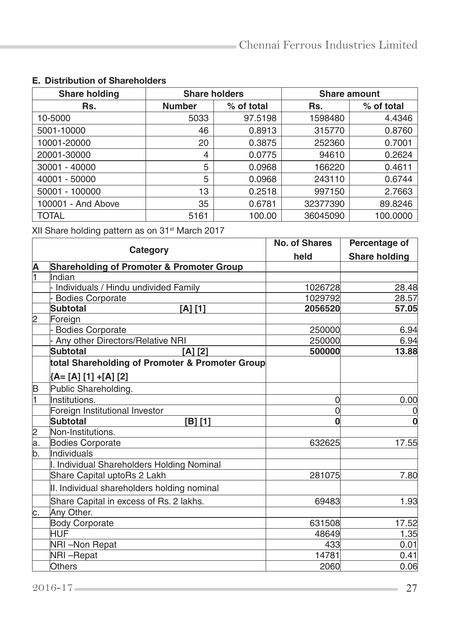| <b>Share holding</b> | <b>Share holders</b> |            | <b>Share amount</b> |            |
|----------------------|----------------------|------------|---------------------|------------|
| Rs.                  | <b>Number</b>        | % of total | Rs.                 | % of total |
| 10-5000              | 5033                 | 97.5198    | 1598480             | 4.4346     |
| 5001-10000           | 46                   | 0.8913     | 315770              | 0.8760     |
| 10001-20000          | 20                   | 0.3875     | 252360              | 0.7001     |
| 20001-30000          | 4                    | 0.0775     | 94610               | 0.2624     |
| 30001 - 40000        | 5                    | 0.0968     | 166220              | 0.4611     |
| 40001 - 50000        | 5                    | 0.0968     | 243110              | 0.6744     |
| 50001 - 100000       | 13                   | 0.2518     | 997150              | 2.7663     |
| 100001 - And Above   | 35                   | 0.6781     | 32377390            | 89.8246    |
| <b>TOTAL</b>         | 5161                 | 100.00     | 36045090            | 100.0000   |

## E. Distribution of Shareholders

XII Share holding pattern as on 31<sup>st</sup> March 2017

|                 | Category                                             | <b>No. of Shares</b> | Percentage of        |
|-----------------|------------------------------------------------------|----------------------|----------------------|
|                 |                                                      | held                 | <b>Share holding</b> |
| A               | <b>Shareholding of Promoter &amp; Promoter Group</b> |                      |                      |
| ī               | Indian                                               |                      |                      |
|                 | Individuals / Hindu undivided Family                 | 1026728              | 28.48                |
|                 | <b>Bodies Corporate</b>                              | 1029792              | 28.57                |
|                 | <b>Subtotal</b><br>[A] [1]                           | 2056520              | 57.05                |
| 2               | Foreign                                              |                      |                      |
|                 | <b>Bodies Corporate</b>                              | 250000               | 6.94                 |
|                 | Any other Directors/Relative NRI                     | 250000               | 6.94                 |
|                 | <b>Subtotal</b><br>$[A]$ $[2]$                       | 500000               | 13.88                |
|                 | total Shareholding of Promoter & Promoter Group      |                      |                      |
|                 | {A= [A] [1] +[A] [2]                                 |                      |                      |
| B               | Public Shareholding.                                 |                      |                      |
| ł1              | Institutions.                                        | 0                    | 0.00                 |
|                 | Foreign Institutional Investor                       | $\Omega$             | 0                    |
|                 | <b>Subtotal</b><br>[B] [1]                           | $\Omega$             | $\bf{0}$             |
|                 | Non-Institutions.                                    |                      |                      |
| $\frac{2}{a}$ . | <b>Bodies Corporate</b>                              | 632625               | 17.55                |
| b.              | Individuals                                          |                      |                      |
|                 | I. Individual Shareholders Holding Nominal           |                      |                      |
|                 | Share Capital uptoRs 2 Lakh                          | 281075               | 7.80                 |
|                 | II. Individual shareholders holding nominal          |                      |                      |
|                 | Share Capital in excess of Rs. 2 lakhs.              | 69483                | 1.93                 |
| c.              | Any Other.                                           |                      |                      |
|                 | <b>Body Corporate</b>                                | 631508               | 17.52                |
|                 | HUF                                                  | 48649                | 1.35                 |
|                 | NRI-Non Repat                                        | 433                  | 0.01                 |
|                 | NRI-Repat                                            | 14781                | 0.41                 |
|                 | Others                                               | 2060                 | 0.06                 |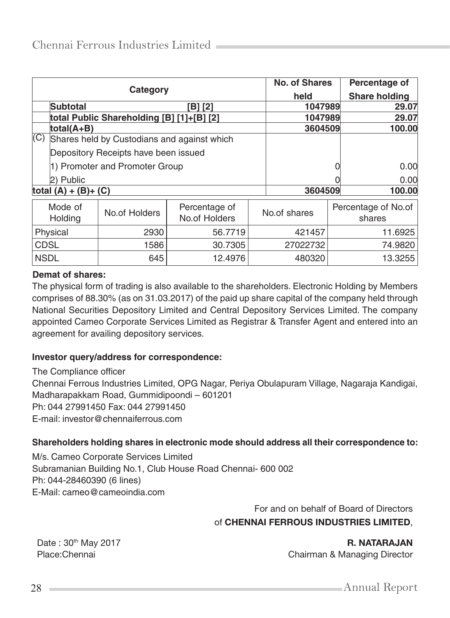|                                     | Category                |                                             |         |              | No. of Shares |                               | Percentage of |
|-------------------------------------|-------------------------|---------------------------------------------|---------|--------------|---------------|-------------------------------|---------------|
|                                     |                         |                                             |         | held         |               | <b>Share holding</b>          |               |
|                                     | <b>Subtotal</b>         |                                             | 'B1 [2] |              | 1047989       |                               | 29.07         |
|                                     |                         | total Public Shareholding [B] [1]+[B] [2]   |         |              | 1047989       |                               | 29.07         |
|                                     | total(A+B)              |                                             |         |              | 3604509       |                               | 100.00        |
| (C)                                 |                         | Shares held by Custodians and against which |         |              |               |                               |               |
|                                     |                         | Depository Receipts have been issued        |         |              |               |                               |               |
| 1) Promoter and Promoter Group      |                         |                                             |         |              |               | 0.00                          |               |
|                                     | 2) Public               |                                             |         |              |               |                               | 0.00          |
|                                     | total $(A) + (B) + (C)$ |                                             |         |              | 3604509       |                               | 100.00        |
| Mode of<br>No.of Holders<br>Holding |                         | Percentage of<br>No.of Holders              |         | No.of shares |               | Percentage of No.of<br>shares |               |
| Physical                            |                         | 2930                                        | 56.7719 |              | 421457        | 11.6925                       |               |
| <b>CDSL</b>                         |                         | 1586                                        | 30.7305 |              | 27022732      |                               | 74.9820       |
| <b>NSDL</b>                         |                         | 645                                         | 12.4976 |              | 480320        |                               | 13.3255       |

#### **Demat of shares:**

The physical form of trading is also available to the shareholders. Electronic Holding by Members comprises of 88.30% (as on 31.03.2017) of the paid up share capital of the company held through National Securities Depository Limited and Central Depository Services Limited. The company appointed Cameo Corporate Services Limited as Registrar & Transfer Agent and entered into an agreement for availing depository services.

#### **Investor query/address for correspondence:**

The Compliance officer Chennai Ferrous Industries Limited, OPG Nagar, Periya Obulapuram Village, Nagaraja Kandigai, Madharapakkam Road, Gummidipoondi – 601201 Ph: 044 27991450 Fax: 044 27991450 E-mail: investor@chennaiferrous.com

#### **Shareholders holding shares in electronic mode should address all their correspondence to:**

M/s. Cameo Corporate Services Limited Subramanian Building No.1, Club House Road Chennai- 600 002 Ph: 044-28460390 (6 lines) E-Mail: cameo@cameoindia.com

> For and on behalf of Board of Directors of CHENNAI FERROUS INDUSTRIES LIMITED,

Date : 30<sup>th</sup> May 2017 **R. NATARAJAN** Place:Chennai **Chairman & Managing Director** Chairman & Managing Director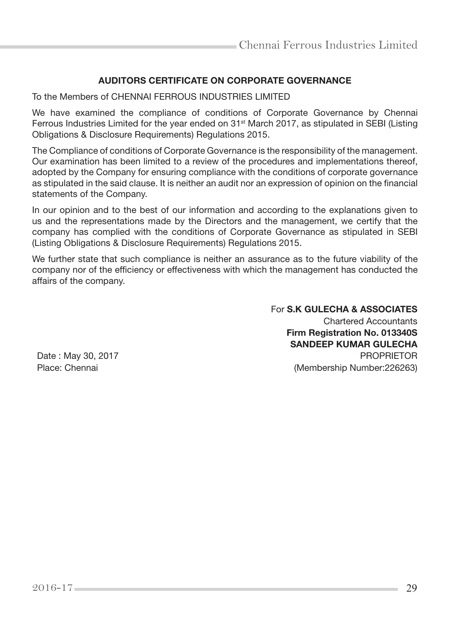## AUDITORS CERTIFICATE ON CORPORATE GOVERNANCE

To the Members of CHENNAI FERROUS INDUSTRIES LIMITED

We have examined the compliance of conditions of Corporate Governance by Chennai Ferrous Industries Limited for the year ended on 31<sup>st</sup> March 2017, as stipulated in SEBI (Listing Obligations & Disclosure Requirements) Regulations 2015.

The Compliance of conditions of Corporate Governance is the responsibility of the management. Our examination has been limited to a review of the procedures and implementations thereof, adopted by the Company for ensuring compliance with the conditions of corporate governance as stipulated in the said clause. It is neither an audit nor an expression of opinion on the financial statements of the Company.

In our opinion and to the best of our information and according to the explanations given to us and the representations made by the Directors and the management, we certify that the company has complied with the conditions of Corporate Governance as stipulated in SEBI (Listing Obligations & Disclosure Requirements) Regulations 2015.

We further state that such compliance is neither an assurance as to the future viability of the company nor of the efficiency or effectiveness with which the management has conducted the affairs of the company.

For S.K GULECHA & ASSOCIATES Chartered Accountants Firm Registration No. 013340S SANDEEP KUMAR GULECHA Date : May 30, 2017 **PROPRIETOR** Place: Chennai (Membership Number:226263)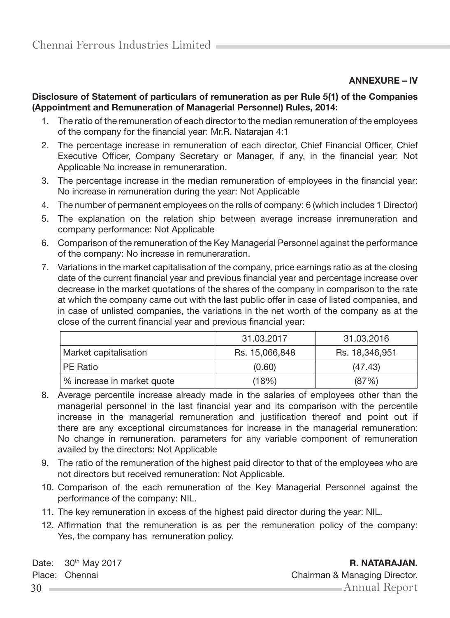## ANNEXURE – IV

#### Disclosure of Statement of particulars of remuneration as per Rule 5(1) of the Companies (Appointment and Remuneration of Managerial Personnel) Rules, 2014:

- 1. The ratio of the remuneration of each director to the median remuneration of the employees of the company for the financial year: Mr.R. Natarajan 4:1
- 2. The percentage increase in remuneration of each director, Chief Financial Officer, Chief Executive Officer, Company Secretary or Manager, if any, in the financial year: Not Applicable No increase in remuneraration.
- 3. The percentage increase in the median remuneration of employees in the financial year: No increase in remuneration during the year: Not Applicable
- 4. The number of permanent employees on the rolls of company: 6 (which includes 1 Director)
- 5. The explanation on the relation ship between average increase inremuneration and company performance: Not Applicable
- 6. Comparison of the remuneration of the Key Managerial Personnel against the performance of the company: No increase in remuneraration.
- 7. Variations in the market capitalisation of the company, price earnings ratio as at the closing date of the current financial year and previous financial year and percentage increase over decrease in the market quotations of the shares of the company in comparison to the rate at which the company came out with the last public offer in case of listed companies, and in case of unlisted companies, the variations in the net worth of the company as at the close of the current financial year and previous financial year:

|                            | 31.03.2017     | 31.03.2016     |
|----------------------------|----------------|----------------|
| Market capitalisation      | Rs. 15,066,848 | Rs. 18,346,951 |
| PE Ratio                   | (0.60)         | (47.43)        |
| % increase in market quote | (18%)          | (87%)          |

- 8. Average percentile increase already made in the salaries of employees other than the managerial personnel in the last financial year and its comparison with the percentile increase in the managerial remuneration and justification thereof and point out if there are any exceptional circumstances for increase in the managerial remuneration: No change in remuneration. parameters for any variable component of remuneration availed by the directors: Not Applicable
- 9. The ratio of the remuneration of the highest paid director to that of the employees who are not directors but received remuneration: Not Applicable.
- 10. Comparison of the each remuneration of the Key Managerial Personnel against the performance of the company: NIL.
- 11. The key remuneration in excess of the highest paid director during the year: NIL.
- 12. Affirmation that the remuneration is as per the remuneration policy of the company: Yes, the company has remuneration policy.

Date: 30<sup>th</sup> May 2017 **R. NATARAJAN.**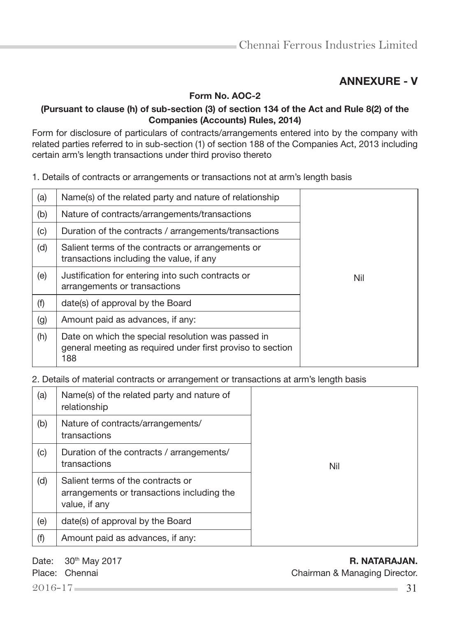## ANNEXURE - V

Form No. AOC-2

#### (Pursuant to clause (h) of sub-section (3) of section 134 of the Act and Rule 8(2) of the Companies (Accounts) Rules, 2014)

Form for disclosure of particulars of contracts/arrangements entered into by the company with related parties referred to in sub-section (1) of section 188 of the Companies Act, 2013 including certain arm's length transactions under third proviso thereto

| 1. Details of contracts or arrangements or transactions not at arm's length basis |  |  |
|-----------------------------------------------------------------------------------|--|--|
|-----------------------------------------------------------------------------------|--|--|

| (a) | Name(s) of the related party and nature of relationship                                                                 |  |  |  |
|-----|-------------------------------------------------------------------------------------------------------------------------|--|--|--|
| (b) | Nature of contracts/arrangements/transactions                                                                           |  |  |  |
| (c) | Duration of the contracts / arrangements/transactions                                                                   |  |  |  |
| (d) | Salient terms of the contracts or arrangements or<br>transactions including the value, if any                           |  |  |  |
| (e) | Justification for entering into such contracts or<br>Nil<br>arrangements or transactions                                |  |  |  |
| (f) | date(s) of approval by the Board                                                                                        |  |  |  |
| (g) | Amount paid as advances, if any:                                                                                        |  |  |  |
| (h) | Date on which the special resolution was passed in<br>general meeting as required under first proviso to section<br>188 |  |  |  |

2. Details of material contracts or arrangement or transactions at arm's length basis

| (a) | Name(s) of the related party and nature of<br>relationship                                       |     |
|-----|--------------------------------------------------------------------------------------------------|-----|
| (b) | Nature of contracts/arrangements/<br>transactions                                                |     |
| (c) | Duration of the contracts / arrangements/<br>transactions                                        | Nil |
| (d) | Salient terms of the contracts or<br>arrangements or transactions including the<br>value, if any |     |
| (e) | date(s) of approval by the Board                                                                 |     |
| (f) | Amount paid as advances, if any:                                                                 |     |

Date: 30<sup>th</sup> May 2017 **R. NATARAJAN.** 

Place: Chennai Chairman & Managing Director.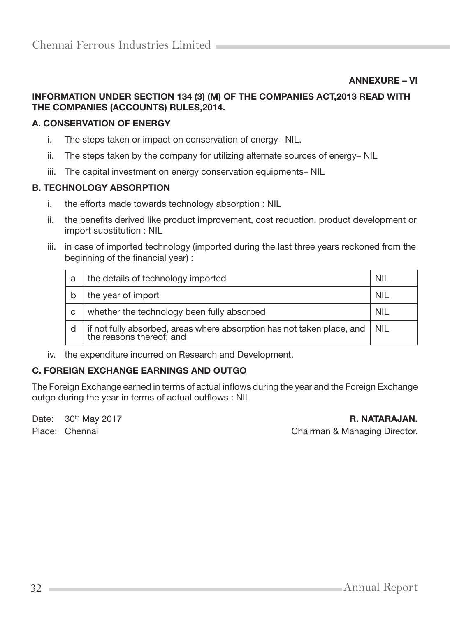ANNEXURE – VI

#### INFORMATION UNDER SECTION 134 (3) (M) OF THE COMPANIES ACT,2013 READ WITH THE COMPANIES (ACCOUNTS) RULES,2014.

#### A. CONSERVATION OF ENERGY

- i. The steps taken or impact on conservation of energy– NIL.
- ii. The steps taken by the company for utilizing alternate sources of energy– NIL
- iii. The capital investment on energy conservation equipments– NIL

#### B. TECHNOLOGY ABSORPTION

- i. the efforts made towards technology absorption : NIL
- ii. the benefits derived like product improvement, cost reduction, product development or import substitution : NIL
- iii. in case of imported technology (imported during the last three years reckoned from the beginning of the financial year) :

| a | the details of technology imported                                                                 | <b>NIL</b> |
|---|----------------------------------------------------------------------------------------------------|------------|
|   | the year of import                                                                                 | NIL        |
| C | whether the technology been fully absorbed                                                         | NIL        |
|   | if not fully absorbed, areas where absorption has not taken place, and<br>the reasons thereof; and | NIL.       |

iv. the expenditure incurred on Research and Development.

#### C. FOREIGN EXCHANGE EARNINGS AND OUTGO

The Foreign Exchange earned in terms of actual inflows during the year and the Foreign Exchange outgo during the year in terms of actual outflows : NIL

Date: 30<sup>th</sup> May 2017 **R. NATARAJAN.** Place: Chennai Chairman & Managing Director.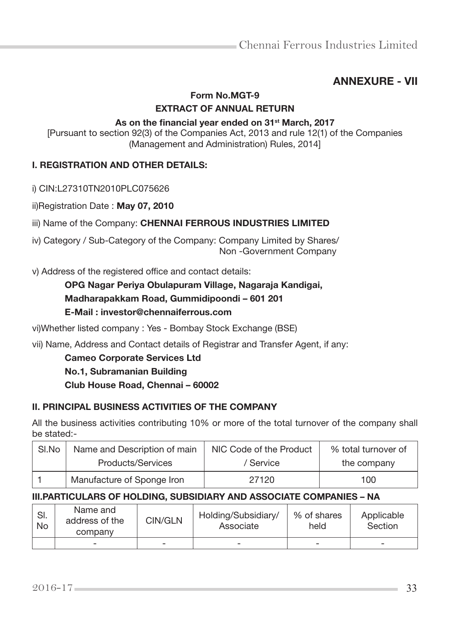## ANNEXURE - VII

#### Form No.MGT-9 EXTRACT OF ANNUAL RETURN

## As on the financial year ended on 31<sup>st</sup> March, 2017

[Pursuant to section 92(3) of the Companies Act, 2013 and rule 12(1) of the Companies (Management and Administration) Rules, 2014]

#### I. REGISTRATION AND OTHER DETAILS:

i) CIN:L27310TN2010PLC075626

ii)Registration Date : May 07, 2010

iii) Name of the Company: CHENNAI FERROUS INDUSTRIES LIMITED

iv) Category / Sub-Category of the Company: Company Limited by Shares/ Non -Government Company

v) Address of the registered office and contact details:

## OPG Nagar Periya Obulapuram Village, Nagaraja Kandigai,

## Madharapakkam Road, Gummidipoondi – 601 201

## E-Mail : investor@chennaiferrous.com

vi)Whether listed company : Yes - Bombay Stock Exchange (BSE)

vii) Name, Address and Contact details of Registrar and Transfer Agent, if any:

#### Cameo Corporate Services Ltd

#### No.1, Subramanian Building

Club House Road, Chennai – 60002

#### II. PRINCIPAL BUSINESS ACTIVITIES OF THE COMPANY

All the business activities contributing 10% or more of the total turnover of the company shall be stated:-

| SI.No | Name and Description of main | NIC Code of the Product | % total turnover of |  |
|-------|------------------------------|-------------------------|---------------------|--|
|       | Products/Services            | / Service               | the company         |  |
|       | Manufacture of Sponge Iron   | 27120                   | 100                 |  |

#### III.PARTICULARS OF HOLDING, SUBSIDIARY AND ASSOCIATE COMPANIES – NA

| SI.<br>No | Name and<br>address of the<br>company | CIN/GLN | Holding/Subsidiary/<br>Associate | % of shares<br>held      | Applicable<br>Section    |
|-----------|---------------------------------------|---------|----------------------------------|--------------------------|--------------------------|
|           | -                                     |         |                                  | $\overline{\phantom{a}}$ | $\overline{\phantom{a}}$ |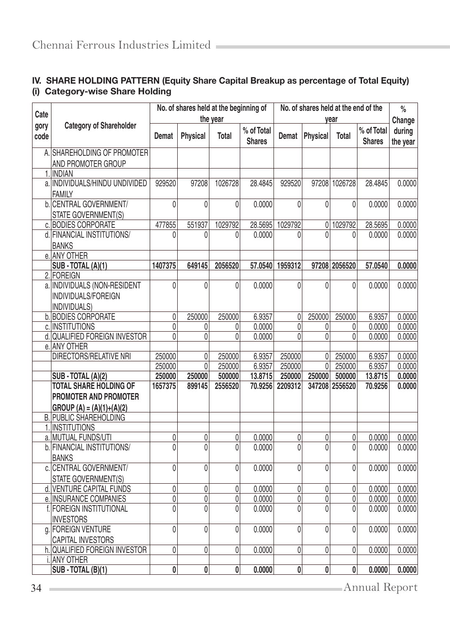# IV. SHARE HOLDING PATTERN (Equity Share Capital Breakup as percentage of Total Equity) (i) Category-wise Share Holding

|              |                                             | No. of shares held at the beginning of |                 |              | No. of shares held at the end of the |                  |                |                | $\%$                        |                    |
|--------------|---------------------------------------------|----------------------------------------|-----------------|--------------|--------------------------------------|------------------|----------------|----------------|-----------------------------|--------------------|
| Cate         |                                             |                                        |                 | the year     |                                      |                  |                | year           |                             | Change             |
| gory<br>code | <b>Category of Shareholder</b>              | Demat                                  | <b>Physical</b> | Total        | % of Total<br><b>Shares</b>          | Demat            | Physical       | Total          | % of Total<br><b>Shares</b> | during<br>the year |
|              | A. SHAREHOLDING OF PROMOTER                 |                                        |                 |              |                                      |                  |                |                |                             |                    |
|              | AND PROMOTER GROUP                          |                                        |                 |              |                                      |                  |                |                |                             |                    |
|              | 1. INDIAN<br>a. INDIVIDUALS/HINDU UNDIVIDED |                                        |                 |              |                                      |                  |                |                |                             |                    |
|              | <b>FAMILY</b>                               | 929520                                 | 97208           | 1026728      | 28.4845                              | 929520           | 97208          | 1026728        | 28.4845                     | 0.0000             |
|              | b. CENTRAL GOVERNMENT/                      | 0                                      | 0               | $\mathbf{0}$ | 0.0000                               | $\mathbf{0}$     | 0              | 0              | 0.0000                      | 0.0000             |
|              | STATE GOVERNMENT(S)                         |                                        |                 |              |                                      |                  |                |                |                             |                    |
|              | c. BODIES CORPORATE                         | 477855                                 | 551937          | 1029792      | 28.5695                              | 1029792          | 0              | 1029792        | 28.5695                     | 0.0000             |
|              | d. FINANCIAL INSTITUTIONS/<br><b>BANKS</b>  | 0                                      | 0               | 0            | 0.0000                               | 0                | $\Omega$       | 0              | 0.0000                      | 0.0000             |
|              | e. ANY OTHER                                |                                        |                 |              |                                      |                  |                |                |                             |                    |
|              | SUB - TOTAL (A)(1)                          | 1407375                                | 649145          | 2056520      | 57.0540                              | 1959312          |                | 97208 2056520  | 57.0540                     | 0.0000             |
|              | 2. FOREIGN                                  |                                        |                 |              |                                      |                  |                |                |                             |                    |
|              | a. INDIVIDUALS (NON-RESIDENT                | 0                                      | 0               | $\mathbf{0}$ | 0.0000                               | $\mathbf{0}$     | 0              | $\Omega$       | 0.0000                      | 0.0000             |
|              | INDIVIDUALS/FOREIGN                         |                                        |                 |              |                                      |                  |                |                |                             |                    |
|              | INDIVIDUALS)                                |                                        |                 |              |                                      |                  |                |                |                             |                    |
|              | b. BODIES CORPORATE                         | 0                                      | 250000          | 250000       | 6.9357                               | 0                | 250000         | 250000         | 6.9357                      | 0.0000             |
|              | c. INSTITUTIONS                             | 0                                      | 0               | 0            | 0.0000                               | 0                | 0              | 0              | 0.0000                      | 0.0000             |
|              | d. QUALIFIED FOREIGN INVESTOR               | 0                                      | 0               | 0            | 0.0000                               | 0                | 0              | 0              | 0.0000                      | 0.0000             |
|              | e. ANY OTHER                                |                                        |                 |              |                                      |                  |                |                |                             |                    |
|              | DIRECTORS/RELATIVE NRI                      | 250000                                 | 0               | 250000       | 6.9357                               | 250000           | 0              | 250000         | 6.9357                      | 0.0000             |
|              |                                             | 250000                                 | 0               | 250000       | 6.9357                               | 250000           | $\overline{0}$ | 250000         | 6.9357                      | 0.0000             |
|              | SUB - TOTAL (A)(2)                          | 250000                                 | 250000          | 500000       | 13.8715                              | 250000           | 250000         | 500000         | 13.8715                     | 0.0000             |
|              | <b>TOTAL SHARE HOLDING OF</b>               | 1657375                                | 899145          | 2556520      | 70.9256                              | 2209312          |                | 347208 2556520 | 70.9256                     | 0.0000             |
|              | PROMOTER AND PROMOTER                       |                                        |                 |              |                                      |                  |                |                |                             |                    |
|              | $GROUP(A) = (A)(1)+(A)(2)$                  |                                        |                 |              |                                      |                  |                |                |                             |                    |
|              | <b>B. PUBLIC SHAREHOLDING</b>               |                                        |                 |              |                                      |                  |                |                |                             |                    |
|              | 1. INSTITUTIONS                             |                                        |                 |              |                                      |                  |                |                |                             |                    |
|              | a. MUTUAL FUNDS/UTI                         | 0                                      | 0               | 0            | 0.0000                               | 0                | 0              | 0              | 0.0000                      | 0.0000             |
|              | b. FINANCIAL INSTITUTIONS/                  | 0                                      | $\Omega$        | $\Omega$     | 0.0000                               | 0                | $\theta$       | $\Omega$       | 0.0000                      | 0.0000             |
|              | <b>BANKS</b>                                |                                        |                 |              |                                      |                  |                |                |                             |                    |
|              | c. CENTRAL GOVERNMENT/                      | 0                                      | 0               | 0            | 0.0000                               | $\mathbf{0}$     | 0              | 0              | 0.0000                      | 0.0000             |
|              | STATE GOVERNMENT(S)                         |                                        |                 |              |                                      |                  |                |                |                             |                    |
|              | d. VENTURE CAPITAL FUNDS                    | 0                                      | 0               | 0            | 0.0000                               | 0                | 0              | 0              | 0.0000                      | 0.0000             |
|              | e. INSURANCE COMPANIES                      | 0                                      | 0               | 0            | 0.0000                               | 0                | 0              | 0              | 0.0000                      | 0.0000             |
|              | f. FOREIGN INSTITUTIONAL                    | 0                                      | 0               | $\bar{0}$    | 0.0000                               | $\overline{0}$   | $\pmb{0}$      | 0              | 0.0000                      | 0.0000             |
|              | <b>INVESTORS</b>                            |                                        |                 |              |                                      |                  |                |                |                             |                    |
|              | g. FOREIGN VENTURE                          | 0                                      | 0               | $\mathbf{0}$ | 0.0000                               | 0                | 0              | 0              | 0.0000                      | 0.0000             |
|              | <b>CAPITAL INVESTORS</b>                    |                                        |                 |              |                                      |                  |                |                |                             |                    |
|              | h. QUALIFIED FOREIGN INVESTOR               | 0                                      | 0               | 0            | 0.0000                               | 0                | 0              | 0              | 0.0000                      | 0.0000             |
|              | i. ANY OTHER                                |                                        |                 |              |                                      |                  |                |                |                             |                    |
|              | SUB - TOTAL (B)(1)                          | 0                                      | 0               | 0            | 0.0000                               | $\boldsymbol{0}$ | 0              | 0              | 0.0000                      | 0.0000             |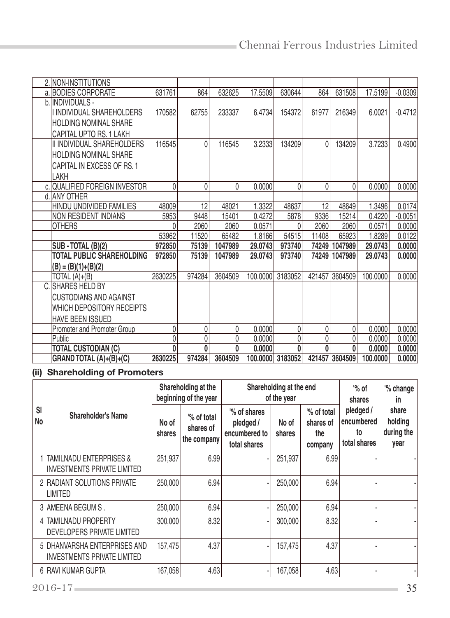| 2. NON-INSTITUTIONS              |         |        |         |          |                  |        |                |          |           |
|----------------------------------|---------|--------|---------|----------|------------------|--------|----------------|----------|-----------|
| a. BODIES CORPORATE              | 631761  | 864    | 632625  | 17.5509  | 630644           | 864    | 631508         | 17.5199  | $-0.0309$ |
| b. INDIVIDUALS -                 |         |        |         |          |                  |        |                |          |           |
| I INDIVIDUAL SHAREHOLDERS        | 170582  | 62755  | 233337  | 6.4734   | 154372           | 61977  | 216349         | 6.0021   | $-0.4712$ |
| <b>HOLDING NOMINAL SHARE</b>     |         |        |         |          |                  |        |                |          |           |
| CAPITAL UPTO RS. 1 LAKH          |         |        |         |          |                  |        |                |          |           |
| II INDIVIDUAL SHAREHOLDERS       | 116545  | 0      | 116545  | 3.2333   | 134209           | 0      | 134209         | 3.7233   | 0.4900    |
| <b>HOLDING NOMINAL SHARE</b>     |         |        |         |          |                  |        |                |          |           |
| CAPITAL IN EXCESS OF RS. 1       |         |        |         |          |                  |        |                |          |           |
| LAKH                             |         |        |         |          |                  |        |                |          |           |
| c. QUALIFIED FOREIGN INVESTOR    | 0       | 0      | 0       | 0.0000   | 0                | 0      | 0              | 0.0000   | 0.0000    |
| d. ANY OTHER                     |         |        |         |          |                  |        |                |          |           |
| HINDU UNDIVIDED FAMILIES         | 48009   | 12     | 48021   | 1.3322   | 48637            | 12     | 48649          | 1.3496   | 0.0174    |
| NON RESIDENT INDIANS             | 5953    | 9448   | 15401   | 0.4272   | 5878             | 9336   | 15214          | 0.4220   | $-0.0051$ |
| <b>OTHERS</b>                    |         | 2060   | 2060    | 0.0571   |                  | 2060   | 2060           | 0.0571   | 0.0000    |
|                                  | 53962   | 11520  | 65482   | 1.8166   | 54515            | 11408  | 65923          | 1.8289   | 0.0122    |
| SUB - TOTAL (B)(2)               | 972850  | 75139  | 1047989 | 29.0743  | 973740           | 74249  | 1047989        | 29.0743  | 0.0000    |
| <b>TOTAL PUBLIC SHAREHOLDING</b> | 972850  | 75139  | 1047989 | 29.0743  | 973740           | 74249  | 1047989        | 29.0743  | 0.0000    |
| $(B) = (B)(1)+(B)(2)$            |         |        |         |          |                  |        |                |          |           |
| TOTAL $(A)+(B)$                  | 2630225 | 974284 | 3604509 | 100.0000 | 3183052          | 421457 | 3604509        | 100.0000 | 0.0000    |
| <b>ISHARES HELD BY</b>           |         |        |         |          |                  |        |                |          |           |
| <b>CUSTODIANS AND AGAINST</b>    |         |        |         |          |                  |        |                |          |           |
| WHICH DEPOSITORY RECEIPTS        |         |        |         |          |                  |        |                |          |           |
| <b>HAVE BEEN ISSUED</b>          |         |        |         |          |                  |        |                |          |           |
| Promoter and Promoter Group      | 0       | 0      | 0       | 0.0000   | 0                | 0      | 0              | 0.0000   | 0.0000    |
| Public                           | 0       | 0      | 0       | 0.0000   | 0                | 0      | 0              | 0.0000   | 0.0000    |
| <b>TOTAL CUSTODIAN (C)</b>       | 0       | 0      | 0       | 0.0000   | O                | 0      | 0              | 0.0000   | 0.0000    |
| GRAND TOTAL $(A)+(B)+(C)$        | 2630225 | 974284 | 3604509 |          | 100.0000 3183052 |        | 421457 3604509 | 100,0000 | 0.0000    |

# (ii) Shareholding of Promoters

|          | Shareholder's Name                                                |                 | Shareholding at the<br>beginning of the year |                                                           | Shareholding at the end<br>of the year |                                           | $\%$ of<br>shares                             | '% change<br>in                        |
|----------|-------------------------------------------------------------------|-----------------|----------------------------------------------|-----------------------------------------------------------|----------------------------------------|-------------------------------------------|-----------------------------------------------|----------------------------------------|
| SI<br>No |                                                                   | No of<br>shares | % of total<br>shares of<br>the company       | % of shares<br>pledged /<br>encumbered to<br>total shares | No of<br>shares                        | % of total<br>shares of<br>the<br>company | pledged /<br>encumbered<br>to<br>total shares | share<br>holding<br>during the<br>year |
|          | <b>TAMILNADU ENTERPRISES &amp;</b><br>INVESTMENTS PRIVATE LIMITED | 251,937         | 6.99                                         |                                                           | 251,937                                | 6.99                                      |                                               |                                        |
|          | 2   RADIANT SOLUTIONS PRIVATE<br>ILIMITED                         | 250,000         | 6.94                                         |                                                           | 250,000                                | 6.94                                      |                                               |                                        |
|          | 3 AMEENA BEGUM S.                                                 | 250,000         | 6.94                                         |                                                           | 250,000                                | 6.94                                      |                                               |                                        |
| 41       | <b>TAMILNADU PROPERTY</b><br><b>IDEVELOPERS PRIVATE LIMITED</b>   | 300,000         | 8.32                                         |                                                           | 300,000                                | 8.32                                      |                                               |                                        |
|          | 5 DHANVARSHA ENTERPRISES AND<br>INVESTMENTS PRIVATE LIMITED       | 157,475         | 4.37                                         |                                                           | 157,475                                | 4.37                                      |                                               |                                        |
|          | 6 RAVI KUMAR GUPTA                                                | 167,058         | 4.63                                         | ٠                                                         | 167.058                                | 4.63                                      |                                               |                                        |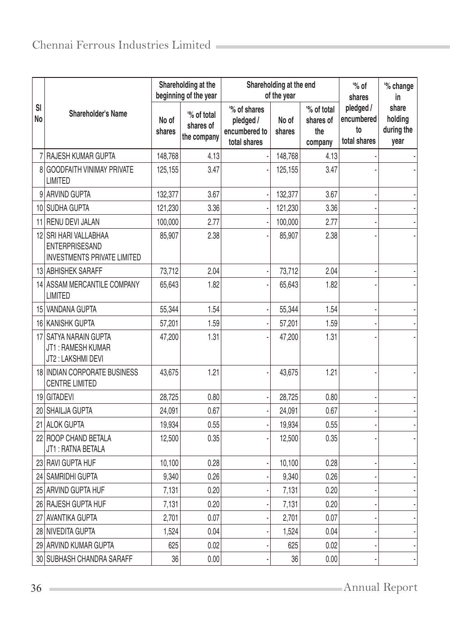|          |                                                                                      | Shareholding at the<br>Shareholding at the end<br>beginning of the year<br>of the year |                                         |                                                            |                 |                                            | $\%$ of<br>shares                             | '% change<br>in                        |
|----------|--------------------------------------------------------------------------------------|----------------------------------------------------------------------------------------|-----------------------------------------|------------------------------------------------------------|-----------------|--------------------------------------------|-----------------------------------------------|----------------------------------------|
| SI<br>No | <b>Shareholder's Name</b>                                                            | No of<br>shares                                                                        | '% of total<br>shares of<br>the company | '% of shares<br>pledged /<br>encumbered to<br>total shares | No of<br>shares | '% of total<br>shares of<br>the<br>company | pledged /<br>encumbered<br>to<br>total shares | share<br>holding<br>during the<br>year |
|          | <b>RAJESH KUMAR GUPTA</b>                                                            | 148,768                                                                                | 4.13                                    |                                                            | 148,768         | 4.13                                       |                                               |                                        |
|          | 8 GOODFAITH VINIMAY PRIVATE<br><b>LIMITED</b>                                        | 125,155                                                                                | 3.47                                    |                                                            | 125,155         | 3.47                                       |                                               |                                        |
|          | 9 ARVIND GUPTA                                                                       | 132,377                                                                                | 3.67                                    |                                                            | 132,377         | 3.67                                       |                                               |                                        |
|          | 10 SUDHA GUPTA                                                                       | 121,230                                                                                | 3.36                                    |                                                            | 121,230         | 3.36                                       |                                               |                                        |
|          | 11 RENU DEVI JALAN                                                                   | 100,000                                                                                | 2.77                                    |                                                            | 100,000         | 2.77                                       |                                               |                                        |
|          | 12 SRI HARI VALLABHAA<br><b>ENTERPRISESAND</b><br><b>INVESTMENTS PRIVATE LIMITED</b> | 85,907                                                                                 | 2.38                                    |                                                            | 85,907          | 2.38                                       |                                               |                                        |
|          | 13 ABHISHEK SARAFF                                                                   | 73,712                                                                                 | 2.04                                    |                                                            | 73,712          | 2.04                                       |                                               |                                        |
|          | 14 ASSAM MERCANTILE COMPANY<br><b>LIMITED</b>                                        | 65,643                                                                                 | 1.82                                    |                                                            | 65,643          | 1.82                                       |                                               |                                        |
|          | 15 VANDANA GUPTA                                                                     | 55,344                                                                                 | 1.54                                    |                                                            | 55,344          | 1.54                                       |                                               |                                        |
|          | 16 KANISHK GUPTA                                                                     | 57,201                                                                                 | 1.59                                    |                                                            | 57,201          | 1.59                                       |                                               |                                        |
|          | 17 SATYA NARAIN GUPTA<br>JT1: RAMESH KUMAR<br>JT2: LAKSHMI DEVI                      | 47,200                                                                                 | 1.31                                    |                                                            | 47,200          | 1.31                                       |                                               |                                        |
|          | 18 INDIAN CORPORATE BUSINESS<br><b>CENTRE LIMITED</b>                                | 43,675                                                                                 | 1.21                                    |                                                            | 43,675          | 1.21                                       |                                               |                                        |
|          | 19 GITADEVI                                                                          | 28,725                                                                                 | 0.80                                    |                                                            | 28,725          | 0.80                                       |                                               |                                        |
|          | 20 SHAILJA GUPTA                                                                     | 24,091                                                                                 | 0.67                                    |                                                            | 24,091          | 0.67                                       |                                               |                                        |
|          | 21 ALOK GUPTA                                                                        | 19,934                                                                                 | 0.55                                    |                                                            | 19,934          | 0.55                                       |                                               |                                        |
|          | 22 ROOP CHAND BETALA<br>JT1: RATNA BETALA                                            | 12,500                                                                                 | 0.35                                    |                                                            | 12,500          | 0.35                                       |                                               |                                        |
|          | 23 RAVI GUPTA HUF                                                                    | 10,100                                                                                 | 0.28                                    |                                                            | 10,100          | 0.28                                       |                                               |                                        |
|          | 24 SAMRIDHI GUPTA                                                                    | 9,340                                                                                  | 0.26                                    |                                                            | 9,340           | 0.26                                       |                                               |                                        |
|          | 25 ARVIND GUPTA HUF                                                                  | 7,131                                                                                  | 0.20                                    |                                                            | 7,131           | 0.20                                       |                                               |                                        |
|          | 26 RAJESH GUPTA HUF                                                                  | 7,131                                                                                  | 0.20                                    |                                                            | 7,131           | 0.20                                       |                                               |                                        |
|          | 27 AVANTIKA GUPTA                                                                    | 2,701                                                                                  | 0.07                                    |                                                            | 2,701           | 0.07                                       |                                               |                                        |
|          | 28 NIVEDITA GUPTA                                                                    | 1,524                                                                                  | 0.04                                    |                                                            | 1,524           | 0.04                                       |                                               |                                        |
|          | 29 ARVIND KUMAR GUPTA                                                                | 625                                                                                    | 0.02                                    |                                                            | 625             | 0.02                                       |                                               |                                        |
|          | 30 SUBHASH CHANDRA SARAFF                                                            | 36                                                                                     | 0.00                                    |                                                            | 36              | 0.00                                       |                                               |                                        |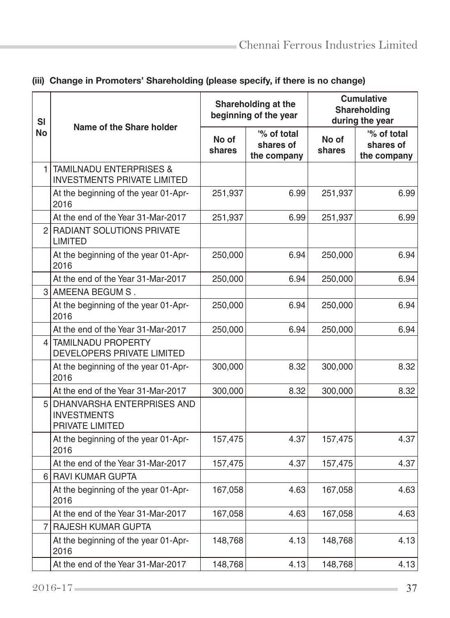| <b>SI</b>      | Name of the Share holder                                                 |                 | Shareholding at the<br>beginning of the year | <b>Cumulative</b><br><b>Shareholding</b><br>during the year |                                         |  |
|----------------|--------------------------------------------------------------------------|-----------------|----------------------------------------------|-------------------------------------------------------------|-----------------------------------------|--|
| No             |                                                                          | No of<br>shares | '% of total<br>shares of<br>the company      | No of<br>shares                                             | '% of total<br>shares of<br>the company |  |
| 1              | <b>TAMILNADU ENTERPRISES &amp;</b><br><b>INVESTMENTS PRIVATE LIMITED</b> |                 |                                              |                                                             |                                         |  |
|                | At the beginning of the year 01-Apr-<br>2016                             | 251,937         | 6.99                                         | 251,937                                                     | 6.99                                    |  |
|                | At the end of the Year 31-Mar-2017                                       | 251,937         | 6.99                                         | 251,937                                                     | 6.99                                    |  |
|                | 2 RADIANT SOLUTIONS PRIVATE<br><b>LIMITED</b>                            |                 |                                              |                                                             |                                         |  |
|                | At the beginning of the year 01-Apr-<br>2016                             | 250,000         | 6.94                                         | 250,000                                                     | 6.94                                    |  |
|                | At the end of the Year 31-Mar-2017                                       | 250,000         | 6.94                                         | 250,000                                                     | 6.94                                    |  |
| 3              | AMEENA BEGUM S .                                                         |                 |                                              |                                                             |                                         |  |
|                | At the beginning of the year 01-Apr-<br>2016                             | 250,000         | 6.94                                         | 250,000                                                     | 6.94                                    |  |
|                | At the end of the Year 31-Mar-2017                                       | 250,000         | 6.94                                         | 250,000                                                     | 6.94                                    |  |
| 4              | <b>TAMILNADU PROPERTY</b><br>DEVELOPERS PRIVATE LIMITED                  |                 |                                              |                                                             |                                         |  |
|                | At the beginning of the year 01-Apr-<br>2016                             | 300,000         | 8.32                                         | 300,000                                                     | 8.32                                    |  |
|                | At the end of the Year 31-Mar-2017                                       | 300,000         | 8.32                                         | 300,000                                                     | 8.32                                    |  |
|                | 5 DHANVARSHA ENTERPRISES AND<br><b>INVESTMENTS</b><br>PRIVATE LIMITED    |                 |                                              |                                                             |                                         |  |
|                | At the beginning of the year 01-Apr-<br>2016                             | 157,475         | 4.37                                         | 157,475                                                     | 4.37                                    |  |
|                | At the end of the Year 31-Mar-2017                                       | 157,475         | 4.37                                         | 157,475                                                     | 4.37                                    |  |
|                | 6 RAVI KUMAR GUPTA                                                       |                 |                                              |                                                             |                                         |  |
|                | At the beginning of the year 01-Apr-<br>2016                             | 167,058         | 4.63                                         | 167,058                                                     | 4.63                                    |  |
|                | At the end of the Year 31-Mar-2017                                       | 167,058         | 4.63                                         | 167,058                                                     | 4.63                                    |  |
| $\overline{7}$ | <b>RAJESH KUMAR GUPTA</b>                                                |                 |                                              |                                                             |                                         |  |
|                | At the beginning of the year 01-Apr-<br>2016                             | 148,768         | 4.13                                         | 148,768                                                     | 4.13                                    |  |
|                | At the end of the Year 31-Mar-2017                                       | 148,768         | 4.13                                         | 148,768                                                     | 4.13                                    |  |

# (iii) Change in Promoters' Shareholding (please specify, if there is no change)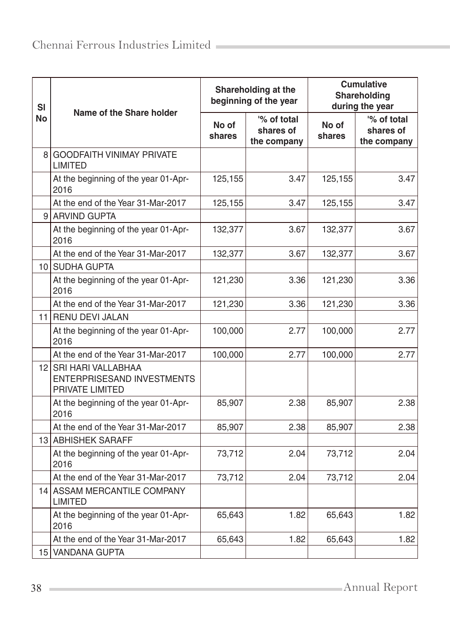| <b>SI</b>       | Name of the Share holder                                               |                 | Shareholding at the<br>beginning of the year | <b>Cumulative</b><br>Shareholding<br>during the year |                                         |  |
|-----------------|------------------------------------------------------------------------|-----------------|----------------------------------------------|------------------------------------------------------|-----------------------------------------|--|
| No              |                                                                        | No of<br>shares | '% of total<br>shares of<br>the company      | No of<br>shares                                      | '% of total<br>shares of<br>the company |  |
| 8               | <b>GOODFAITH VINIMAY PRIVATE</b><br><b>LIMITED</b>                     |                 |                                              |                                                      |                                         |  |
|                 | At the beginning of the year 01-Apr-<br>2016                           | 125,155         | 3.47                                         | 125,155                                              | 3.47                                    |  |
|                 | At the end of the Year 31-Mar-2017                                     | 125,155         | 3.47                                         | 125,155                                              | 3.47                                    |  |
|                 | 9 ARVIND GUPTA                                                         |                 |                                              |                                                      |                                         |  |
|                 | At the beginning of the year 01-Apr-<br>2016                           | 132,377         | 3.67                                         | 132,377                                              | 3.67                                    |  |
|                 | At the end of the Year 31-Mar-2017                                     | 132,377         | 3.67                                         | 132,377                                              | 3.67                                    |  |
|                 | 10 SUDHA GUPTA                                                         |                 |                                              |                                                      |                                         |  |
|                 | At the beginning of the year 01-Apr-<br>2016                           | 121,230         | 3.36                                         | 121,230                                              | 3.36                                    |  |
|                 | At the end of the Year 31-Mar-2017                                     | 121,230         | 3.36                                         | 121,230                                              | 3.36                                    |  |
|                 | 11 RENU DEVI JALAN                                                     |                 |                                              |                                                      |                                         |  |
|                 | At the beginning of the year 01-Apr-<br>2016                           | 100,000         | 2.77                                         | 100,000                                              | 2.77                                    |  |
|                 | At the end of the Year 31-Mar-2017                                     | 100,000         | 2.77                                         | 100,000                                              | 2.77                                    |  |
|                 | 12 SRI HARI VALLABHAA<br>ENTERPRISESAND INVESTMENTS<br>PRIVATE LIMITED |                 |                                              |                                                      |                                         |  |
|                 | At the beginning of the year 01-Apr-<br>2016                           | 85,907          | 2.38                                         | 85,907                                               | 2.38                                    |  |
|                 | At the end of the Year 31-Mar-2017                                     | 85,907          | 2.38                                         | 85,907                                               | 2.38                                    |  |
|                 | 13 ABHISHEK SARAFF                                                     |                 |                                              |                                                      |                                         |  |
|                 | At the beginning of the year 01-Apr-<br>2016                           | 73,712          | 2.04                                         | 73,712                                               | 2.04                                    |  |
|                 | At the end of the Year 31-Mar-2017                                     | 73,712          | 2.04                                         | 73,712                                               | 2.04                                    |  |
| 14 <sub>1</sub> | <b>ASSAM MERCANTILE COMPANY</b><br><b>LIMITED</b>                      |                 |                                              |                                                      |                                         |  |
|                 | At the beginning of the year 01-Apr-<br>2016                           | 65,643          | 1.82                                         | 65,643                                               | 1.82                                    |  |
|                 | At the end of the Year 31-Mar-2017                                     | 65,643          | 1.82                                         | 65,643                                               | 1.82                                    |  |
| 15              | <b>VANDANA GUPTA</b>                                                   |                 |                                              |                                                      |                                         |  |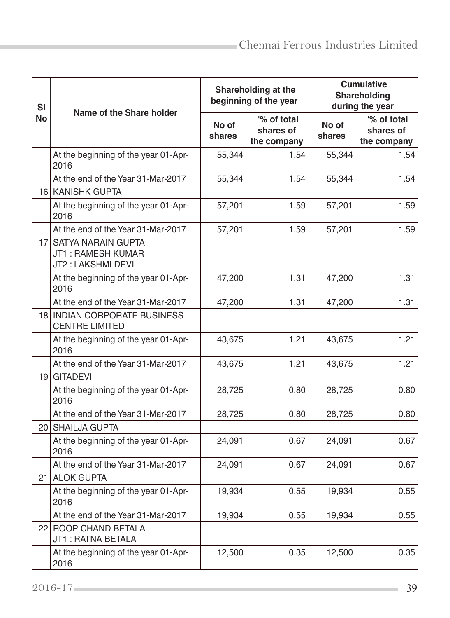| SI        | Name of the Share holder                                        |                 | Shareholding at the<br>beginning of the year | <b>Cumulative</b><br>Shareholding<br>during the year |                                         |  |
|-----------|-----------------------------------------------------------------|-----------------|----------------------------------------------|------------------------------------------------------|-----------------------------------------|--|
| <b>No</b> |                                                                 | No of<br>shares | '% of total<br>shares of<br>the company      | No of<br>shares                                      | '% of total<br>shares of<br>the company |  |
|           | At the beginning of the year 01-Apr-<br>2016                    | 55,344          | 1.54                                         | 55,344                                               | 1.54                                    |  |
|           | At the end of the Year 31-Mar-2017                              | 55,344          | 1.54                                         | 55,344                                               | 1.54                                    |  |
|           | 16 KANISHK GUPTA                                                |                 |                                              |                                                      |                                         |  |
|           | At the beginning of the year 01-Apr-<br>2016                    | 57,201          | 1.59                                         | 57,201                                               | 1.59                                    |  |
|           | At the end of the Year 31-Mar-2017                              | 57,201          | 1.59                                         | 57,201                                               | 1.59                                    |  |
|           | 17 SATYA NARAIN GUPTA<br>JT1: RAMESH KUMAR<br>JT2: LAKSHMI DEVI |                 |                                              |                                                      |                                         |  |
|           | At the beginning of the year 01-Apr-<br>2016                    | 47,200          | 1.31                                         | 47,200                                               | 1.31                                    |  |
|           | At the end of the Year 31-Mar-2017                              | 47,200          | 1.31                                         | 47,200                                               | 1.31                                    |  |
|           | 18 INDIAN CORPORATE BUSINESS<br><b>CENTRE LIMITED</b>           |                 |                                              |                                                      |                                         |  |
|           | At the beginning of the year 01-Apr-<br>2016                    | 43,675          | 1.21                                         | 43,675                                               | 1.21                                    |  |
|           | At the end of the Year 31-Mar-2017                              | 43,675          | 1.21                                         | 43,675                                               | 1.21                                    |  |
| 19        | <b>GITADEVI</b>                                                 |                 |                                              |                                                      |                                         |  |
|           | At the beginning of the year 01-Apr-<br>2016                    | 28,725          | 0.80                                         | 28,725                                               | 0.80                                    |  |
|           | At the end of the Year 31-Mar-2017                              | 28,725          | 0.80                                         | 28,725                                               | 0.80                                    |  |
|           | 20 SHAILJA GUPTA                                                |                 |                                              |                                                      |                                         |  |
|           | At the beginning of the year 01-Apr-<br>2016                    | 24,091          | 0.67                                         | 24,091                                               | 0.67                                    |  |
|           | At the end of the Year 31-Mar-2017                              | 24,091          | 0.67                                         | 24,091                                               | 0.67                                    |  |
|           | 21 ALOK GUPTA                                                   |                 |                                              |                                                      |                                         |  |
|           | At the beginning of the year 01-Apr-<br>2016                    | 19,934          | 0.55                                         | 19,934                                               | 0.55                                    |  |
|           | At the end of the Year 31-Mar-2017                              | 19,934          | 0.55                                         | 19,934                                               | 0.55                                    |  |
| 22        | ROOP CHAND BETALA<br>JT1: RATNA BETALA                          |                 |                                              |                                                      |                                         |  |
|           | At the beginning of the year 01-Apr-<br>2016                    | 12,500          | 0.35                                         | 12,500                                               | 0.35                                    |  |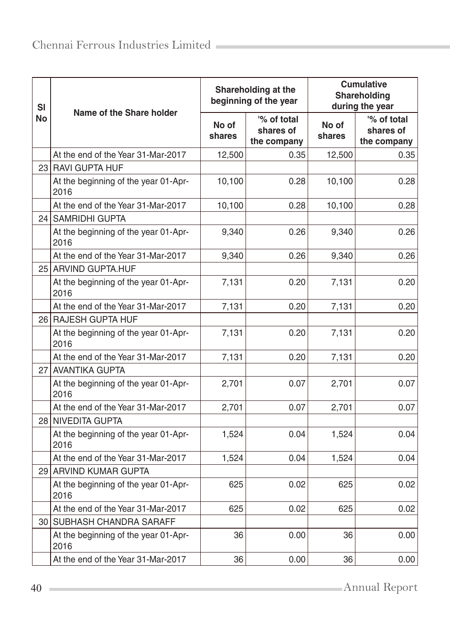| <b>SI</b> | Name of the Share holder                     |                 | Shareholding at the<br>beginning of the year | <b>Cumulative</b><br>Shareholding<br>during the year |                                         |  |
|-----------|----------------------------------------------|-----------------|----------------------------------------------|------------------------------------------------------|-----------------------------------------|--|
| No        |                                              | No of<br>shares | '% of total<br>shares of<br>the company      | No of<br>shares                                      | '% of total<br>shares of<br>the company |  |
|           | At the end of the Year 31-Mar-2017           | 12,500          | 0.35                                         | 12,500                                               | 0.35                                    |  |
|           | 23 RAVI GUPTA HUF                            |                 |                                              |                                                      |                                         |  |
|           | At the beginning of the year 01-Apr-<br>2016 | 10,100          | 0.28                                         | 10,100                                               | 0.28                                    |  |
|           | At the end of the Year 31-Mar-2017           | 10,100          | 0.28                                         | 10,100                                               | 0.28                                    |  |
| 24        | <b>SAMRIDHI GUPTA</b>                        |                 |                                              |                                                      |                                         |  |
|           | At the beginning of the year 01-Apr-<br>2016 | 9,340           | 0.26                                         | 9,340                                                | 0.26                                    |  |
|           | At the end of the Year 31-Mar-2017           | 9,340           | 0.26                                         | 9,340                                                | 0.26                                    |  |
|           | 25 ARVIND GUPTA.HUF                          |                 |                                              |                                                      |                                         |  |
|           | At the beginning of the year 01-Apr-<br>2016 | 7,131           | 0.20                                         | 7,131                                                | 0.20                                    |  |
|           | At the end of the Year 31-Mar-2017           | 7,131           | 0.20                                         | 7,131                                                | 0.20                                    |  |
|           | 26 RAJESH GUPTA HUF                          |                 |                                              |                                                      |                                         |  |
|           | At the beginning of the year 01-Apr-<br>2016 | 7,131           | 0.20                                         | 7,131                                                | 0.20                                    |  |
|           | At the end of the Year 31-Mar-2017           | 7,131           | 0.20                                         | 7,131                                                | 0.20                                    |  |
| 27        | <b>AVANTIKA GUPTA</b>                        |                 |                                              |                                                      |                                         |  |
|           | At the beginning of the year 01-Apr-<br>2016 | 2,701           | 0.07                                         | 2,701                                                | 0.07                                    |  |
|           | At the end of the Year 31-Mar-2017           | 2,701           | 0.07                                         | 2,701                                                | 0.07                                    |  |
|           | 28 NIVEDITA GUPTA                            |                 |                                              |                                                      |                                         |  |
|           | At the beginning of the year 01-Apr-<br>2016 | 1,524           | 0.04                                         | 1,524                                                | 0.04                                    |  |
|           | At the end of the Year 31-Mar-2017           | 1,524           | 0.04                                         | 1,524                                                | 0.04                                    |  |
| 29        | <b>ARVIND KUMAR GUPTA</b>                    |                 |                                              |                                                      |                                         |  |
|           | At the beginning of the year 01-Apr-<br>2016 | 625             | 0.02                                         | 625                                                  | 0.02                                    |  |
|           | At the end of the Year 31-Mar-2017           | 625             | 0.02                                         | 625                                                  | 0.02                                    |  |
|           | 30 SUBHASH CHANDRA SARAFF                    |                 |                                              |                                                      |                                         |  |
|           | At the beginning of the year 01-Apr-<br>2016 | 36              | 0.00                                         | 36                                                   | 0.00                                    |  |
|           | At the end of the Year 31-Mar-2017           | 36              | 0.00                                         | 36                                                   | 0.00                                    |  |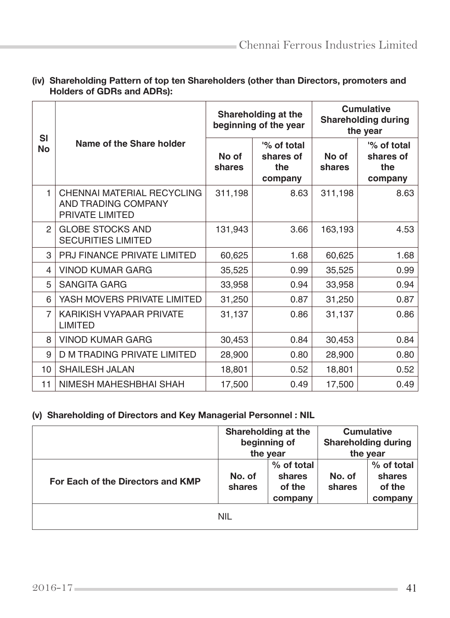| <b>SI</b>      |                                                                      |                 | Shareholding at the<br>beginning of the year | <b>Cumulative</b><br><b>Shareholding during</b><br>the year |                                            |  |
|----------------|----------------------------------------------------------------------|-----------------|----------------------------------------------|-------------------------------------------------------------|--------------------------------------------|--|
| <b>No</b>      | Name of the Share holder                                             | No of<br>shares | '% of total<br>shares of<br>the<br>company   | No of<br>shares                                             | '% of total<br>shares of<br>the<br>company |  |
| 1              | CHENNAI MATERIAL RECYCLING<br>AND TRADING COMPANY<br>PRIVATE LIMITED | 311,198         | 8.63                                         | 311,198                                                     | 8.63                                       |  |
| $\mathbf{2}$   | <b>GLOBE STOCKS AND</b><br><b>SECURITIES LIMITED</b>                 | 131,943         | 3.66                                         | 163,193                                                     | 4.53                                       |  |
| 3              | PRJ FINANCE PRIVATE LIMITED                                          | 60,625          | 1.68                                         | 60,625                                                      | 1.68                                       |  |
| 4              | <b>VINOD KUMAR GARG</b>                                              | 35,525          | 0.99                                         | 35,525                                                      | 0.99                                       |  |
| 5              | <b>SANGITA GARG</b>                                                  | 33,958          | 0.94                                         | 33,958                                                      | 0.94                                       |  |
| 6              | YASH MOVERS PRIVATE LIMITED                                          | 31,250          | 0.87                                         | 31,250                                                      | 0.87                                       |  |
| $\overline{7}$ | KARIKISH VYAPAAR PRIVATE<br><b>LIMITED</b>                           | 31,137          | 0.86                                         | 31,137                                                      | 0.86                                       |  |
| 8              | <b>VINOD KUMAR GARG</b>                                              | 30,453          | 0.84                                         | 30,453                                                      | 0.84                                       |  |
| 9              | D M TRADING PRIVATE LIMITED                                          | 28,900          | 0.80                                         | 28,900                                                      | 0.80                                       |  |
| 10             | SHAILESH JALAN                                                       | 18,801          | 0.52                                         | 18,801                                                      | 0.52                                       |  |
| 11             | NIMESH MAHESHBHAI SHAH                                               | 17,500          | 0.49                                         | 17,500                                                      | 0.49                                       |  |

## (iv) Shareholding Pattern of top ten Shareholders (other than Directors, promoters and Holders of GDRs and ADRs):

# (v) Shareholding of Directors and Key Managerial Personnel : NIL

|                                   | Shareholding at the<br>beginning of<br>the year |                                           | <b>Cumulative</b><br><b>Shareholding during</b><br>the year |                                           |
|-----------------------------------|-------------------------------------------------|-------------------------------------------|-------------------------------------------------------------|-------------------------------------------|
| For Each of the Directors and KMP | No. of<br>shares                                | % of total<br>shares<br>of the<br>company | No. of<br>shares                                            | % of total<br>shares<br>of the<br>company |
|                                   | <b>NIL</b>                                      |                                           |                                                             |                                           |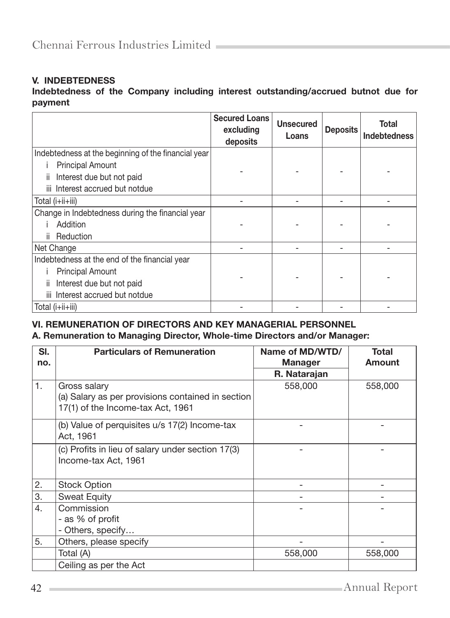## V. INDEBTEDNESS

## Indebtedness of the Company including interest outstanding/accrued butnot due for payment

|                                                                                | <b>Secured Loans</b><br>excluding<br>deposits | <b>Unsecured</b><br>Loans | <b>Deposits</b> | Total<br><b>Indebtedness</b> |
|--------------------------------------------------------------------------------|-----------------------------------------------|---------------------------|-----------------|------------------------------|
| Indebtedness at the beginning of the financial year<br><b>Principal Amount</b> |                                               |                           |                 |                              |
| Interest due but not paid<br>ii.                                               |                                               |                           |                 |                              |
| Interest accrued but notdue<br>iii                                             |                                               |                           |                 |                              |
| Total (i+ii+iii)                                                               |                                               |                           |                 |                              |
| Change in Indebtedness during the financial year                               |                                               |                           |                 |                              |
| Addition                                                                       |                                               |                           |                 |                              |
| Reduction<br>Ϊİ.                                                               |                                               |                           |                 |                              |
| Net Change                                                                     |                                               |                           |                 |                              |
| Indebtedness at the end of the financial year                                  |                                               |                           |                 |                              |
| <b>Principal Amount</b>                                                        |                                               |                           |                 |                              |
| Interest due but not paid<br>ii.                                               |                                               |                           |                 |                              |
| Interest accrued but notdue<br>iii.                                            |                                               |                           |                 |                              |
| Total (i+ii+iii)                                                               |                                               |                           |                 |                              |

## VI. REMUNERATION OF DIRECTORS AND KEY MANAGERIAL PERSONNEL A. Remuneration to Managing Director, Whole-time Directors and/or Manager:

| SI.<br>no. | <b>Particulars of Remuneration</b>                | Name of MD/WTD/<br><b>Manager</b> | <b>Total</b><br>Amount |
|------------|---------------------------------------------------|-----------------------------------|------------------------|
|            |                                                   | R. Natarajan                      |                        |
| 1.         | Gross salary                                      | 558,000                           | 558,000                |
|            | (a) Salary as per provisions contained in section |                                   |                        |
|            | 17(1) of the Income-tax Act, 1961                 |                                   |                        |
|            | (b) Value of perquisites u/s 17(2) Income-tax     |                                   |                        |
|            | Act, 1961                                         |                                   |                        |
|            | (c) Profits in lieu of salary under section 17(3) |                                   |                        |
|            | Income-tax Act, 1961                              |                                   |                        |
|            |                                                   |                                   |                        |
| 2.         | <b>Stock Option</b>                               |                                   |                        |
| 3.         | <b>Sweat Equity</b>                               |                                   |                        |
| 4.         | Commission                                        |                                   |                        |
|            | - as % of profit                                  |                                   |                        |
|            | - Others, specify                                 |                                   |                        |
| 5.         | Others, please specify                            |                                   |                        |
|            | Total (A)                                         | 558,000                           | 558,000                |
|            | Ceiling as per the Act                            |                                   |                        |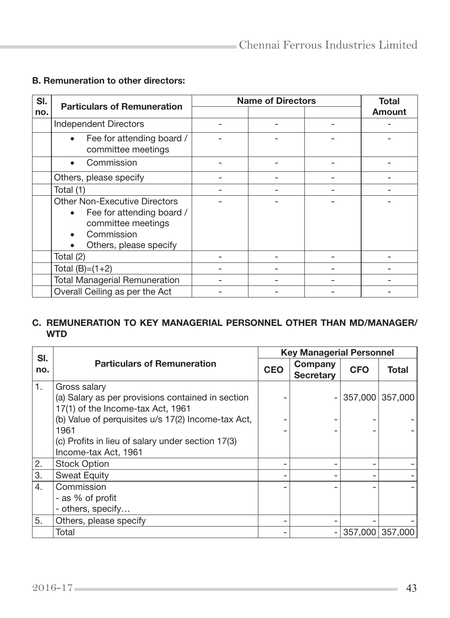## B. Remuneration to other directors:

| SI. | <b>Particulars of Remuneration</b>                                                                                                                        | <b>Name of Directors</b> |  |  | <b>Total</b> |
|-----|-----------------------------------------------------------------------------------------------------------------------------------------------------------|--------------------------|--|--|--------------|
| no. |                                                                                                                                                           |                          |  |  | Amount       |
|     | <b>Independent Directors</b>                                                                                                                              |                          |  |  |              |
|     | Fee for attending board /<br>$\bullet$<br>committee meetings                                                                                              |                          |  |  |              |
|     | Commission                                                                                                                                                |                          |  |  |              |
|     | Others, please specify                                                                                                                                    |                          |  |  |              |
|     | Total (1)                                                                                                                                                 |                          |  |  |              |
|     | <b>Other Non-Executive Directors</b><br>Fee for attending board /<br>$\bullet$<br>committee meetings<br>Commission<br>Others, please specify<br>$\bullet$ |                          |  |  |              |
|     | Total (2)                                                                                                                                                 |                          |  |  |              |
|     | Total $(B)=(1+2)$                                                                                                                                         |                          |  |  |              |
|     | <b>Total Managerial Remuneration</b>                                                                                                                      |                          |  |  |              |
|     | Overall Ceiling as per the Act                                                                                                                            |                          |  |  |              |

### C. REMUNERATION TO KEY MANAGERIAL PERSONNEL OTHER THAN MD/MANAGER/ WTD

| SI. |                                                    |            | <b>Key Managerial Personnel</b> |            |                 |
|-----|----------------------------------------------------|------------|---------------------------------|------------|-----------------|
| no. | <b>Particulars of Remuneration</b>                 | <b>CEO</b> | Company<br><b>Secretary</b>     | <b>CFO</b> | Total           |
| 1.  | Gross salary                                       |            |                                 |            |                 |
|     | (a) Salary as per provisions contained in section  |            |                                 | 357,000    | 357,000         |
|     | 17(1) of the Income-tax Act, 1961                  |            |                                 |            |                 |
|     | (b) Value of perquisites u/s 17(2) Income-tax Act, |            |                                 |            |                 |
|     | 1961                                               |            |                                 |            |                 |
|     | (c) Profits in lieu of salary under section 17(3)  |            |                                 |            |                 |
|     | Income-tax Act, 1961                               |            |                                 |            |                 |
| 2.  | <b>Stock Option</b>                                |            |                                 |            |                 |
| 3.  | <b>Sweat Equity</b>                                |            |                                 |            |                 |
| 4.  | Commission                                         |            |                                 |            |                 |
|     | - as % of profit                                   |            |                                 |            |                 |
|     | - others, specify                                  |            |                                 |            |                 |
| 5.  | Others, please specify                             |            |                                 |            |                 |
|     | Total                                              |            |                                 |            | 357,000 357,000 |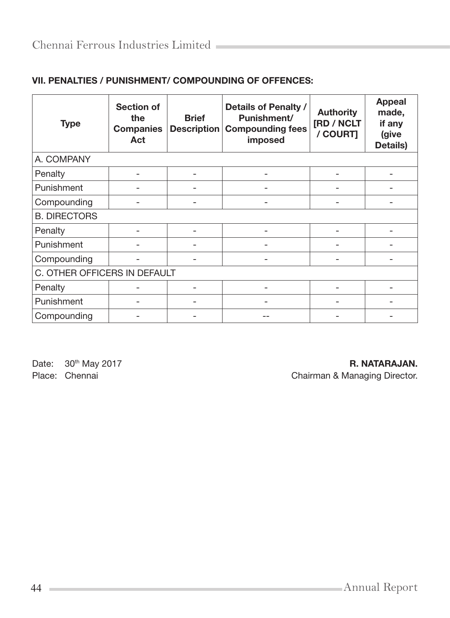| <b>Type</b>                  | <b>Section of</b><br>the<br><b>Companies</b><br>Act | <b>Brief</b><br>Description | Details of Penalty /<br>Punishment/<br><b>Compounding fees</b><br>imposed | <b>Authority</b><br>[RD / NCLT<br>/ COURT] | <b>Appeal</b><br>made,<br>if any<br>(give<br>Details) |  |  |
|------------------------------|-----------------------------------------------------|-----------------------------|---------------------------------------------------------------------------|--------------------------------------------|-------------------------------------------------------|--|--|
| A. COMPANY                   |                                                     |                             |                                                                           |                                            |                                                       |  |  |
| Penalty                      |                                                     |                             |                                                                           |                                            |                                                       |  |  |
| Punishment                   |                                                     |                             |                                                                           |                                            |                                                       |  |  |
| Compounding                  |                                                     |                             |                                                                           |                                            |                                                       |  |  |
| <b>B. DIRECTORS</b>          |                                                     |                             |                                                                           |                                            |                                                       |  |  |
| Penalty                      |                                                     |                             |                                                                           |                                            |                                                       |  |  |
| Punishment                   |                                                     |                             |                                                                           |                                            |                                                       |  |  |
| Compounding                  |                                                     |                             |                                                                           |                                            |                                                       |  |  |
| C. OTHER OFFICERS IN DEFAULT |                                                     |                             |                                                                           |                                            |                                                       |  |  |
| Penalty                      |                                                     |                             |                                                                           |                                            |                                                       |  |  |
| Punishment                   |                                                     |                             |                                                                           |                                            |                                                       |  |  |
| Compounding                  |                                                     |                             |                                                                           |                                            |                                                       |  |  |

# VII. PENALTIES / PUNISHMENT/ COMPOUNDING OF OFFENCES:

Date: 30<sup>th</sup> May 2017 **R. NATARAJAN.** 

Place: Chennai Chairman & Managing Director.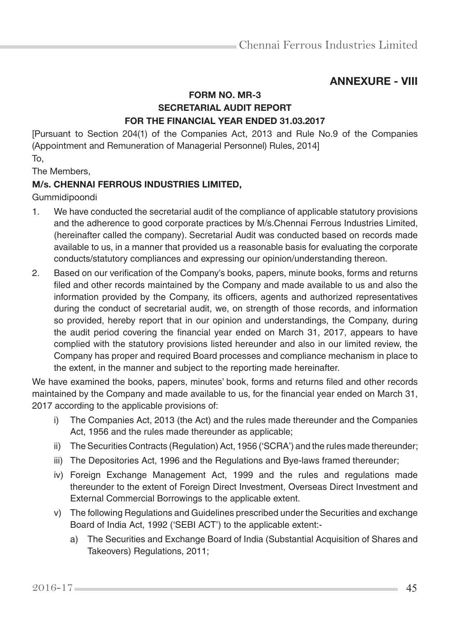# ANNEXURE - VIII

# FORM NO. MR-3 SECRETARIAL AUDIT REPORT FOR THE FINANCIAL YEAR ENDED 31.03.2017

[Pursuant to Section 204(1) of the Companies Act, 2013 and Rule No.9 of the Companies (Appointment and Remuneration of Managerial Personnel) Rules, 2014]

To,

The Members,

# M/s. CHENNAI FERROUS INDUSTRIES LIMITED,

Gummidipoondi

- 1. We have conducted the secretarial audit of the compliance of applicable statutory provisions and the adherence to good corporate practices by M/s.Chennai Ferrous Industries Limited, (hereinafter called the company). Secretarial Audit was conducted based on records made available to us, in a manner that provided us a reasonable basis for evaluating the corporate conducts/statutory compliances and expressing our opinion/understanding thereon.
- 2. Based on our verification of the Company's books, papers, minute books, forms and returns filed and other records maintained by the Company and made available to us and also the information provided by the Company, its officers, agents and authorized representatives during the conduct of secretarial audit, we, on strength of those records, and information so provided, hereby report that in our opinion and understandings, the Company, during the audit period covering the financial year ended on March 31, 2017, appears to have complied with the statutory provisions listed hereunder and also in our limited review, the Company has proper and required Board processes and compliance mechanism in place to the extent, in the manner and subject to the reporting made hereinafter.

We have examined the books, papers, minutes' book, forms and returns filed and other records maintained by the Company and made available to us, for the financial year ended on March 31, 2017 according to the applicable provisions of:

- i) The Companies Act, 2013 (the Act) and the rules made thereunder and the Companies Act, 1956 and the rules made thereunder as applicable;
- ii) The Securities Contracts (Regulation) Act, 1956 ('SCRA') and the rules made thereunder;
- iii) The Depositories Act, 1996 and the Regulations and Bye-laws framed thereunder;
- iv) Foreign Exchange Management Act, 1999 and the rules and regulations made thereunder to the extent of Foreign Direct Investment, Overseas Direct Investment and External Commercial Borrowings to the applicable extent.
- v) The following Regulations and Guidelines prescribed under the Securities and exchange Board of India Act, 1992 ('SEBI ACT') to the applicable extent:
	- a) The Securities and Exchange Board of India (Substantial Acquisition of Shares and Takeovers) Regulations, 2011;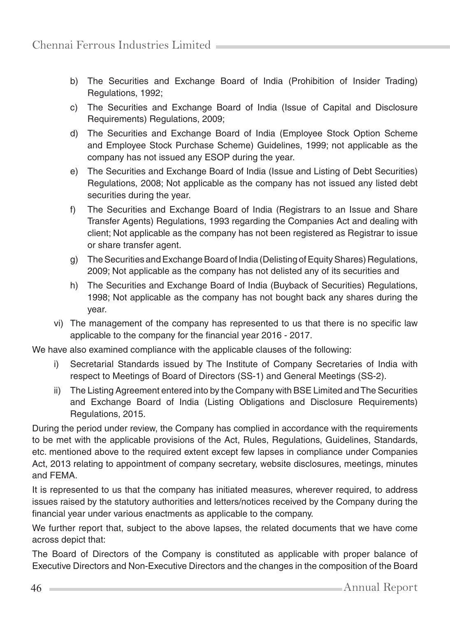- b) The Securities and Exchange Board of India (Prohibition of Insider Trading) Regulations, 1992;
- c) The Securities and Exchange Board of India (Issue of Capital and Disclosure Requirements) Regulations, 2009;
- d) The Securities and Exchange Board of India (Employee Stock Option Scheme and Employee Stock Purchase Scheme) Guidelines, 1999; not applicable as the company has not issued any ESOP during the year.
- e) The Securities and Exchange Board of India (Issue and Listing of Debt Securities) Regulations, 2008; Not applicable as the company has not issued any listed debt securities during the year.
- f) The Securities and Exchange Board of India (Registrars to an Issue and Share Transfer Agents) Regulations, 1993 regarding the Companies Act and dealing with client; Not applicable as the company has not been registered as Registrar to issue or share transfer agent.
- g) The Securities and Exchange Board of India (Delisting of Equity Shares) Regulations, 2009; Not applicable as the company has not delisted any of its securities and
- h) The Securities and Exchange Board of India (Buyback of Securities) Regulations, 1998; Not applicable as the company has not bought back any shares during the year.
- vi) The management of the company has represented to us that there is no specific law applicable to the company for the financial year 2016 - 2017.

We have also examined compliance with the applicable clauses of the following:

- i) Secretarial Standards issued by The Institute of Company Secretaries of India with respect to Meetings of Board of Directors (SS-1) and General Meetings (SS-2).
- ii) The Listing Agreement entered into by the Company with BSE Limited and The Securities and Exchange Board of India (Listing Obligations and Disclosure Requirements) Regulations, 2015.

During the period under review, the Company has complied in accordance with the requirements to be met with the applicable provisions of the Act, Rules, Regulations, Guidelines, Standards, etc. mentioned above to the required extent except few lapses in compliance under Companies Act, 2013 relating to appointment of company secretary, website disclosures, meetings, minutes and FEMA.

It is represented to us that the company has initiated measures, wherever required, to address issues raised by the statutory authorities and letters/notices received by the Company during the financial year under various enactments as applicable to the company.

We further report that, subject to the above lapses, the related documents that we have come across depict that:

The Board of Directors of the Company is constituted as applicable with proper balance of Executive Directors and Non-Executive Directors and the changes in the composition of the Board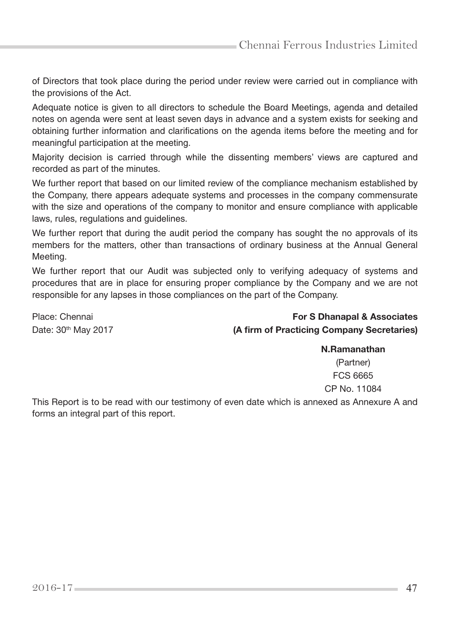of Directors that took place during the period under review were carried out in compliance with the provisions of the Act.

Adequate notice is given to all directors to schedule the Board Meetings, agenda and detailed notes on agenda were sent at least seven days in advance and a system exists for seeking and obtaining further information and clarifications on the agenda items before the meeting and for meaningful participation at the meeting.

Majority decision is carried through while the dissenting members' views are captured and recorded as part of the minutes.

We further report that based on our limited review of the compliance mechanism established by the Company, there appears adequate systems and processes in the company commensurate with the size and operations of the company to monitor and ensure compliance with applicable laws, rules, regulations and guidelines.

We further report that during the audit period the company has sought the no approvals of its members for the matters, other than transactions of ordinary business at the Annual General Meeting.

We further report that our Audit was subjected only to verifying adequacy of systems and procedures that are in place for ensuring proper compliance by the Company and we are not responsible for any lapses in those compliances on the part of the Company.

Place: Chennai **For S Dhanapal & Associates** For S Dhanapal & Associates Date:  $30<sup>th</sup>$  May 2017 (A firm of Practicing Company Secretaries)

#### N.Ramanathan

(Partner) FCS 6665 CP No. 11084

This Report is to be read with our testimony of even date which is annexed as Annexure A and forms an integral part of this report.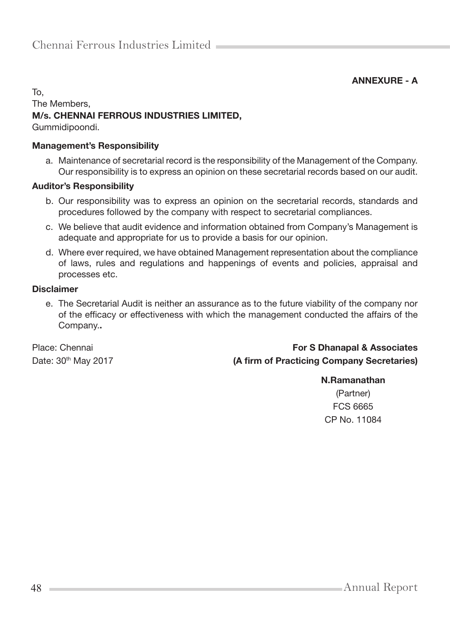ANNEXURE - A

# To, The Members, M/s. CHENNAI FERROUS INDUSTRIES LIMITED,

Gummidipoondi.

### Management's Responsibility

a. Maintenance of secretarial record is the responsibility of the Management of the Company. Our responsibility is to express an opinion on these secretarial records based on our audit.

### Auditor's Responsibility

- b. Our responsibility was to express an opinion on the secretarial records, standards and procedures followed by the company with respect to secretarial compliances.
- c. We believe that audit evidence and information obtained from Company's Management is adequate and appropriate for us to provide a basis for our opinion.
- d. Where ever required, we have obtained Management representation about the compliance of laws, rules and regulations and happenings of events and policies, appraisal and processes etc.

#### Disclaimer

e. The Secretarial Audit is neither an assurance as to the future viability of the company nor of the efficacy or effectiveness with which the management conducted the affairs of the Company..

# Place: Chennai **For S Dhanapal & Associates** For S Dhanapal & Associates Date: 30<sup>th</sup> May 2017 **(A firm of Practicing Company Secretaries)**

#### N.Ramanathan

(Partner) FCS 6665 CP No. 11084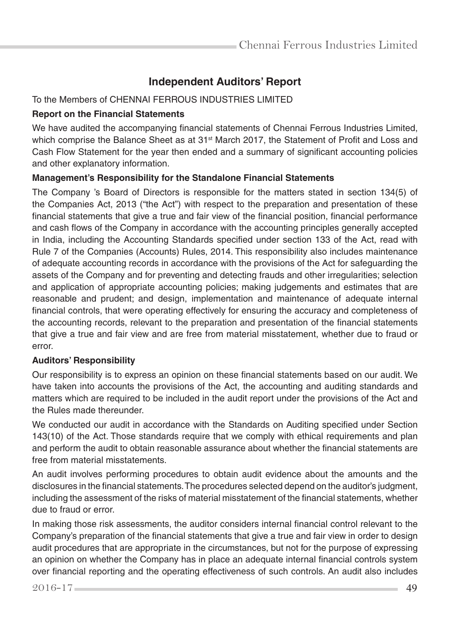# **Independent Auditors' Report**

## To the Members of CHENNAI FERROUS INDUSTRIES LIMITED

## **Report on the Financial Statements**

We have audited the accompanying financial statements of Chennai Ferrous Industries Limited, which comprise the Balance Sheet as at 31<sup>st</sup> March 2017, the Statement of Profit and Loss and Cash Flow Statement for the year then ended and a summary of significant accounting policies and other explanatory information.

## **Management's Responsibility for the Standalone Financial Statements**

The Company 's Board of Directors is responsible for the matters stated in section 134(5) of the Companies Act, 2013 ("the Act") with respect to the preparation and presentation of these financial statements that give a true and fair view of the financial position, financial performance and cash flows of the Company in accordance with the accounting principles generally accepted in India, including the Accounting Standards specified under section 133 of the Act, read with Rule 7 of the Companies (Accounts) Rules, 2014. This responsibility also includes maintenance of adequate accounting records in accordance with the provisions of the Act for safeguarding the assets of the Company and for preventing and detecting frauds and other irregularities; selection and application of appropriate accounting policies; making judgements and estimates that are reasonable and prudent; and design, implementation and maintenance of adequate internal financial controls, that were operating effectively for ensuring the accuracy and completeness of the accounting records, relevant to the preparation and presentation of the financial statements that give a true and fair view and are free from material misstatement, whether due to fraud or error.

#### **Auditors' Responsibility**

Our responsibility is to express an opinion on these financial statements based on our audit. We have taken into accounts the provisions of the Act, the accounting and auditing standards and matters which are required to be included in the audit report under the provisions of the Act and the Rules made thereunder.

We conducted our audit in accordance with the Standards on Auditing specified under Section 143(10) of the Act. Those standards require that we comply with ethical requirements and plan and perform the audit to obtain reasonable assurance about whether the financial statements are free from material misstatements.

An audit involves performing procedures to obtain audit evidence about the amounts and the disclosures in the financial statements. The procedures selected depend on the auditor's judgment, including the assessment of the risks of material misstatement of the financial statements, whether due to fraud or error.

In making those risk assessments, the auditor considers internal financial control relevant to the Company's preparation of the financial statements that give a true and fair view in order to design audit procedures that are appropriate in the circumstances, but not for the purpose of expressing an opinion on whether the Company has in place an adequate internal financial controls system over financial reporting and the operating effectiveness of such controls. An audit also includes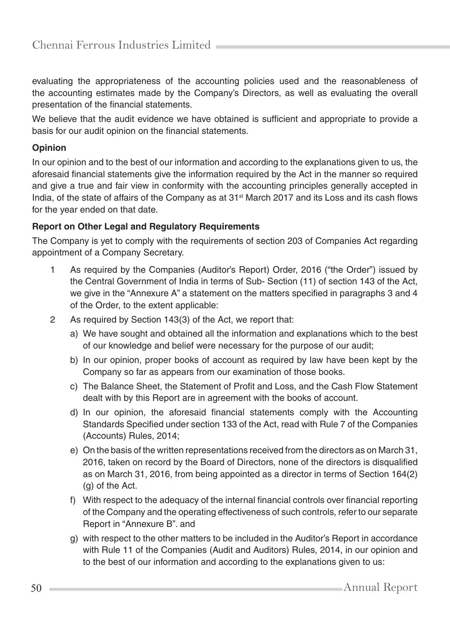evaluating the appropriateness of the accounting policies used and the reasonableness of the accounting estimates made by the Company's Directors, as well as evaluating the overall presentation of the financial statements.

We believe that the audit evidence we have obtained is sufficient and appropriate to provide a basis for our audit opinion on the financial statements.

## **Opinion**

In our opinion and to the best of our information and according to the explanations given to us, the aforesaid financial statements give the information required by the Act in the manner so required and give a true and fair view in conformity with the accounting principles generally accepted in India, of the state of affairs of the Company as at 31<sup>st</sup> March 2017 and its Loss and its cash flows for the year ended on that date.

# **Report on Other Legal and Regulatory Requirements**

The Company is yet to comply with the requirements of section 203 of Companies Act regarding appointment of a Company Secretary.

- 1 As required by the Companies (Auditor's Report) Order, 2016 ("the Order") issued by the Central Government of India in terms of Sub- Section (11) of section 143 of the Act, we give in the "Annexure A" a statement on the matters specified in paragraphs 3 and 4 of the Order, to the extent applicable:
- 2 As required by Section 143(3) of the Act, we report that:
	- a) We have sought and obtained all the information and explanations which to the best of our knowledge and belief were necessary for the purpose of our audit;
	- b) In our opinion, proper books of account as required by law have been kept by the Company so far as appears from our examination of those books.
	- c) The Balance Sheet, the Statement of Profit and Loss, and the Cash Flow Statement dealt with by this Report are in agreement with the books of account.
	- d) In our opinion, the aforesaid financial statements comply with the Accounting Standards Specified under section 133 of the Act, read with Rule 7 of the Companies (Accounts) Rules, 2014;
	- e) On the basis of the written representations received from the directors as on March 31, 2016, taken on record by the Board of Directors, none of the directors is disqualified as on March 31, 2016, from being appointed as a director in terms of Section 164(2) (g) of the Act.
	- f) With respect to the adequacy of the internal financial controls over financial reporting of the Company and the operating effectiveness of such controls, refer to our separate Report in "Annexure B". and
	- g) with respect to the other matters to be included in the Auditor's Report in accordance with Rule 11 of the Companies (Audit and Auditors) Rules, 2014, in our opinion and to the best of our information and according to the explanations given to us: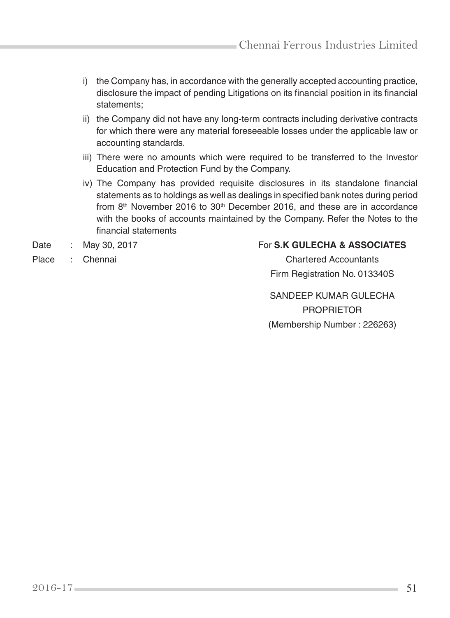- i) the Company has, in accordance with the generally accepted accounting practice, disclosure the impact of pending Litigations on its financial position in its financial statements;
- ii) the Company did not have any long-term contracts including derivative contracts for which there were any material foreseeable losses under the applicable law or accounting standards.
- iii) There were no amounts which were required to be transferred to the Investor Education and Protection Fund by the Company.
- iv) The Company has provided requisite disclosures in its standalone financial statements as to holdings as well as dealings in specified bank notes during period from 8<sup>th</sup> November 2016 to 30<sup>th</sup> December 2016, and these are in accordance with the books of accounts maintained by the Company. Refer the Notes to the financial statements

# Date : May 30, 2017 **For S.K GULECHA & ASSOCIATES**

Place : Chennai Chartered Accountants Firm Registration No. 013340S

> SANDEEP KUMAR GULECHA PROPRIETOR (Membership Number : 226263)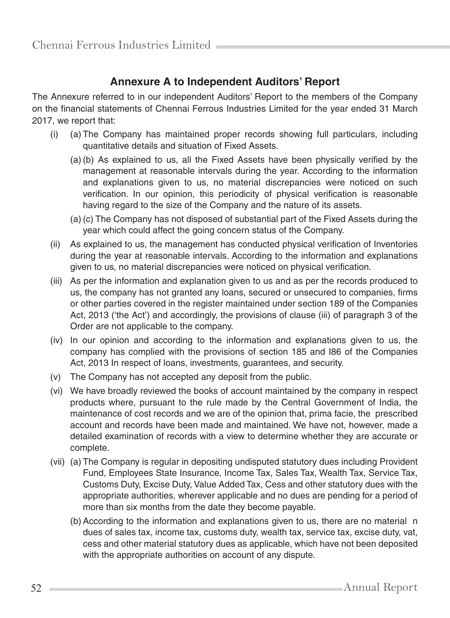# **Annexure A to Independent Auditors' Report**

The Annexure referred to in our independent Auditors' Report to the members of the Company on the financial statements of Chennai Ferrous Industries Limited for the year ended 31 March 2017, we report that:

- (i) (a) The Company has maintained proper records showing full particulars, including quantitative details and situation of Fixed Assets.
	- (a) (b) As explained to us, all the Fixed Assets have been physically verified by the management at reasonable intervals during the year. According to the information and explanations given to us, no material discrepancies were noticed on such verification. In our opinion, this periodicity of physical verification is reasonable having regard to the size of the Company and the nature of its assets.
	- (a) (c) The Company has not disposed of substantial part of the Fixed Assets during the year which could affect the going concern status of the Company.
- (ii) As explained to us, the management has conducted physical verification of Inventories during the year at reasonable intervals. According to the information and explanations given to us, no material discrepancies were noticed on physical verification.
- (iii) As per the information and explanation given to us and as per the records produced to us, the company has not granted any loans, secured or unsecured to companies, firms or other parties covered in the register maintained under section 189 of the Companies Act, 2013 ('the Act') and accordingly, the provisions of clause (iii) of paragraph 3 of the Order are not applicable to the company.
- (iv) In our opinion and according to the information and explanations given to us, the company has complied with the provisions of section 185 and I86 of the Companies Act, 2013 In respect of loans, investments, guarantees, and security.
- (v) The Company has not accepted any deposit from the public.
- (vi) We have broadly reviewed the books of account maintained by the company in respect products where, pursuant to the rule made by the Central Government of India, the maintenance of cost records and we are of the opinion that, prima facie, the prescribed account and records have been made and maintained. We have not, however, made a detailed examination of records with a view to determine whether they are accurate or complete.
- (vii) (a) The Company is regular in depositing undisputed statutory dues including Provident Fund, Employees State Insurance, Income Tax, Sales Tax, Wealth Tax, Service Tax, Customs Duty, Excise Duty, Value Added Tax, Cess and other statutory dues with the appropriate authorities, wherever applicable and no dues are pending for a period of more than six months from the date they become payable.
	- (b) According to the information and explanations given to us, there are no material n dues of sales tax, income tax, customs duty, wealth tax, service tax, excise duty, vat, cess and other material statutory dues as applicable, which have not been deposited with the appropriate authorities on account of any dispute.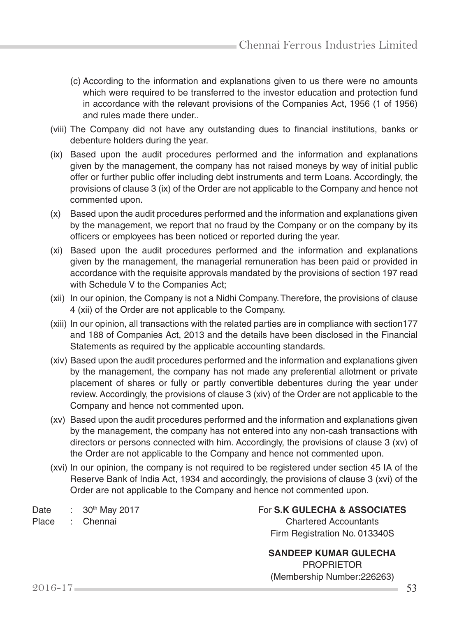- (c) According to the information and explanations given to us there were no amounts which were required to be transferred to the investor education and protection fund in accordance with the relevant provisions of the Companies Act, 1956 (1 of 1956) and rules made there under..
- (viii) The Company did not have any outstanding dues to financial institutions, banks or debenture holders during the year.
- (ix) Based upon the audit procedures performed and the information and explanations given by the management, the company has not raised moneys by way of initial public offer or further public offer including debt instruments and term Loans. Accordingly, the provisions of clause 3 (ix) of the Order are not applicable to the Company and hence not commented upon.
- (x) Based upon the audit procedures performed and the information and explanations given by the management, we report that no fraud by the Company or on the company by its officers or employees has been noticed or reported during the year.
- (xi) Based upon the audit procedures performed and the information and explanations given by the management, the managerial remuneration has been paid or provided in accordance with the requisite approvals mandated by the provisions of section 197 read with Schedule V to the Companies Act;
- (xii) In our opinion, the Company is not a Nidhi Company. Therefore, the provisions of clause 4 (xii) of the Order are not applicable to the Company.
- (xiii) In our opinion, all transactions with the related parties are in compliance with section177 and 188 of Companies Act, 2013 and the details have been disclosed in the Financial Statements as required by the applicable accounting standards.
- (xiv) Based upon the audit procedures performed and the information and explanations given by the management, the company has not made any preferential allotment or private placement of shares or fully or partly convertible debentures during the year under review. Accordingly, the provisions of clause 3 (xiv) of the Order are not applicable to the Company and hence not commented upon.
- (xv) Based upon the audit procedures performed and the information and explanations given by the management, the company has not entered into any non-cash transactions with directors or persons connected with him. Accordingly, the provisions of clause 3 (xv) of the Order are not applicable to the Company and hence not commented upon.
- (xvi) In our opinion, the company is not required to be registered under section 45 IA of the Reserve Bank of India Act, 1934 and accordingly, the provisions of clause 3 (xvi) of the Order are not applicable to the Company and hence not commented upon.

Date : 30<sup>th</sup> May 2017 **For S.K GULECHA & ASSOCIATES** Place : Chennai Chartered Accountants

Firm Registration No. 013340S

 **SANDEEP KUMAR GULECHA** PROPRIETOR

(Membership Number:226263)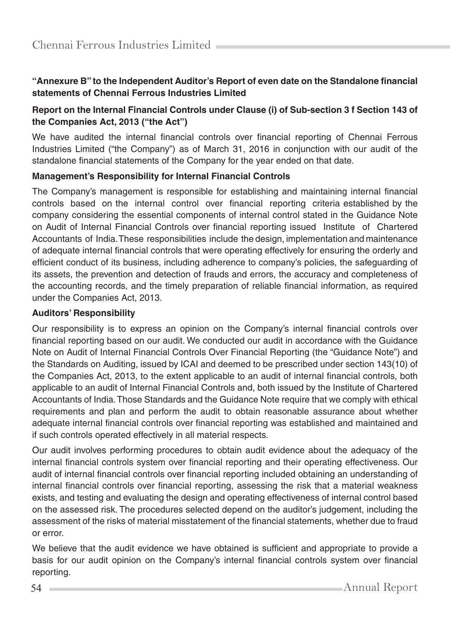# **"Annexure B" to the Independent Auditor's Report of even date on the Standalone financial statements of Chennai Ferrous Industries Limited**

## **Report on the Internal Financial Controls under Clause (i) of Sub-section 3 f Section 143 of the Companies Act, 2013 ("the Act")**

We have audited the internal financial controls over financial reporting of Chennai Ferrous Industries Limited ("the Company") as of March 31, 2016 in conjunction with our audit of the standalone financial statements of the Company for the year ended on that date.

### **Management's Responsibility for Internal Financial Controls**

The Company's management is responsible for establishing and maintaining internal financial controls based on the internal control over financial reporting criteria established by the company considering the essential components of internal control stated in the Guidance Note on Audit of Internal Financial Controls over financial reporting issued Institute of Chartered Accountants of India. These responsibilities include the design, implementation and maintenance of adequate internal financial controls that were operating effectively for ensuring the orderly and efficient conduct of its business, including adherence to company's policies, the safeguarding of its assets, the prevention and detection of frauds and errors, the accuracy and completeness of the accounting records, and the timely preparation of reliable financial information, as required under the Companies Act, 2013.

#### **Auditors' Responsibility**

Our responsibility is to express an opinion on the Company's internal financial controls over financial reporting based on our audit. We conducted our audit in accordance with the Guidance Note on Audit of Internal Financial Controls Over Financial Reporting (the "Guidance Note") and the Standards on Auditing, issued by ICAI and deemed to be prescribed under section 143(10) of the Companies Act, 2013, to the extent applicable to an audit of internal financial controls, both applicable to an audit of Internal Financial Controls and, both issued by the Institute of Chartered Accountants of India. Those Standards and the Guidance Note require that we comply with ethical requirements and plan and perform the audit to obtain reasonable assurance about whether adequate internal financial controls over financial reporting was established and maintained and if such controls operated effectively in all material respects.

Our audit involves performing procedures to obtain audit evidence about the adequacy of the internal financial controls system over financial reporting and their operating effectiveness. Our audit of internal financial controls over financial reporting included obtaining an understanding of internal financial controls over financial reporting, assessing the risk that a material weakness exists, and testing and evaluating the design and operating effectiveness of internal control based on the assessed risk. The procedures selected depend on the auditor's judgement, including the assessment of the risks of material misstatement of the financial statements, whether due to fraud or error.

We believe that the audit evidence we have obtained is sufficient and appropriate to provide a basis for our audit opinion on the Company's internal financial controls system over financial reporting.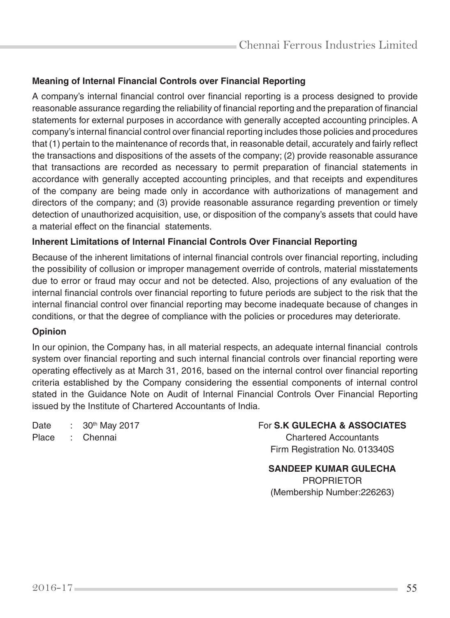# **Meaning of Internal Financial Controls over Financial Reporting**

A company's internal financial control over financial reporting is a process designed to provide reasonable assurance regarding the reliability of financial reporting and the preparation of financial statements for external purposes in accordance with generally accepted accounting principles. A company's internal financial control over financial reporting includes those policies and procedures that (1) pertain to the maintenance of records that, in reasonable detail, accurately and fairly reflect the transactions and dispositions of the assets of the company; (2) provide reasonable assurance that transactions are recorded as necessary to permit preparation of financial statements in accordance with generally accepted accounting principles, and that receipts and expenditures of the company are being made only in accordance with authorizations of management and directors of the company; and (3) provide reasonable assurance regarding prevention or timely detection of unauthorized acquisition, use, or disposition of the company's assets that could have a material effect on the financial statements.

#### **Inherent Limitations of Internal Financial Controls Over Financial Reporting**

Because of the inherent limitations of internal financial controls over financial reporting, including the possibility of collusion or improper management override of controls, material misstatements due to error or fraud may occur and not be detected. Also, projections of any evaluation of the internal financial controls over financial reporting to future periods are subject to the risk that the internal financial control over financial reporting may become inadequate because of changes in conditions, or that the degree of compliance with the policies or procedures may deteriorate.

#### **Opinion**

In our opinion, the Company has, in all material respects, an adequate internal financial controls system over financial reporting and such internal financial controls over financial reporting were operating effectively as at March 31, 2016, based on the internal control over financial reporting criteria established by the Company considering the essential components of internal control stated in the Guidance Note on Audit of Internal Financial Controls Over Financial Reporting issued by the Institute of Chartered Accountants of India.

Place : Chennai Chartered Accountants

Date : 30<sup>th</sup> May 2017 **For S.K GULECHA & ASSOCIATES** 

Firm Registration No. 013340S

 **SANDEEP KUMAR GULECHA** PROPRIETOR (Membership Number:226263)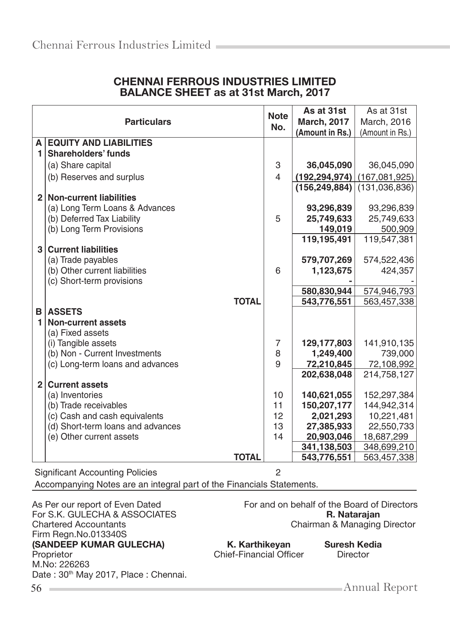|                | <b>Particulars</b>                | <b>Note</b><br>No.       | As at 31st<br><b>March, 2017</b><br>(Amount in Rs.) | As at 31st<br>March, 2016<br>(Amount in Rs.) |
|----------------|-----------------------------------|--------------------------|-----------------------------------------------------|----------------------------------------------|
|                | A EQUITY AND LIABILITIES          |                          |                                                     |                                              |
| 1.             | <b>Shareholders' funds</b>        |                          |                                                     |                                              |
|                | (a) Share capital                 | 3                        | 36,045,090                                          | 36,045,090                                   |
|                | (b) Reserves and surplus          | $\overline{\mathcal{L}}$ | (192, 294, 974)                                     | (167,081,925)                                |
|                |                                   |                          | (156, 249, 884)                                     | (131,036,836)                                |
|                | 2 Non-current liabilities         |                          |                                                     |                                              |
|                | (a) Long Term Loans & Advances    |                          | 93,296,839                                          | 93,296,839                                   |
|                | (b) Deferred Tax Liability        | 5                        | 25,749,633                                          | 25,749,633                                   |
|                | (b) Long Term Provisions          |                          | 149,019                                             | 500,909                                      |
|                |                                   |                          | 119,195,491                                         | 119,547,381                                  |
| 3 <sup>1</sup> | <b>Current liabilities</b>        |                          |                                                     |                                              |
|                | (a) Trade payables                |                          | 579,707,269                                         | 574,522,436                                  |
|                | (b) Other current liabilities     | 6                        | 1,123,675                                           | 424,357                                      |
|                | (c) Short-term provisions         |                          | 580,830,944                                         | 574,946,793                                  |
|                | <b>TOTAL</b>                      |                          | 543,776,551                                         | 563,457,338                                  |
| в              | <b>ASSETS</b>                     |                          |                                                     |                                              |
| $\blacksquare$ | <b>Non-current assets</b>         |                          |                                                     |                                              |
|                | (a) Fixed assets                  |                          |                                                     |                                              |
|                | (i) Tangible assets               | $\overline{7}$           | 129,177,803                                         | 141,910,135                                  |
|                | (b) Non - Current Investments     | 8                        | 1,249,400                                           | 739,000                                      |
|                | (c) Long-term loans and advances  | 9                        | 72,210,845                                          | 72,108,992                                   |
|                |                                   |                          | 202,638,048                                         | 214,758,127                                  |
| 2 <sup>1</sup> | <b>Current assets</b>             |                          |                                                     |                                              |
|                | (a) Inventories                   | 10                       | 140,621,055                                         | 152,297,384                                  |
|                | (b) Trade receivables             | 11                       | 150,207,177                                         | 144,942,314                                  |
|                | (c) Cash and cash equivalents     | 12                       | 2,021,293                                           | 10,221,481                                   |
|                | (d) Short-term loans and advances | 13                       | 27,385,933                                          | 22,550,733                                   |
|                | (e) Other current assets          | 14                       | 20,903,046                                          | 18,687,299                                   |
|                |                                   |                          | 341,138,503                                         | 348,699,210                                  |
|                | <b>TOTAL</b>                      |                          | 543,776,551                                         | 563,457,338                                  |

# CHENNAI FERROUS INDUSTRIES LIMITED BALANCE SHEET as at 31st March, 2017

Significant Accounting Policies 2

Accompanying Notes are an integral part of the Financials Statements.

For S.K. GULECHA & ASSOCIATES<br>Chartered Accountants Firm Regn.No.013340S (SANDEEP KUMAR GULECHA) K. Karthikeyan Suresh Kedia<br>Proprietor Chief-Financial Officer Director M.No: 226263 Date : 30<sup>th</sup> May 2017, Place : Chennai.

As Per our report of Even Dated For and on behalf of the Board of Directors<br>For S.K. GULECHA & ASSOCIATES **For S.K. Rataraian** Chairman & Managing Director

Chief-Financial Officer

56 Annual Report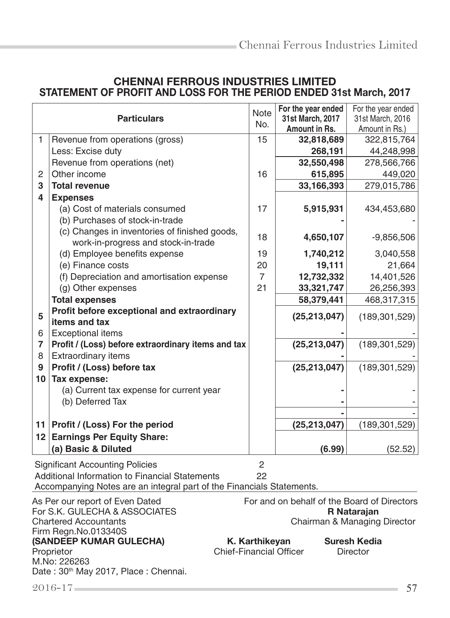# CHENNAI FERROUS INDUSTRIES LIMITED STATEMENT OF PROFIT AND LOSS FOR THE PERIOD ENDED 31st March, 2017

|                | <b>Particulars</b>                                                                                                                                                                                                            | <b>Note</b><br>No.   | For the year ended<br>31st March, 2017<br>Amount in Rs. | For the year ended<br>31st March, 2016<br>Amount in Rs.) |  |  |
|----------------|-------------------------------------------------------------------------------------------------------------------------------------------------------------------------------------------------------------------------------|----------------------|---------------------------------------------------------|----------------------------------------------------------|--|--|
| 1              | Revenue from operations (gross)                                                                                                                                                                                               | 15                   | 32,818,689                                              | 322,815,764                                              |  |  |
|                | Less: Excise duty                                                                                                                                                                                                             |                      | 268,191                                                 | 44,248,998                                               |  |  |
|                | Revenue from operations (net)                                                                                                                                                                                                 |                      | 32,550,498                                              | 278,566,766                                              |  |  |
| 2              | Other income                                                                                                                                                                                                                  | 16                   | 615,895                                                 | 449,020                                                  |  |  |
| 3              | <b>Total revenue</b>                                                                                                                                                                                                          |                      | 33,166,393                                              | 279,015,786                                              |  |  |
| 4              | <b>Expenses</b>                                                                                                                                                                                                               |                      |                                                         |                                                          |  |  |
|                | (a) Cost of materials consumed                                                                                                                                                                                                | 17                   | 5,915,931                                               | 434,453,680                                              |  |  |
|                | (b) Purchases of stock-in-trade                                                                                                                                                                                               |                      |                                                         |                                                          |  |  |
|                | (c) Changes in inventories of finished goods,                                                                                                                                                                                 | 18                   | 4,650,107                                               |                                                          |  |  |
|                | work-in-progress and stock-in-trade                                                                                                                                                                                           |                      |                                                         | $-9,856,506$                                             |  |  |
|                | (d) Employee benefits expense                                                                                                                                                                                                 | 19                   | 1,740,212                                               | 3,040,558                                                |  |  |
|                | (e) Finance costs                                                                                                                                                                                                             | 20                   | 19,111                                                  | 21,664                                                   |  |  |
|                | (f) Depreciation and amortisation expense                                                                                                                                                                                     | $\overline{7}$       | 12,732,332                                              | 14,401,526                                               |  |  |
|                | (g) Other expenses                                                                                                                                                                                                            | 21                   | 33,321,747                                              | 26,256,393                                               |  |  |
|                | <b>Total expenses</b>                                                                                                                                                                                                         |                      | 58,379,441                                              | 468,317,315                                              |  |  |
| 5              | Profit before exceptional and extraordinary                                                                                                                                                                                   |                      | (25, 213, 047)                                          | (189, 301, 529)                                          |  |  |
|                | items and tax                                                                                                                                                                                                                 |                      |                                                         |                                                          |  |  |
| 6              | <b>Exceptional items</b>                                                                                                                                                                                                      |                      |                                                         |                                                          |  |  |
| $\overline{7}$ | Profit / (Loss) before extraordinary items and tax                                                                                                                                                                            |                      | (25, 213, 047)                                          | (189, 301, 529)                                          |  |  |
| 8              | Extraordinary items                                                                                                                                                                                                           |                      |                                                         |                                                          |  |  |
| 9              | Profit / (Loss) before tax                                                                                                                                                                                                    |                      | (25, 213, 047)                                          | (189, 301, 529)                                          |  |  |
| 10             | Tax expense:                                                                                                                                                                                                                  |                      |                                                         |                                                          |  |  |
|                | (a) Current tax expense for current year                                                                                                                                                                                      |                      |                                                         |                                                          |  |  |
|                | (b) Deferred Tax                                                                                                                                                                                                              |                      |                                                         |                                                          |  |  |
|                |                                                                                                                                                                                                                               |                      |                                                         |                                                          |  |  |
|                | 11 Profit / (Loss) For the period                                                                                                                                                                                             |                      | (25, 213, 047)                                          | (189, 301, 529)                                          |  |  |
| 12             | <b>Earnings Per Equity Share:</b>                                                                                                                                                                                             |                      |                                                         |                                                          |  |  |
|                | (a) Basic & Diluted                                                                                                                                                                                                           |                      | (6.99)                                                  | (52.52)                                                  |  |  |
|                | <b>Significant Accounting Policies</b><br>Additional Information to Financial Statements                                                                                                                                      | $\overline{2}$<br>22 |                                                         |                                                          |  |  |
|                | Accompanying Notes are an integral part of the Financials Statements.                                                                                                                                                         |                      |                                                         |                                                          |  |  |
|                | As Per our report of Even Dated<br>For and on behalf of the Board of Directors<br>For S.K. GULECHA & ASSOCIATES<br>R Natarajan<br>$\bigcap_{n=1}^{\infty}$<br>and a coal all A a a an insulance<br>$0 \leq \frac{1}{2}$<br>n. |                      |                                                         |                                                          |  |  |

Firm Regn.No.013340S (SANDEEP KUMAR GULECHA) K. Karthikeyan Suresh Kedia

Date : 30<sup>th</sup> May 2017, Place : Chennai.

Chartered Accountants Chairman & Managing Director

Proprietor Chief-Financial Officer Director

M.No: 226263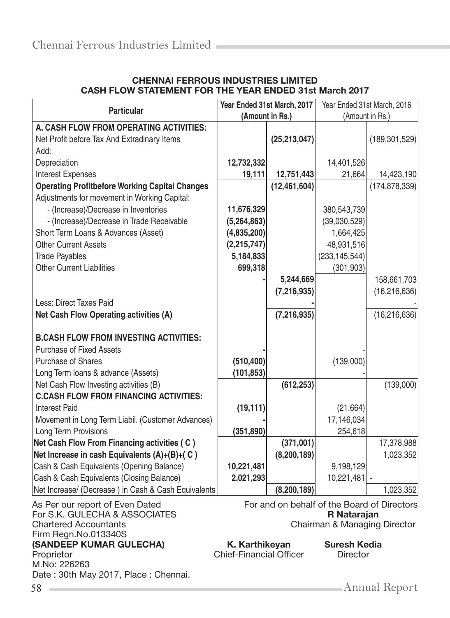| <b>Particular</b>                                     | Year Ended 31st March, 2017<br>Year Ended 31st March, 2016 |                |                                |                                             |
|-------------------------------------------------------|------------------------------------------------------------|----------------|--------------------------------|---------------------------------------------|
|                                                       | (Amount in Rs.)                                            |                | (Amount in Rs.)                |                                             |
| A. CASH FLOW FROM OPERATING ACTIVITIES:               |                                                            |                |                                |                                             |
| Net Profit before Tax And Extradinary Items           |                                                            | (25, 213, 047) |                                | (189, 301, 529)                             |
| Add:                                                  |                                                            |                |                                |                                             |
| Depreciation                                          | 12,732,332                                                 |                | 14,401,526                     |                                             |
| <b>Interest Expenses</b>                              | 19,111                                                     | 12,751,443     | 21,664                         | 14,423,190                                  |
| <b>Operating Profitbefore Working Capital Changes</b> |                                                            | (12, 461, 604) |                                | (174, 878, 339)                             |
| Adjustments for movement in Working Capital:          |                                                            |                |                                |                                             |
| - (Increase)/Decrease in Inventories                  | 11,676,329                                                 |                | 380,543,739                    |                                             |
| - (Increase)/Decrease in Trade Receivable             | (5,264,863)                                                |                | (39,030,529)                   |                                             |
| Short Term Loans & Advances (Asset)                   | (4,835,200)                                                |                | 1,664,425                      |                                             |
| <b>Other Current Assets</b>                           | (2,215,747)                                                |                | 48,931,516                     |                                             |
| <b>Trade Payables</b>                                 | 5,184,833                                                  |                | (233, 145, 544)                |                                             |
| <b>Other Current Liabilities</b>                      | 699,318                                                    |                | (301, 903)                     |                                             |
|                                                       |                                                            | 5,244,669      |                                | 158,661,703                                 |
|                                                       |                                                            | (7, 216, 935)  |                                | (16, 216, 636)                              |
| Less: Direct Taxes Paid                               |                                                            |                |                                |                                             |
| Net Cash Flow Operating activities (A)                |                                                            | (7, 216, 935)  |                                | (16, 216, 636)                              |
|                                                       |                                                            |                |                                |                                             |
| <b>B.CASH FLOW FROM INVESTING ACTIVITIES:</b>         |                                                            |                |                                |                                             |
| Purchase of Fixed Assets                              |                                                            |                |                                |                                             |
| <b>Purchase of Shares</b>                             | (510, 400)                                                 |                | (139,000)                      |                                             |
| Long Term loans & advance (Assets)                    | (101, 853)                                                 |                |                                |                                             |
| Net Cash Flow Investing activities (B)                |                                                            | (612, 253)     |                                | (139,000)                                   |
| <b>C.CASH FLOW FROM FINANCING ACTIVITIES:</b>         |                                                            |                |                                |                                             |
| <b>Interest Paid</b>                                  | (19, 111)                                                  |                | (21, 664)                      |                                             |
| Movement in Long Term Liabil. (Customer Advances)     |                                                            |                | 17,146,034                     |                                             |
| Long Term Provisions                                  | (351, 890)                                                 |                | 254,618                        |                                             |
| Net Cash Flow From Financing activities (C)           |                                                            | (371,001)      |                                | 17,378,988                                  |
| Net Increase in cash Equivalents (A)+(B)+(C)          |                                                            | (8, 200, 189)  |                                | 1,023,352                                   |
| Cash & Cash Equivalents (Opening Balance)             | 10,221,481                                                 |                | 9,198,129                      |                                             |
| Cash & Cash Equivalents (Closing Balance)             | 2,021,293                                                  |                | 10,221,481                     |                                             |
| Net Increase/ (Decrease) in Cash & Cash Equivalents   |                                                            | (8, 200, 189)  |                                | 1,023,352                                   |
| As Per our report of Even Dated                       |                                                            |                |                                | For and on behalf of the Board of Directors |
| For S.K. GULECHA & ASSOCIATES                         |                                                            |                |                                |                                             |
| <b>Chartered Accountants</b>                          |                                                            |                | Chairman & Managing Director   |                                             |
| Firm Regn.No.013340S                                  |                                                            |                |                                |                                             |
|                                                       |                                                            |                | <b>Suresh Kedia</b>            |                                             |
|                                                       |                                                            |                |                                |                                             |
| (SANDEEP KUMAR GULECHA)<br>Proprietor<br>M.No: 226263 | K. Karthikeyan<br><b>Chief-Financial Officer</b>           |                | R Natarajan<br><b>Director</b> |                                             |

#### CHENNAI FERROUS INDUSTRIES LIMITED CASH FLOW STATEMENT FOR THE YEAR ENDED 31st March 2017

58 Annual Report

Date : 30th May 2017, Place : Chennai.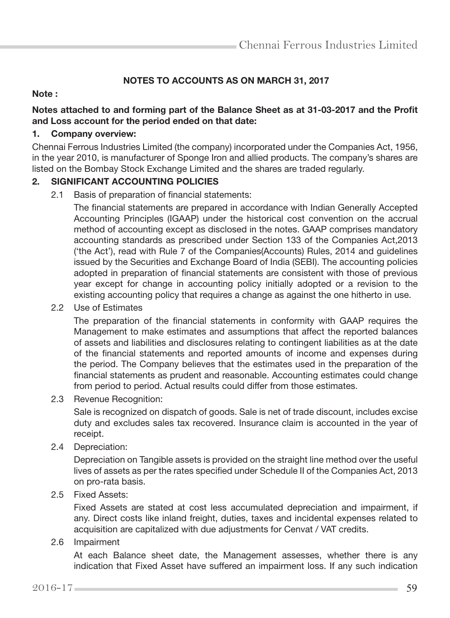# NOTES TO ACCOUNTS AS ON MARCH 31, 2017

#### Note :

### Notes attached to and forming part of the Balance Sheet as at 31-03-2017 and the Profit and Loss account for the period ended on that date:

#### 1. Company overview:

Chennai Ferrous Industries Limited (the company) incorporated under the Companies Act, 1956, in the year 2010, is manufacturer of Sponge Iron and allied products. The company's shares are listed on the Bombay Stock Exchange Limited and the shares are traded regularly.

#### 2. SIGNIFICANT ACCOUNTING POLICIES

2.1 Basis of preparation of financial statements:

 The financial statements are prepared in accordance with Indian Generally Accepted Accounting Principles (IGAAP) under the historical cost convention on the accrual method of accounting except as disclosed in the notes. GAAP comprises mandatory accounting standards as prescribed under Section 133 of the Companies Act,2013 ('the Act'), read with Rule 7 of the Companies(Accounts) Rules, 2014 and guidelines issued by the Securities and Exchange Board of India (SEBI). The accounting policies adopted in preparation of financial statements are consistent with those of previous year except for change in accounting policy initially adopted or a revision to the existing accounting policy that requires a change as against the one hitherto in use.

2.2 Use of Estimates

 The preparation of the financial statements in conformity with GAAP requires the Management to make estimates and assumptions that affect the reported balances of assets and liabilities and disclosures relating to contingent liabilities as at the date of the financial statements and reported amounts of income and expenses during the period. The Company believes that the estimates used in the preparation of the financial statements as prudent and reasonable. Accounting estimates could change from period to period. Actual results could differ from those estimates.

2.3 Revenue Recognition:

 Sale is recognized on dispatch of goods. Sale is net of trade discount, includes excise duty and excludes sales tax recovered. Insurance claim is accounted in the year of receipt.

2.4 Depreciation:

 Depreciation on Tangible assets is provided on the straight line method over the useful lives of assets as per the rates specified under Schedule II of the Companies Act, 2013 on pro-rata basis.

2.5 Fixed Assets:

 Fixed Assets are stated at cost less accumulated depreciation and impairment, if any. Direct costs like inland freight, duties, taxes and incidental expenses related to acquisition are capitalized with due adjustments for Cenvat / VAT credits.

2.6 Impairment

 At each Balance sheet date, the Management assesses, whether there is any indication that Fixed Asset have suffered an impairment loss. If any such indication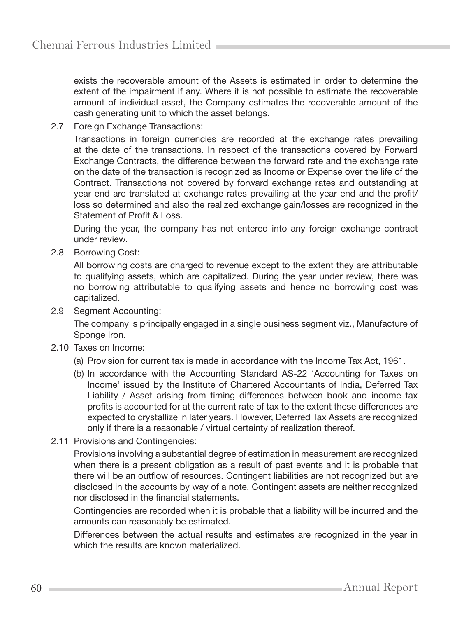exists the recoverable amount of the Assets is estimated in order to determine the extent of the impairment if any. Where it is not possible to estimate the recoverable amount of individual asset, the Company estimates the recoverable amount of the cash generating unit to which the asset belongs.

2.7 Foreign Exchange Transactions:

 Transactions in foreign currencies are recorded at the exchange rates prevailing at the date of the transactions. In respect of the transactions covered by Forward Exchange Contracts, the difference between the forward rate and the exchange rate on the date of the transaction is recognized as Income or Expense over the life of the Contract. Transactions not covered by forward exchange rates and outstanding at year end are translated at exchange rates prevailing at the year end and the profit/ loss so determined and also the realized exchange gain/losses are recognized in the Statement of Profit & Loss.

 During the year, the company has not entered into any foreign exchange contract under review.

2.8 Borrowing Cost:

 All borrowing costs are charged to revenue except to the extent they are attributable to qualifying assets, which are capitalized. During the year under review, there was no borrowing attributable to qualifying assets and hence no borrowing cost was capitalized.

2.9 Segment Accounting:

 The company is principally engaged in a single business segment viz., Manufacture of Sponge Iron.

- 2.10 Taxes on Income:
	- (a) Provision for current tax is made in accordance with the Income Tax Act, 1961.
	- (b) In accordance with the Accounting Standard AS-22 'Accounting for Taxes on Income' issued by the Institute of Chartered Accountants of India, Deferred Tax Liability / Asset arising from timing differences between book and income tax profits is accounted for at the current rate of tax to the extent these differences are expected to crystallize in later years. However, Deferred Tax Assets are recognized only if there is a reasonable / virtual certainty of realization thereof.
- 2.11 Provisions and Contingencies:

 Provisions involving a substantial degree of estimation in measurement are recognized when there is a present obligation as a result of past events and it is probable that there will be an outflow of resources. Contingent liabilities are not recognized but are disclosed in the accounts by way of a note. Contingent assets are neither recognized nor disclosed in the financial statements.

 Contingencies are recorded when it is probable that a liability will be incurred and the amounts can reasonably be estimated.

 Differences between the actual results and estimates are recognized in the year in which the results are known materialized.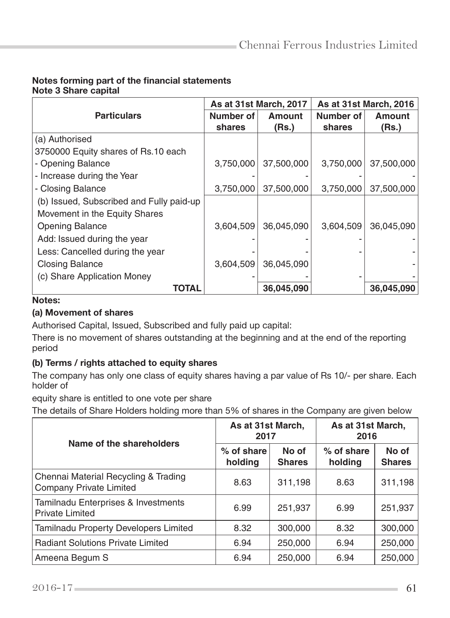#### Notes forming part of the financial statements Note 3 Share capital

|                                          |           | As at 31st March, 2017 |           | As at 31st March, 2016 |  |
|------------------------------------------|-----------|------------------------|-----------|------------------------|--|
| <b>Particulars</b>                       | Number of | Amount                 | Number of | <b>Amount</b>          |  |
|                                          | shares    | (Rs.)                  | shares    | (Rs.)                  |  |
| (a) Authorised                           |           |                        |           |                        |  |
| 3750000 Equity shares of Rs.10 each      |           |                        |           |                        |  |
| - Opening Balance                        | 3,750,000 | 37,500,000             | 3,750,000 | 37,500,000             |  |
| - Increase during the Year               |           |                        |           |                        |  |
| - Closing Balance                        | 3,750,000 | 37,500,000             | 3,750,000 | 37,500,000             |  |
| (b) Issued, Subscribed and Fully paid-up |           |                        |           |                        |  |
| Movement in the Equity Shares            |           |                        |           |                        |  |
| <b>Opening Balance</b>                   | 3,604,509 | 36,045,090             | 3,604,509 | 36,045,090             |  |
| Add: Issued during the year              |           |                        |           |                        |  |
| Less: Cancelled during the year          |           |                        |           |                        |  |
| <b>Closing Balance</b>                   | 3,604,509 | 36,045,090             |           |                        |  |
| (c) Share Application Money              |           |                        |           |                        |  |
| TOTAL                                    |           | 36,045,090             |           | 36,045,090             |  |

## Notes:

## (a) Movement of shares

Authorised Capital, Issued, Subscribed and fully paid up capital:

There is no movement of shares outstanding at the beginning and at the end of the reporting period

## (b) Terms / rights attached to equity shares

The company has only one class of equity shares having a par value of Rs 10/- per share. Each holder of

equity share is entitled to one vote per share

The details of Share Holders holding more than 5% of shares in the Company are given below

| Name of the shareholders                                               | As at 31st March,<br>2017 |                        | As at 31st March,<br>2016 |                        |  |
|------------------------------------------------------------------------|---------------------------|------------------------|---------------------------|------------------------|--|
|                                                                        | % of share<br>holding     | No of<br><b>Shares</b> | % of share<br>holding     | No of<br><b>Shares</b> |  |
| Chennai Material Recycling & Trading<br><b>Company Private Limited</b> | 8.63                      | 311,198                | 8.63                      | 311,198                |  |
| Tamilnadu Enterprises & Investments<br><b>Private Limited</b>          | 6.99                      | 251,937                | 6.99                      | 251,937                |  |
| <b>Tamilnadu Property Developers Limited</b>                           | 8.32                      | 300,000                | 8.32                      | 300,000                |  |
| <b>Radiant Solutions Private Limited</b>                               | 6.94                      | 250,000                | 6.94                      | 250,000                |  |
| Ameena Begum S                                                         | 6.94                      | 250,000                | 6.94                      | 250,000                |  |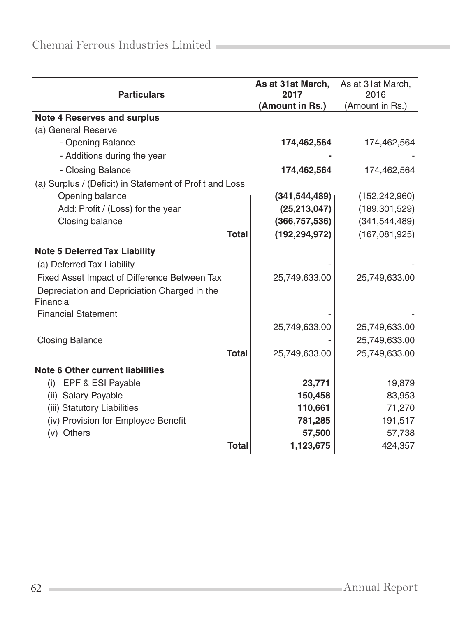|                                                           | As at 31st March, | As at 31st March, |
|-----------------------------------------------------------|-------------------|-------------------|
| <b>Particulars</b>                                        | 2017              | 2016              |
|                                                           | (Amount in Rs.)   | (Amount in Rs.)   |
| <b>Note 4 Reserves and surplus</b>                        |                   |                   |
| (a) General Reserve                                       |                   |                   |
| - Opening Balance                                         | 174,462,564       | 174,462,564       |
| - Additions during the year                               |                   |                   |
| - Closing Balance                                         | 174,462,564       | 174,462,564       |
| (a) Surplus / (Deficit) in Statement of Profit and Loss   |                   |                   |
| Opening balance                                           | (341, 544, 489)   | (152, 242, 960)   |
| Add: Profit / (Loss) for the year                         | (25, 213, 047)    | (189, 301, 529)   |
| Closing balance                                           | (366, 757, 536)   | (341, 544, 489)   |
| <b>Total</b>                                              | (192, 294, 972)   | (167,081,925)     |
| <b>Note 5 Deferred Tax Liability</b>                      |                   |                   |
| (a) Deferred Tax Liability                                |                   |                   |
| Fixed Asset Impact of Difference Between Tax              | 25,749,633.00     | 25,749,633.00     |
| Depreciation and Depriciation Charged in the<br>Financial |                   |                   |
| <b>Financial Statement</b>                                |                   |                   |
|                                                           | 25,749,633.00     | 25,749,633.00     |
| <b>Closing Balance</b>                                    |                   | 25,749,633.00     |
| <b>Total</b>                                              | 25,749,633.00     | 25,749,633.00     |
| <b>Note 6 Other current liabilities</b>                   |                   |                   |
| (i) EPF & ESI Payable                                     | 23,771            | 19,879            |
| (ii) Salary Payable                                       | 150,458           | 83,953            |
| (iii) Statutory Liabilities                               | 110,661           | 71,270            |
| (iv) Provision for Employee Benefit                       | 781,285           | 191,517           |
| (v) Others                                                | 57,500            | 57,738            |
| <b>Total</b>                                              | 1,123,675         | 424,357           |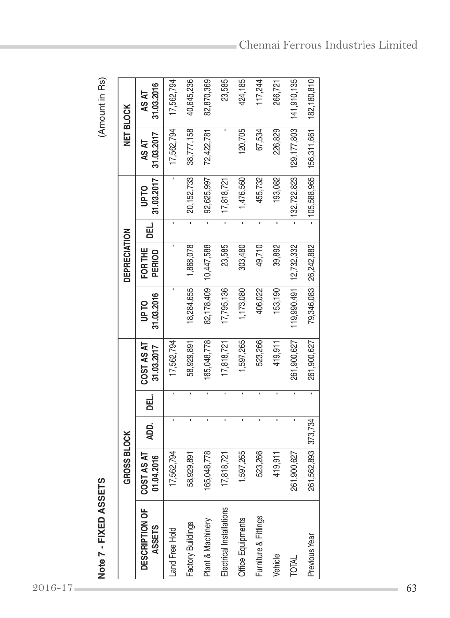|                                 | GROSS BLOCK<br><u>ທ</u><br>Note 7 - FIXED ASSET |                |                |                          |                           | <b>DEPRECIATION</b> |                |                                | <b>NET BLOCK</b>    | (Amount in Rs)      |
|---------------------------------|-------------------------------------------------|----------------|----------------|--------------------------|---------------------------|---------------------|----------------|--------------------------------|---------------------|---------------------|
| DESCRIPTION OF<br><b>ASSETS</b> | COST AS AT<br>01.04.2016                        | ADD.           | DEL.           | COST AS AT<br>31.03.2017 | 31.03.2016<br><b>UPTO</b> | FOR THE<br>PERIOD   | DEL.           | 31.03.2017<br>UP <sub>TO</sub> | 31.03.2017<br>AS AT | 31.03.2016<br>AS AT |
| Land Free Hold                  | 17,562,794                                      |                | $\blacksquare$ | 17,562,794               |                           |                     | $\blacksquare$ | $\blacksquare$                 | 17,562,794          | 17,562,794          |
| Factory Buildings               | 58,929,891                                      | $\blacksquare$ | $\blacksquare$ | 58,929,891               | 18,284,655                | 1,868,078           | $\blacksquare$ | 20, 152, 733                   | 38,777,158          | 40,645,236          |
| Plant & Machinery               | 165,048,778                                     | $\blacksquare$ | $\blacksquare$ | 165,048,778              | 82,178,409                | 10,447,588          | $\blacksquare$ | 92,625,997                     | 72,422,781          | 82,870,369          |
| Electrical Installations        | 7,818,721                                       | $\blacksquare$ | ×,             | 17,818,721               | 17,795,136                | 23,585              | ı              | 17,818,721                     |                     | 23,585              |
| Office Equipments               | 1,597,265                                       | I,             | $\blacksquare$ | 1,597,265                | 1,173,080                 | 303,480             | $\blacksquare$ | 1,476,560                      | 120,705             | 424,185             |
| Furniture & Fittings            | 523,266                                         | $\blacksquare$ | ×,             | 523,266                  | 406,022                   | 49,710              | f,             | 455,732                        | 67,534              | 117,244             |
| Vehicle                         | 419,911                                         | J.             |                | 419,911                  | 153,190                   | 39,892              |                | 193,082                        | 226,829             | 266,721             |
| TOTAL                           | 261,900,627                                     |                |                | 261,900,627              | 119,990,491               | 12,732,332          |                | 132,722,823                    | 129, 177, 803       | 141,910,135         |
| Previous Year                   | 261,562,893                                     | 373,734        |                | 261,900,627              | 79,346,083                | 26,242,882          |                | 105,588,965                    | 156,311,661         | 182,180,810         |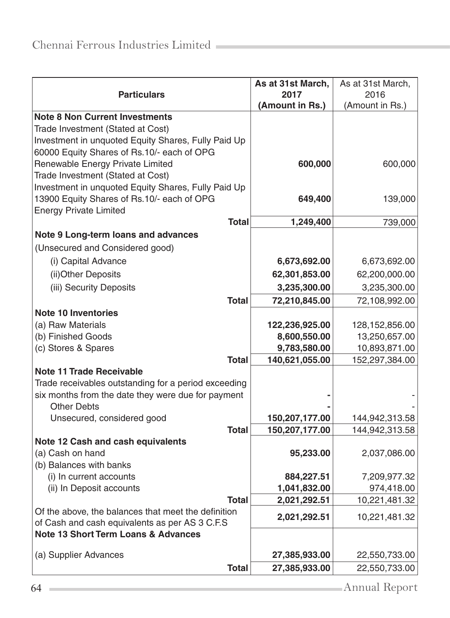| <b>Particulars</b>                                                                                    | As at 31st March,<br>2017 | As at 31st March,<br>2016 |
|-------------------------------------------------------------------------------------------------------|---------------------------|---------------------------|
|                                                                                                       | (Amount in Rs.)           | (Amount in Rs.)           |
| <b>Note 8 Non Current Investments</b>                                                                 |                           |                           |
| Trade Investment (Stated at Cost)                                                                     |                           |                           |
| Investment in unquoted Equity Shares, Fully Paid Up                                                   |                           |                           |
| 60000 Equity Shares of Rs.10/- each of OPG                                                            |                           |                           |
| Renewable Energy Private Limited                                                                      | 600,000                   | 600,000                   |
| Trade Investment (Stated at Cost)<br>Investment in unquoted Equity Shares, Fully Paid Up              |                           |                           |
| 13900 Equity Shares of Rs.10/- each of OPG                                                            | 649,400                   | 139,000                   |
| <b>Energy Private Limited</b>                                                                         |                           |                           |
| <b>Total</b>                                                                                          | 1,249,400                 | 739,000                   |
| Note 9 Long-term loans and advances                                                                   |                           |                           |
| (Unsecured and Considered good)                                                                       |                           |                           |
| (i) Capital Advance                                                                                   | 6,673,692.00              | 6,673,692.00              |
| (ii) Other Deposits                                                                                   | 62,301,853.00             | 62,200,000.00             |
| (iii) Security Deposits                                                                               | 3,235,300.00              | 3,235,300.00              |
| <b>Total</b>                                                                                          | 72,210,845.00             | 72,108,992.00             |
| <b>Note 10 Inventories</b>                                                                            |                           |                           |
| (a) Raw Materials                                                                                     | 122,236,925.00            | 128, 152, 856.00          |
| (b) Finished Goods                                                                                    | 8,600,550.00              | 13,250,657.00             |
| (c) Stores & Spares                                                                                   | 9,783,580.00              | 10,893,871.00             |
| <b>Total</b>                                                                                          | 140,621,055.00            | 152,297,384.00            |
| <b>Note 11 Trade Receivable</b>                                                                       |                           |                           |
| Trade receivables outstanding for a period exceeding                                                  |                           |                           |
| six months from the date they were due for payment<br><b>Other Debts</b>                              |                           |                           |
| Unsecured, considered good                                                                            | 150,207,177.00            | 144,942,313.58            |
| <b>Total</b>                                                                                          | 150,207,177.00            | 144,942,313.58            |
| Note 12 Cash and cash equivalents                                                                     |                           |                           |
| (a) Cash on hand                                                                                      | 95,233.00                 | 2,037,086.00              |
| (b) Balances with banks                                                                               |                           |                           |
| (i) In current accounts                                                                               | 884,227.51                | 7,209,977.32              |
| (ii) In Deposit accounts                                                                              | 1,041,832.00              | 974,418.00                |
| <b>Total</b>                                                                                          | 2,021,292.51              | 10,221,481.32             |
| Of the above, the balances that meet the definition<br>of Cash and cash equivalents as per AS 3 C.F.S | 2,021,292.51              | 10,221,481.32             |
| <b>Note 13 Short Term Loans &amp; Advances</b>                                                        |                           |                           |
|                                                                                                       |                           |                           |
| (a) Supplier Advances                                                                                 | 27,385,933.00             | 22,550,733.00             |
| <b>Total</b>                                                                                          | 27,385,933.00             | 22,550,733.00             |
| 64                                                                                                    |                           | Annual Report             |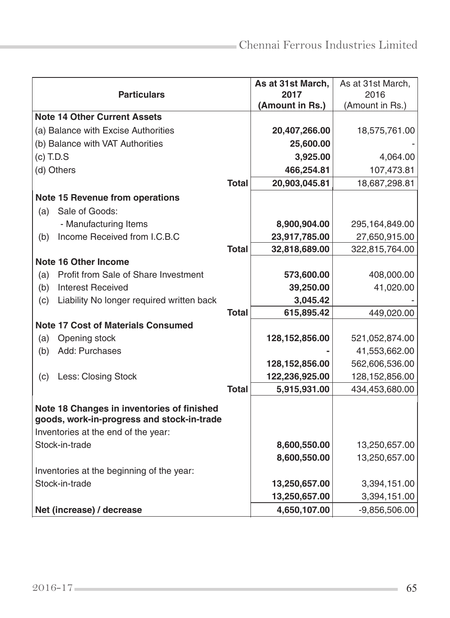|                                                  |              | As at 31st March, | As at 31st March, |
|--------------------------------------------------|--------------|-------------------|-------------------|
| <b>Particulars</b>                               |              | 2017              | 2016              |
|                                                  |              | (Amount in Rs.)   | (Amount in Rs.)   |
| <b>Note 14 Other Current Assets</b>              |              |                   |                   |
| (a) Balance with Excise Authorities              |              | 20,407,266.00     | 18,575,761.00     |
| (b) Balance with VAT Authorities                 |              | 25,600.00         |                   |
| $(c)$ T.D.S                                      |              | 3,925.00          | 4,064.00          |
| (d) Others                                       |              | 466,254.81        | 107,473.81        |
|                                                  | <b>Total</b> | 20,903,045.81     | 18,687,298.81     |
| <b>Note 15 Revenue from operations</b>           |              |                   |                   |
| Sale of Goods:<br>(a)                            |              |                   |                   |
| - Manufacturing Items                            |              | 8,900,904.00      | 295,164,849.00    |
| Income Received from I.C.B.C<br>(b)              |              | 23,917,785.00     | 27,650,915.00     |
|                                                  | <b>Total</b> | 32,818,689.00     | 322,815,764.00    |
| <b>Note 16 Other Income</b>                      |              |                   |                   |
| Profit from Sale of Share Investment<br>(a)      |              | 573,600.00        | 408,000.00        |
| (b)<br><b>Interest Received</b>                  |              | 39,250.00         | 41,020.00         |
| (c)<br>Liability No longer required written back |              | 3,045.42          |                   |
|                                                  | Total        | 615,895.42        | 449,020.00        |
| <b>Note 17 Cost of Materials Consumed</b>        |              |                   |                   |
| Opening stock<br>(a)                             |              | 128, 152, 856.00  | 521,052,874.00    |
| Add: Purchases<br>(b)                            |              |                   | 41,553,662.00     |
|                                                  |              | 128, 152, 856.00  | 562,606,536.00    |
| Less: Closing Stock<br>(c)                       |              | 122,236,925.00    | 128,152,856.00    |
|                                                  | <b>Total</b> | 5,915,931.00      | 434,453,680.00    |
| Note 18 Changes in inventories of finished       |              |                   |                   |
| goods, work-in-progress and stock-in-trade       |              |                   |                   |
| Inventories at the end of the year:              |              |                   |                   |
| Stock-in-trade                                   |              | 8,600,550.00      | 13,250,657.00     |
|                                                  |              | 8,600,550.00      | 13,250,657.00     |
| Inventories at the beginning of the year:        |              |                   |                   |
| Stock-in-trade                                   |              | 13,250,657.00     | 3,394,151.00      |
|                                                  |              | 13,250,657.00     | 3,394,151.00      |
| Net (increase) / decrease                        |              | 4,650,107.00      | $-9,856,506.00$   |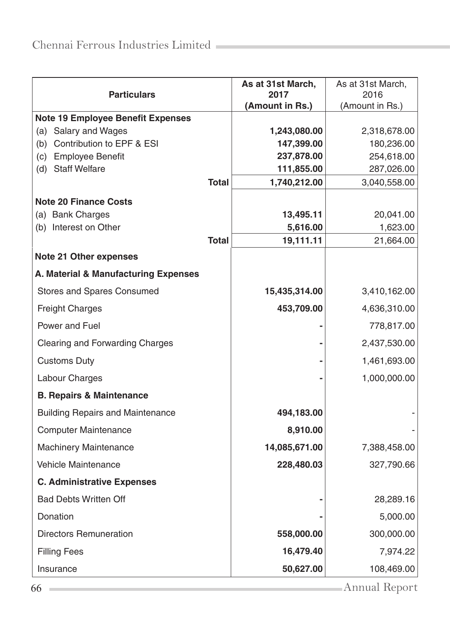| <b>Particulars</b>                                  |              | As at 31st March,<br>2017 | As at 31st March,<br>2016 |
|-----------------------------------------------------|--------------|---------------------------|---------------------------|
|                                                     |              | (Amount in Rs.)           | (Amount in Rs.)           |
| <b>Note 19 Employee Benefit Expenses</b>            |              |                           |                           |
| (a) Salary and Wages                                |              | 1,243,080.00              | 2,318,678.00              |
| Contribution to EPF & ESI<br>(b)                    |              | 147,399.00                | 180,236.00                |
| (c) Employee Benefit<br>(d)<br><b>Staff Welfare</b> |              | 237,878.00<br>111,855.00  | 254,618.00<br>287,026.00  |
|                                                     | <b>Total</b> | 1,740,212.00              | 3,040,558.00              |
|                                                     |              |                           |                           |
| <b>Note 20 Finance Costs</b>                        |              |                           |                           |
| (a) Bank Charges<br>(b) Interest on Other           |              | 13,495.11<br>5,616.00     | 20,041.00<br>1,623.00     |
|                                                     | <b>Total</b> | 19,111.11                 | 21,664.00                 |
| <b>Note 21 Other expenses</b>                       |              |                           |                           |
| A. Material & Manufacturing Expenses                |              |                           |                           |
| Stores and Spares Consumed                          |              | 15,435,314.00             | 3,410,162.00              |
| <b>Freight Charges</b>                              |              | 453,709.00                | 4,636,310.00              |
| Power and Fuel                                      |              |                           | 778,817.00                |
| <b>Clearing and Forwarding Charges</b>              |              |                           | 2,437,530.00              |
| <b>Customs Duty</b>                                 |              |                           | 1,461,693.00              |
| Labour Charges                                      |              |                           | 1,000,000.00              |
| <b>B. Repairs &amp; Maintenance</b>                 |              |                           |                           |
| <b>Building Repairs and Maintenance</b>             |              | 494,183.00                |                           |
| <b>Computer Maintenance</b>                         |              | 8,910.00                  |                           |
| <b>Machinery Maintenance</b>                        |              | 14,085,671.00             | 7,388,458.00              |
| <b>Vehicle Maintenance</b>                          |              | 228,480.03                | 327,790.66                |
| <b>C. Administrative Expenses</b>                   |              |                           |                           |
| <b>Bad Debts Written Off</b>                        |              |                           | 28,289.16                 |
| Donation                                            |              |                           | 5,000.00                  |
| <b>Directors Remuneration</b>                       |              | 558,000.00                | 300,000.00                |
| <b>Filling Fees</b>                                 |              | 16,479.40                 | 7,974.22                  |
| Insurance                                           |              | 50,627.00                 | 108,469.00                |
| 66                                                  |              |                           | Annual Report             |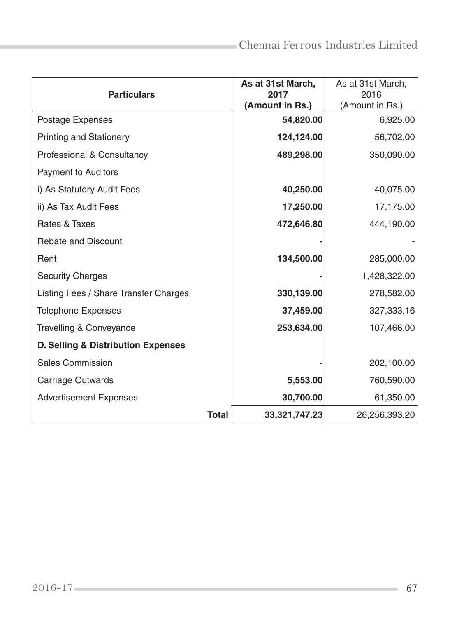| <b>Particulars</b>                    |              | As at 31st March,<br>2017<br>(Amount in Rs.) | As at 31st March,<br>2016<br>(Amount in Rs.) |
|---------------------------------------|--------------|----------------------------------------------|----------------------------------------------|
| Postage Expenses                      |              | 54,820.00                                    | 6,925.00                                     |
| <b>Printing and Stationery</b>        |              | 124,124.00                                   | 56,702.00                                    |
| Professional & Consultancy            |              | 489,298.00                                   | 350,090.00                                   |
| <b>Payment to Auditors</b>            |              |                                              |                                              |
| i) As Statutory Audit Fees            |              | 40,250.00                                    | 40,075.00                                    |
| ii) As Tax Audit Fees                 |              | 17,250.00                                    | 17,175.00                                    |
| Rates & Taxes                         |              | 472,646.80                                   | 444,190.00                                   |
| <b>Rebate and Discount</b>            |              |                                              |                                              |
| Rent                                  |              | 134,500.00                                   | 285,000.00                                   |
| <b>Security Charges</b>               |              |                                              | 1,428,322.00                                 |
| Listing Fees / Share Transfer Charges |              | 330,139.00                                   | 278,582.00                                   |
| <b>Telephone Expenses</b>             |              | 37,459.00                                    | 327,333.16                                   |
| Travelling & Conveyance               |              | 253,634.00                                   | 107,466.00                                   |
| D. Selling & Distribution Expenses    |              |                                              |                                              |
| <b>Sales Commission</b>               |              |                                              | 202,100.00                                   |
| Carriage Outwards                     |              | 5,553.00                                     | 760,590.00                                   |
| <b>Advertisement Expenses</b>         |              | 30,700.00                                    | 61,350.00                                    |
|                                       | <b>Total</b> | 33,321,747.23                                | 26,256,393.20                                |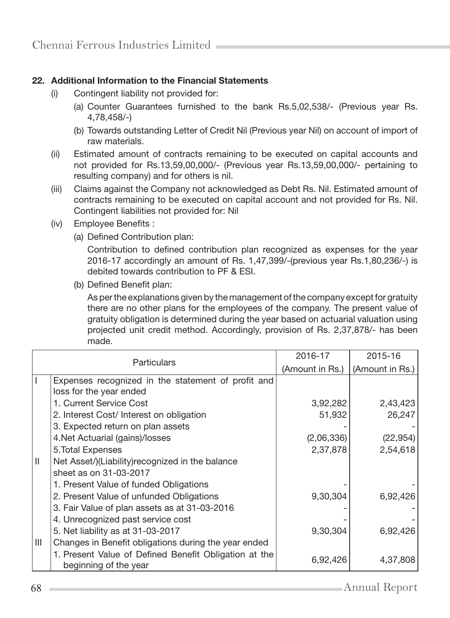## 22. Additional Information to the Financial Statements

- (i) Contingent liability not provided for:
	- (a) Counter Guarantees furnished to the bank Rs.5,02,538/- (Previous year Rs. 4,78,458/-)
	- (b) Towards outstanding Letter of Credit Nil (Previous year Nil) on account of import of raw materials.
- (ii) Estimated amount of contracts remaining to be executed on capital accounts and not provided for Rs.13,59,00,000/- (Previous year Rs.13,59,00,000/- pertaining to resulting company) and for others is nil.
- (iii) Claims against the Company not acknowledged as Debt Rs. Nil. Estimated amount of contracts remaining to be executed on capital account and not provided for Rs. Nil. Contingent liabilities not provided for: Nil
- (iv) Employee Benefits :
	- (a) Defined Contribution plan:

 Contribution to defined contribution plan recognized as expenses for the year 2016-17 accordingly an amount of Rs. 1,47,399/-(previous year Rs.1,80,236/-) is debited towards contribution to PF & ESI.

(b) Defined Benefit plan:

 As per the explanations given by the management of the company except for gratuity there are no other plans for the employees of the company. The present value of gratuity obligation is determined during the year based on actuarial valuation using projected unit credit method. Accordingly, provision of Rs. 2,37,878/- has been made.

| <b>Particulars</b> |                                                                                | 2016-17         | 2015-16         |
|--------------------|--------------------------------------------------------------------------------|-----------------|-----------------|
|                    |                                                                                | (Amount in Rs.) | (Amount in Rs.) |
|                    | Expenses recognized in the statement of profit and                             |                 |                 |
|                    | loss for the year ended                                                        |                 |                 |
|                    | 1. Current Service Cost                                                        | 3,92,282        | 2,43,423        |
|                    | 2. Interest Cost/ Interest on obligation                                       | 51,932          | 26,247          |
|                    | 3. Expected return on plan assets                                              |                 |                 |
|                    | 4. Net Actuarial (gains)/losses                                                | (2,06,336)      | (22, 954)       |
|                    | 5. Total Expenses                                                              | 2,37,878        | 2,54,618        |
| Ш                  | Net Asset/)(Liability) recognized in the balance                               |                 |                 |
|                    | sheet as on 31-03-2017                                                         |                 |                 |
|                    | 1. Present Value of funded Obligations                                         |                 |                 |
|                    | 2. Present Value of unfunded Obligations                                       | 9,30,304        | 6,92,426        |
|                    | 3. Fair Value of plan assets as at 31-03-2016                                  |                 |                 |
|                    | 4. Unrecognized past service cost                                              |                 |                 |
|                    | 5. Net liability as at 31-03-2017                                              | 9,30,304        | 6,92,426        |
| Ш                  | Changes in Benefit obligations during the year ended                           |                 |                 |
|                    | 1. Present Value of Defined Benefit Obligation at the<br>beginning of the year | 6,92,426        | 4,37,808        |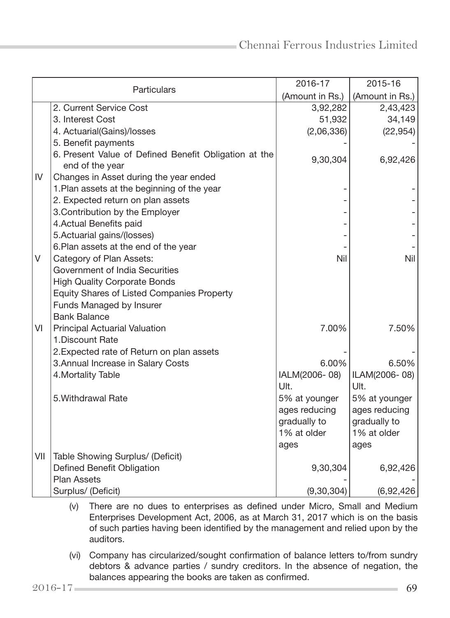| Particulars |                                                                          | 2016-17         | 2015-16         |
|-------------|--------------------------------------------------------------------------|-----------------|-----------------|
|             |                                                                          | (Amount in Rs.) | (Amount in Rs.) |
|             | 2. Current Service Cost                                                  | 3,92,282        | 2,43,423        |
|             | 3. Interest Cost                                                         | 51,932          | 34,149          |
|             | 4. Actuarial(Gains)/losses                                               | (2,06,336)      | (22, 954)       |
|             | 5. Benefit payments                                                      |                 |                 |
|             | 6. Present Value of Defined Benefit Obligation at the<br>end of the year | 9,30,304        | 6,92,426        |
| IV          | Changes in Asset during the year ended                                   |                 |                 |
|             | 1. Plan assets at the beginning of the year                              |                 |                 |
|             | 2. Expected return on plan assets                                        |                 |                 |
|             | 3. Contribution by the Employer                                          |                 |                 |
|             | 4. Actual Benefits paid                                                  |                 |                 |
|             | 5. Actuarial gains/(losses)                                              |                 |                 |
|             | 6. Plan assets at the end of the year                                    |                 |                 |
| V           | Category of Plan Assets:                                                 | Nil             | Nil             |
|             | Government of India Securities                                           |                 |                 |
|             | <b>High Quality Corporate Bonds</b>                                      |                 |                 |
|             | Equity Shares of Listed Companies Property                               |                 |                 |
|             | Funds Managed by Insurer                                                 |                 |                 |
|             | <b>Bank Balance</b>                                                      |                 |                 |
| VI          | Principal Actuarial Valuation                                            | 7.00%           | 7.50%           |
|             | 1. Discount Rate                                                         |                 |                 |
|             | 2. Expected rate of Return on plan assets                                |                 |                 |
|             | 3. Annual Increase in Salary Costs                                       | 6.00%           | 6.50%           |
|             | 4. Mortality Table                                                       | IALM(2006-08)   | ILAM(2006-08)   |
|             |                                                                          | Ult.            | Ult.            |
|             | 5. Withdrawal Rate                                                       | 5% at younger   | 5% at younger   |
|             |                                                                          | ages reducing   | ages reducing   |
|             |                                                                          | gradually to    | gradually to    |
|             |                                                                          | 1% at older     | 1% at older     |
|             |                                                                          | ages            | ages            |
| VII         | Table Showing Surplus/ (Deficit)                                         |                 |                 |
|             | Defined Benefit Obligation                                               | 9,30,304        | 6,92,426        |
|             | <b>Plan Assets</b>                                                       |                 |                 |
|             | Surplus/ (Deficit)                                                       | (9,30,304)      | (6,92,426)      |

- (v) There are no dues to enterprises as defined under Micro, Small and Medium Enterprises Development Act, 2006, as at March 31, 2017 which is on the basis of such parties having been identified by the management and relied upon by the auditors.
- (vi) Company has circularized/sought confirmation of balance letters to/from sundry debtors & advance parties / sundry creditors. In the absence of negation, the balances appearing the books are taken as confirmed.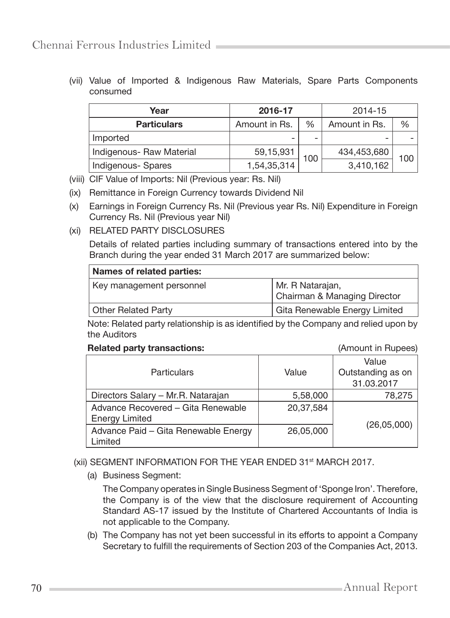(vii) Value of Imported & Indigenous Raw Materials, Spare Parts Components consumed

| Year                     | 2016-17       |               | 2014-15       |     |
|--------------------------|---------------|---------------|---------------|-----|
| <b>Particulars</b>       | Amount in Rs. | $\frac{0}{0}$ | Amount in Rs. | %   |
| Imported                 |               | -             |               |     |
| Indigenous- Raw Material | 59,15,931     |               | 434,453,680   | 100 |
| Indigenous- Spares       | 1,54,35,314   | 100           | 3,410,162     |     |

- (viii) CIF Value of Imports: Nil (Previous year: Rs. Nil)
- (ix) Remittance in Foreign Currency towards Dividend Nil
- (x) Earnings in Foreign Currency Rs. Nil (Previous year Rs. Nil) Expenditure in Foreign Currency Rs. Nil (Previous year Nil)
- (xi) RELATED PARTY DISCLOSURES

 Details of related parties including summary of transactions entered into by the Branch during the year ended 31 March 2017 are summarized below:

| Names of related parties: |                               |  |  |
|---------------------------|-------------------------------|--|--|
| Key management personnel  | Mr. R Natarajan,              |  |  |
|                           | Chairman & Managing Director  |  |  |
| Other Related Party       | Gita Renewable Energy Limited |  |  |

 Note: Related party relationship is as identified by the Company and relied upon by the Auditors

#### Related party transactions: (Amount in Rupees)

|                                      |           | Value             |  |
|--------------------------------------|-----------|-------------------|--|
| <b>Particulars</b>                   | Value     | Outstanding as on |  |
|                                      |           | 31.03.2017        |  |
| Directors Salary - Mr.R. Natarajan   | 5,58,000  | 78,275            |  |
| Advance Recovered - Gita Renewable   | 20,37,584 |                   |  |
| <b>Energy Limited</b>                |           |                   |  |
| Advance Paid - Gita Renewable Energy | 26,05,000 | (26, 05, 000)     |  |
| Limited                              |           |                   |  |

(xii) SEGMENT INFORMATION FOR THE YEAR ENDED 31<sup>st</sup> MARCH 2017.

(a) Business Segment:

 The Company operates in Single Business Segment of 'Sponge Iron'. Therefore, the Company is of the view that the disclosure requirement of Accounting Standard AS-17 issued by the Institute of Chartered Accountants of India is not applicable to the Company.

 (b) The Company has not yet been successful in its efforts to appoint a Company Secretary to fulfill the requirements of Section 203 of the Companies Act, 2013.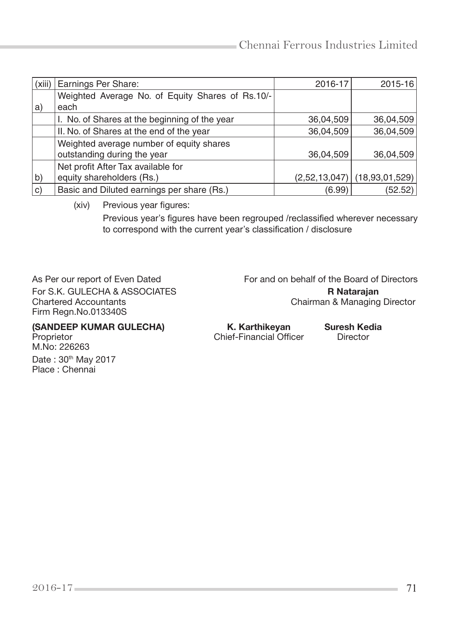| (xiii) | Earnings Per Share:                              | 2016-17   | 2015-16                        |
|--------|--------------------------------------------------|-----------|--------------------------------|
|        | Weighted Average No. of Equity Shares of Rs.10/- |           |                                |
| a)     | each                                             |           |                                |
|        | I. No. of Shares at the beginning of the year    | 36,04,509 | 36,04,509                      |
|        | II. No. of Shares at the end of the year         | 36,04,509 | 36,04,509                      |
|        | Weighted average number of equity shares         |           |                                |
|        | outstanding during the year                      | 36,04,509 | 36,04,509                      |
|        | Net profit After Tax available for               |           |                                |
| b)     | equity shareholders (Rs.)                        |           | $(2,52,13,047)$ (18,93,01,529) |
| C)     | Basic and Diluted earnings per share (Rs.)       | (6.99)    | (52.52)                        |

(xiv) Previous year figures:

 Previous year's figures have been regrouped /reclassified wherever necessary to correspond with the current year's classification / disclosure

For S.K. GULECHA & ASSOCIATES<br>
Chairman & Managing<br>
Chairman & Managing Firm Regn.No.013340S

As Per our report of Even Dated For and on behalf of the Board of Directors Chairman & Managing Director

M.No: 226263

Date: 30<sup>th</sup> May 2017 Place : Chennai

(SANDEEP KUMAR GULECHA) K. Karthikeyan Suresh Kedia<br>Proprietor Director Chief-Financial Officer Director Chief-Financial Officer Director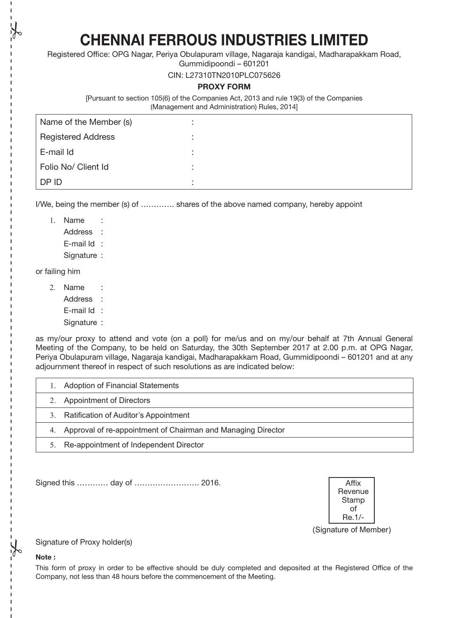CHENNAI FERROUS INDUSTRIES LIMITED

Registered Office: OPG Nagar, Periya Obulapuram village, Nagaraja kandigai, Madharapakkam Road,

Gummidipoondi – 601201

CIN: L27310TN2010PLC075626

#### PROXY FORM

[Pursuant to section 105(6) of the Companies Act, 2013 and rule 19(3) of the Companies (Management and Administration) Rules, 2014]

| Name of the Member (s)    | ٠ |  |
|---------------------------|---|--|
| <b>Registered Address</b> | ٠ |  |
| E-mail Id                 |   |  |
| Folio No/ Client Id       |   |  |
| DP ID                     | ٠ |  |

I/We, being the member (s) of …………. shares of the above named company, hereby appoint

1. Name : Address : E-mail Id : Signature :

or failing him

- 2. Name :
	- Address :
	- E-mail Id :
	- Signature :

as my/our proxy to attend and vote (on a poll) for me/us and on my/our behalf at 7th Annual General Meeting of the Company, to be held on Saturday, the 30th September 2017 at 2.00 p.m. at OPG Nagar, Periya Obulapuram village, Nagaraja kandigai, Madharapakkam Road, Gummidipoondi – 601201 and at any adjournment thereof in respect of such resolutions as are indicated below:

| <b>Adoption of Financial Statements</b>                         |
|-----------------------------------------------------------------|
| 2. Appointment of Directors                                     |
| 3. Ratification of Auditor's Appointment                        |
| 4. Approval of re-appointment of Chairman and Managing Director |
| Re-appointment of Independent Director                          |

Signed this ………… day of ……………………. 2016. Affix



#### Signature of Proxy holder(s)

#### Note :

This form of proxy in order to be effective should be duly completed and deposited at the Registered Office of the Company, not less than 48 hours before the commencement of the Meeting.